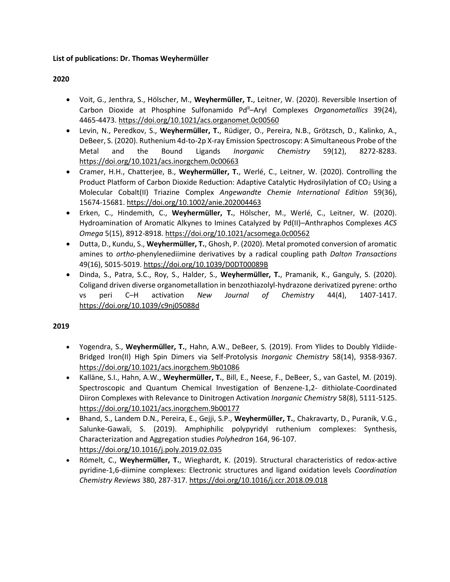#### **List of publications: Dr. Thomas Weyhermüller**

### **2020**

- Voit, G., Jenthra, S., Hölscher, M., **Weyhermüller, T.**, Leitner, W. (2020). Reversible Insertion of Carbon Dioxide at Phosphine Sulfonamido Pd<sup>II</sup>–Aryl Complexes *Organometallics* 39(24), 4465-4473. <https://doi.org/10.1021/acs.organomet.0c00560>
- Levin, N., Peredkov, S., **Weyhermüller, T.**, Rüdiger, O., Pereira, N.B., Grötzsch, D., Kalinko, A., DeBeer, S. (2020). Ruthenium 4d-to-2p X-ray Emission Spectroscopy: A Simultaneous Probe of the Metal and the Bound Ligands *Inorganic Chemistry* 59(12), 8272-8283. <https://doi.org/10.1021/acs.inorgchem.0c00663>
- Cramer, H.H., Chatterjee, B., **Weyhermüller, T.**, Werlé, C., Leitner, W. (2020). Controlling the Product Platform of Carbon Dioxide Reduction: Adaptive Catalytic Hydrosilylation of CO<sub>2</sub> Using a Molecular Cobalt(II) Triazine Complex *Angewandte Chemie International Edition* 59(36), 15674-15681. <https://doi.org/10.1002/anie.202004463>
- Erken, C., Hindemith, C., **Weyhermüller, T.**, Hölscher, M., Werlé, C., Leitner, W. (2020). Hydroamination of Aromatic Alkynes to Imines Catalyzed by Pd(II)–Anthraphos Complexes *ACS Omega* 5(15), 8912-8918. <https://doi.org/10.1021/acsomega.0c00562>
- Dutta, D., Kundu, S., **Weyhermüller, T.**, Ghosh, P. (2020). Metal promoted conversion of aromatic amines to *ortho*-phenylenediimine derivatives by a radical coupling path *Dalton Transactions* 49(16), 5015-5019[. https://doi.org/10.1039/D0DT00089B](https://doi.org/10.1039/D0DT00089B)
- Dinda, S., Patra, S.C., Roy, S., Halder, S., **Weyhermüller, T.**, Pramanik, K., Ganguly, S. (2020). Coligand driven diverse organometallation in benzothiazolyl-hydrazone derivatized pyrene: ortho vs peri C–H activation *New Journal of Chemistry* 44(4), 1407-1417. <https://doi.org/10.1039/c9nj05088d>

- Yogendra, S., **Weyhermüller, T.**, Hahn, A.W., DeBeer, S. (2019). From Ylides to Doubly Yldiide-Bridged Iron(II) High Spin Dimers via Self-Protolysis *Inorganic Chemistry* 58(14), 9358-9367. <https://doi.org/10.1021/acs.inorgchem.9b01086>
- Kalläne, S.I., Hahn, A.W., **Weyhermüller, T.**, Bill, E., Neese, F., DeBeer, S., van Gastel, M. (2019). Spectroscopic and Quantum Chemical Investigation of Benzene-1,2- dithiolate-Coordinated Diiron Complexes with Relevance to Dinitrogen Activation *Inorganic Chemistry* 58(8), 5111-5125. <https://doi.org/10.1021/acs.inorgchem.9b00177>
- Bhand, S., Landem D.N., Pereira, E., Gejji, S.P., **Weyhermüller, T.**, Chakravarty, D., Puranik, V.G., Salunke-Gawali, S. (2019). Amphiphilic polypyridyl ruthenium complexes: Synthesis, Characterization and Aggregation studies *Polyhedron* 164, 96-107. <https://doi.org/10.1016/j.poly.2019.02.035>
- Römelt, C., **Weyhermüller, T.**, Wieghardt, K. (2019). Structural characteristics of redox-active pyridine-1,6-diimine complexes: Electronic structures and ligand oxidation levels *Coordination Chemistry Reviews* 380, 287-317[. https://doi.org/10.1016/j.ccr.2018.09.018](https://doi.org/10.1016/j.ccr.2018.09.018)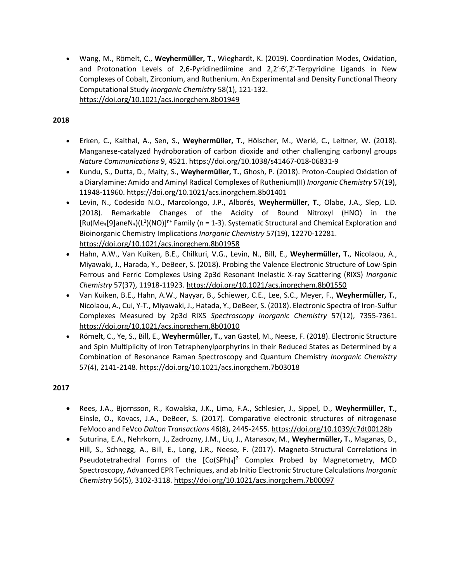• Wang, M., Römelt, C., **Weyhermüller, T.**, Wieghardt, K. (2019). Coordination Modes, Oxidation, and Protonation Levels of 2,6-Pyridinediimine and 2,2′:6′,2′́-Terpyridine Ligands in New Complexes of Cobalt, Zirconium, and Ruthenium. An Experimental and Density Functional Theory Computational Study *Inorganic Chemistry* 58(1), 121-132. <https://doi.org/10.1021/acs.inorgchem.8b01949>

### **2018**

- Erken, C., Kaithal, A., Sen, S., **Weyhermüller, T.**, Hölscher, M., Werlé, C., Leitner, W. (2018). Manganese-catalyzed hydroboration of carbon dioxide and other challenging carbonyl groups *Nature Communications* 9, 4521.<https://doi.org/10.1038/s41467-018-06831-9>
- Kundu, S., Dutta, D., Maity, S., **Weyhermüller, T.**, Ghosh, P. (2018). Proton-Coupled Oxidation of a Diarylamine: Amido and Aminyl Radical Complexes of Ruthenium(II) *Inorganic Chemistry* 57(19), 11948-11960. <https://doi.org/10.1021/acs.inorgchem.8b01401>
- Levin, N., Codesido N.O., Marcolongo, J.P., Alborés, **Weyhermüller, T.**, Olabe, J.A., Slep, L.D. (2018). Remarkable Changes of the Acidity of Bound Nitroxyl (HNO) in the  $[Ru(Me<sub>3</sub>[9]aneN<sub>3</sub>)(L<sup>2</sup>)(NO)]<sup>n+</sup> Family (n = 1-3). Systematic Structural and Chemical Exploration and$ Bioinorganic Chemistry Implications *Inorganic Chemistry* 57(19), 12270-12281. <https://doi.org/10.1021/acs.inorgchem.8b01958>
- Hahn, A.W., Van Kuiken, B.E., Chilkuri, V.G., Levin, N., Bill, E., **Weyhermüller, T.**, Nicolaou, A., Miyawaki, J., Harada, Y., DeBeer, S. (2018). Probing the Valence Electronic Structure of Low-Spin Ferrous and Ferric Complexes Using 2p3d Resonant Inelastic X-ray Scattering (RIXS) *Inorganic Chemistry* 57(37), 11918-11923[. https://doi.org/10.1021/acs.inorgchem.8b01550](https://doi.org/10.1021/acs.inorgchem.8b01550)
- Van Kuiken, B.E., Hahn, A.W., Nayyar, B., Schiewer, C.E., Lee, S.C., Meyer, F., **Weyhermüller, T.**, Nicolaou, A., Cui, Y-T., Miyawaki, J., Hatada, Y., DeBeer, S. (2018). Electronic Spectra of Iron-Sulfur Complexes Measured by 2p3d RIXS *Spectroscopy Inorganic Chemistry* 57(12), 7355-7361. <https://doi.org/10.1021/acs.inorgchem.8b01010>
- Römelt, C., Ye, S., Bill, E., **Weyhermüller, T.**, van Gastel, M., Neese, F. (2018). Electronic Structure and Spin Multiplicity of Iron Tetraphenylporphyrins in their Reduced States as Determined by a Combination of Resonance Raman Spectroscopy and Quantum Chemistry *Inorganic Chemistry* 57(4), 2141-2148.<https://doi.org/10.1021/acs.inorgchem.7b03018>

- Rees, J.A., Bjornsson, R., Kowalska, J.K., Lima, F.A., Schlesier, J., Sippel, D., **Weyhermüller, T.**, Einsle, O., Kovacs, J.A., DeBeer, S. (2017). Comparative electronic structures of nitrogenase FeMoco and FeVco *Dalton Transactions* 46(8), 2445-2455.<https://doi.org/10.1039/c7dt00128b>
- Suturina, E.A., Nehrkorn, J., Zadrozny, J.M., Liu, J., Atanasov, M., **Weyhermüller, T.**, Maganas, D., Hill, S., Schnegg, A., Bill, E., Long, J.R., Neese, F. (2017). Magneto-Structural Correlations in Pseudotetrahedral Forms of the  $[Co(SPh)_4]^2$  Complex Probed by Magnetometry, MCD Spectroscopy, Advanced EPR Techniques, and ab Initio Electronic Structure Calculations *Inorganic Chemistry* 56(5), 3102-3118.<https://doi.org/10.1021/acs.inorgchem.7b00097>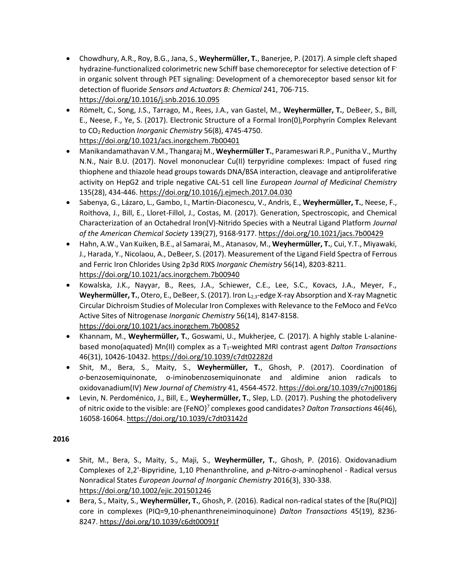- Chowdhury, A.R., Roy, B.G., Jana, S., **Weyhermüller, T.**, Banerjee, P. (2017). A simple cleft shaped hydrazine-functionalized colorimetric new Schiff base chemoreceptor for selective detection of Fin organic solvent through PET signaling: Development of a chemoreceptor based sensor kit for detection of fluoride *Sensors and Actuators B: Chemical* 241, 706-715. <https://doi.org/10.1016/j.snb.2016.10.095>
- Römelt, C., Song, J.S., Tarrago, M., Rees, J.A., van Gastel, M., **Weyhermüller, T.**, DeBeer, S., Bill, E., Neese, F., Ye, S. (2017). Electronic Structure of a Formal Iron(0),Porphyrin Complex Relevant to CO<sup>2</sup> Reduction *Inorganic Chemistry* 56(8), 4745-4750. <https://doi.org/10.1021/acs.inorgchem.7b00401>
- Manikandamathavan V.M., Thangaraj M., **Weyhermüller T.**, Parameswari R.P., Punitha V., Murthy N.N., Nair B.U. (2017). Novel mononuclear Cu(II) terpyridine complexes: Impact of fused ring thiophene and thiazole head groups towards DNA/BSA interaction, cleavage and antiproliferative activity on HepG2 and triple negative CAL-51 cell line *European Journal of Medicinal Chemistry* 135(28), 434-446.<https://doi.org/10.1016/j.ejmech.2017.04.030>
- Sabenya, G., Lázaro, L., Gambo, I., Martin-Diaconescu, V., Andris, E., **Weyhermüller, T.**, Neese, F., Roithova, J., Bill, E., Lloret-Fillol, J., Costas, M. (2017). Generation, Spectroscopic, and Chemical Characterization of an Octahedral Iron(V)-Nitrido Species with a Neutral Ligand Platform *Journal of the American Chemical Society* 139(27), 9168-9177.<https://doi.org/10.1021/jacs.7b00429>
- Hahn, A.W., Van Kuiken, B.E., al Samarai, M., Atanasov, M., **Weyhermüller, T.**, Cui, Y.T., Miyawaki, J., Harada, Y., Nicolaou, A., DeBeer, S. (2017). Measurement of the Ligand Field Spectra of Ferrous and Ferric Iron Chlorides Using 2p3d RIXS *Inorganic Chemistry* 56(14), 8203-8211. <https://doi.org/10.1021/acs.inorgchem.7b00940>
- Kowalska, J.K., Nayyar, B., Rees, J.A., Schiewer, C.E., Lee, S.C., Kovacs, J.A., Meyer, F., **Weyhermüller, T.**, Otero, E., DeBeer, S. (2017). Iron L2,3-edge X-ray Absorption and X-ray Magnetic Circular Dichroism Studies of Molecular Iron Complexes with Relevance to the FeMoco and FeVco Active Sites of Nitrogenase *Inorganic Chemistry* 56(14), 8147-8158. <https://doi.org/10.1021/acs.inorgchem.7b00852>
- Khannam, M., **Weyhermüller, T.**, Goswami, U., Mukherjee, C. (2017). A highly stable L-alaninebased mono(aquated) Mn(II) complex as a T<sub>1</sub>-weighted MRI contrast agent *Dalton Transactions* 46(31), 10426-10432[. https://doi.org/10.1039/c7dt02282d](https://doi.org/10.1039/c7dt02282d)
- Shit, M., Bera, S., Maity, S., **Weyhermüller, T.**, Ghosh, P. (2017). Coordination of *o-*benzosemiquinonate, o-iminobenzosemiquinonate and aldimine anion radicals to oxidovanadium(IV) *New Journal of Chemistry* 41, 4564-4572.<https://doi.org/10.1039/c7nj00186j>
- Levin, N. Perdoménico, J., Bill, E., **Weyhermüller, T.**, Slep, L.D. (2017). Pushing the photodelivery of nitric oxide to the visible: are {FeNO}<sup>7</sup> complexes good candidates? *Dalton Transactions* 46(46), 16058-16064[. https://doi.org/10.1039/c7dt03142d](https://doi.org/10.1039/c7dt03142d)

- Shit, M., Bera, S., Maity, S., Maji, S., **Weyhermüller, T.**, Ghosh, P. (2016). Oxidovanadium Complexes of 2,2'-Bipyridine, 1,10 Phenanthroline, and *p*-Nitro-*o*-aminophenol - Radical versus Nonradical States *European Journal of Inorganic Chemistry* 2016(3), 330-338. <https://doi.org/10.1002/ejic.201501246>
- Bera, S., Maity, S., **Weyhermüller, T.**, Ghosh, P. (2016). Radical non-radical states of the [Ru(PIQ)] core in complexes (PIQ=9,10-phenanthreneiminoquinone) *Dalton Transactions* 45(19), 8236- 8247[. https://doi.org/10.1039/c6dt00091f](https://doi.org/10.1039/c6dt00091f)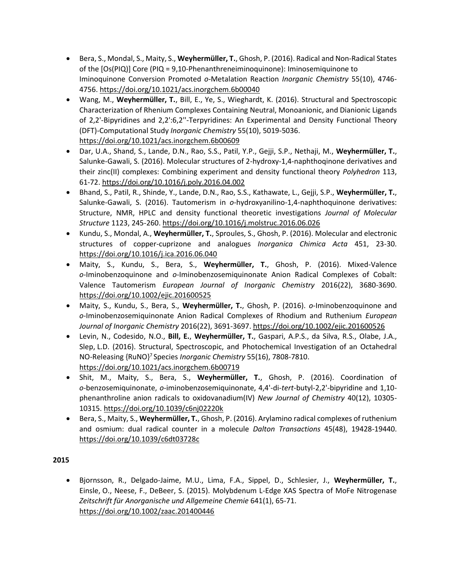- Bera, S., Mondal, S., Maity, S., **Weyhermüller, T.**, Ghosh, P. (2016). Radical and Non-Radical States of the [Os(PIQ)] Core (PIQ = 9,10-Phenanthreneiminoquinone): Iminosemiquinone to Iminoquinone Conversion Promoted *o*-Metalation Reaction *Inorganic Chemistry* 55(10), 4746- 4756[. https://doi.org/10.1021/acs.inorgchem.6b00040](https://doi.org/10.1021/acs.inorgchem.6b00040)
- Wang, M., **Weyhermüller, T.**, Bill, E., Ye, S., Wieghardt, K. (2016). Structural and Spectroscopic Characterization of Rhenium Complexes Containing Neutral, Monoanionic, and Dianionic Ligands of 2,2'-Bipyridines and 2,2':6,2''-Terpyridines: An Experimental and Density Functional Theory (DFT)-Computational Study *Inorganic Chemistry* 55(10), 5019-5036. <https://doi.org/10.1021/acs.inorgchem.6b00609>
- Dar, U.A., Shand, S., Lande, D.N., Rao, S.S., Patil, Y.P., Gejji, S.P., Nethaji, M., **Weyhermüller, T.**, Salunke-Gawali, S. (2016). Molecular structures of 2-hydroxy-1,4-naphthoqinone derivatives and their zinc(II) complexes: Combining experiment and density functional theory *Polyhedron* 113, 61-72.<https://doi.org/10.1016/j.poly.2016.04.002>
- Bhand, S., Patil, R., Shinde, Y., Lande, D.N., Rao, S.S., Kathawate, L., Gejji, S.P., **Weyhermüller, T.**, Salunke-Gawali, S. (2016). Tautomerism in *o*-hydroxyanilino-1,4-naphthoquinone derivatives: Structure, NMR, HPLC and density functional theoretic investigations *Journal of Molecular Structure* 1123, 245-260.<https://doi.org/10.1016/j.molstruc.2016.06.026>
- Kundu, S., Mondal, A., **Weyhermüller, T.**, Sproules, S., Ghosh, P. (2016). Molecular and electronic structures of copper-cuprizone and analogues *Inorganica Chimica Acta* 451, 23-30. <https://doi.org/10.1016/j.ica.2016.06.040>
- Maity, S., Kundu, S., Bera, S., **Weyhermüller, T.**, Ghosh, P. (2016). Mixed-Valence *o-*Iminobenzoquinone and *o*-Iminobenzosemiquinonate Anion Radical Complexes of Cobalt: Valence Tautomerism *European Journal of Inorganic Chemistry* 2016(22), 3680-3690. <https://doi.org/10.1002/ejic.201600525>
- Maity, S., Kundu, S., Bera, S., **Weyhermüller, T.**, Ghosh, P. (2016). *o*-Iminobenzoquinone and *o-*Iminobenzosemiquinonate Anion Radical Complexes of Rhodium and Ruthenium *European Journal of Inorganic Chemistry* 2016(22), 3691-3697[. https://doi.org/10.1002/ejic.201600526](https://doi.org/10.1002/ejic.201600526)
- Levin, N., Codesido, N.O., **Bill, E.**, **Weyhermüller, T.**, Gaspari, A.P.S., da Silva, R.S., Olabe, J.A., Slep, L.D. (2016). Structural, Spectroscopic, and Photochemical Investigation of an Octahedral NO-Releasing {RuNO}<sup>7</sup> Species *Inorganic Chemistry* 55(16), 7808-7810. <https://doi.org/10.1021/acs.inorgchem.6b00719>
- Shit, M., Maity, S., Bera, S., **Weyhermüller, T.**, Ghosh, P. (2016). Coordination of *o-*benzosemiquinonate, *o*-iminobenzosemiquinonate, 4,4'-di-*tert*-butyl-2,2'-bipyridine and 1,10 phenanthroline anion radicals to oxidovanadium(IV) *New Journal of Chemistry* 40(12), 10305- 10315.<https://doi.org/10.1039/c6nj02220k>
- Bera, S., Maity, S., **Weyhermüller, T.**, Ghosh, P. (2016). Arylamino radical complexes of ruthenium and osmium: dual radical counter in a molecule *Dalton Transactions* 45(48), 19428-19440. <https://doi.org/10.1039/c6dt03728c>

• Bjornsson, R., Delgado-Jaime, M.U., Lima, F.A., Sippel, D., Schlesier, J., **Weyhermüller, T.**, Einsle, O., Neese, F., DeBeer, S. (2015). Molybdenum L-Edge XAS Spectra of MoFe Nitrogenase *Zeitschrift für Anorganische und Allgemeine Chemie* 641(1), 65-71. <https://doi.org/10.1002/zaac.201400446>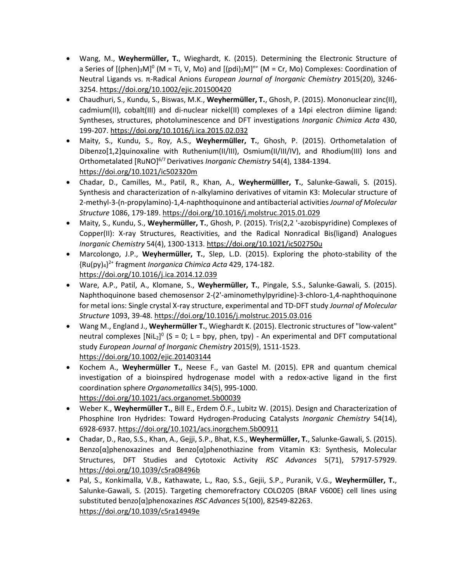- Wang, M., **Weyhermüller, T.**, Wieghardt, K. (2015). Determining the Electronic Structure of a Series of [(phen)<sub>3</sub>M]<sup>0</sup> (M = Ti, V, Mo) and [(pdi)<sub>2</sub>M]<sup>n+</sup> (M = Cr, Mo) Complexes: Coordination of Neutral Ligands vs. π-Radical Anions *European Journal of Inorganic Chemistry* 2015(20), 3246- 3254[. https://doi.org/10.1002/ejic.201500420](https://doi.org/10.1002/ejic.201500420)
- Chaudhuri, S., Kundu, S., Biswas, M.K., **Weyhermüller, T.**, Ghosh, P. (2015). Mononuclear zinc(II), cadmium(II), cobalt(III) and di-nuclear nickel(II) complexes of a 14pi electron diimine ligand: Syntheses, structures, photoluminescence and DFT investigations *Inorganic Chimica Acta* 430, 199-207.<https://doi.org/10.1016/j.ica.2015.02.032>
- Maity, S., Kundu, S., Roy, A.S., **Weyhermüller, T.**, Ghosh, P. (2015). Orthometalation of Dibenzo[1,2]quinoxaline with Ruthenium(II/III), Osmium(II/III/IV), and Rhodium(III) lons and Orthometalated [RuNO]<sup>6/7</sup> Derivatives *Inorganic Chemistry* 54(4), 1384-1394. <https://doi.org/10.1021/ic502320m>
- Chadar, D., Camilles, M., Patil, R., Khan, A., **Weyhermülller, T.**, Salunke-Gawali, S. (2015). Synthesis and characterization of n-alkylamino derivatives of vitamin K3: Molecular structure of 2-methyl-3-(n-propylamino)-1,4-naphthoquinone and antibacterial activities *Journal of Molecular Structure* 1086, 179-189.<https://doi.org/10.1016/j.molstruc.2015.01.029>
- Maity, S., Kundu, S., **Weyhermüller, T.**, Ghosh, P. (2015). Tris(2,2 '-azobispyridine) Complexes of Copper(II): X-ray Structures, Reactivities, and the Radical Nonradical Bis(ligand) Analogues *Inorganic Chemistry* 54(4), 1300-1313.<https://doi.org/10.1021/ic502750u>
- Marcolongo, J.P., **Weyhermüller, T.**, Slep, L.D. (2015). Exploring the photo-stability of the {Ru(py)4} 2+ fragment *Inorganica Chimica Acta* 429, 174-182. <https://doi.org/10.1016/j.ica.2014.12.039>
- Ware, A.P., Patil, A., Klomane, S., **Weyhermüller, T.**, Pingale, S.S., Salunke-Gawali, S. (2015). Naphthoquinone based chemosensor 2-(2'-aminomethylpyridine)-3-chloro-1,4-naphthoquinone for metal ions: Single crystal X-ray structure, experimental and TD-DFT study *Journal of Molecular Structure* 1093, 39-48. <https://doi.org/10.1016/j.molstruc.2015.03.016>
- Wang M., England J., **Weyhermüller T.**, Wieghardt K. (2015). Electronic structures of "low-valent" neutral complexes  $[NiL_2]^0$  (S = 0; L = bpy, phen, tpy) - An experimental and DFT computational study *European Journal of Inorganic Chemistry* 2015(9), 1511-1523. <https://doi.org/10.1002/ejic.201403144>
- Kochem A., **Weyhermüller T.**, Neese F., van Gastel M. (2015). EPR and quantum chemical investigation of a bioinspired hydrogenase model with a redox-active ligand in the first coordination sphere *Organometallics* 34(5), 995-1000. <https://doi.org/10.1021/acs.organomet.5b00039>
- Weber K., **Weyhermüller T.**, Bill E., Erdem Ö.F., Lubitz W. (2015). Design and Characterization of Phosphine Iron Hydrides: Toward Hydrogen-Producing Catalysts *Inorganic Chemistry* 54(14), 6928-6937.<https://doi.org/10.1021/acs.inorgchem.5b00911>
- Chadar, D., Rao, S.S., Khan, A., Gejji, S.P., Bhat, K.S., **Weyhermüller, T.**, Salunke-Gawali, S. (2015). Benzo[α]phenoxazines and Benzo[α]phenothiazine from Vitamin K3: Synthesis, Molecular Structures, DFT Studies and Cytotoxic Activity *RSC Advances* 5(71), 57917-57929. <https://doi.org/10.1039/c5ra08496b>
- Pal, S., Konkimalla, V.B., Kathawate, L., Rao, S.S., Gejii, S.P., Puranik, V.G., **Weyhermüller, T.**, Salunke-Gawali, S. (2015). Targeting chemorefractory COLO205 (BRAF V600E) cell lines using substituted benzo[α]phenoxazines *RSC Advances* 5(100), 82549-82263. <https://doi.org/10.1039/c5ra14949e>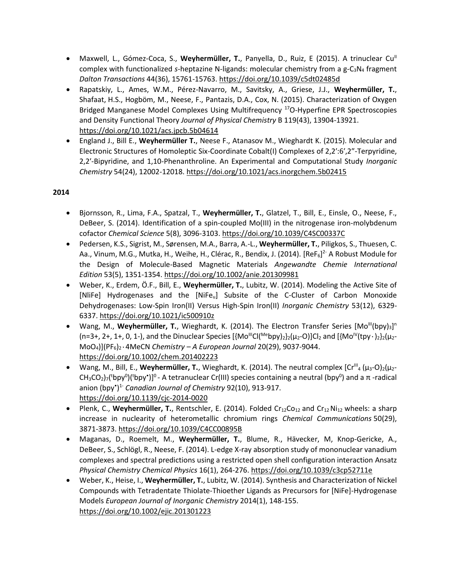- Maxwell, L., Gómez-Coca, S., Weyhermüller, T., Panyella, D., Ruiz, E (2015). A trinuclear Cu<sup>II</sup> complex with functionalized *s*-heptazine N-ligands: molecular chemistry from a g-C<sub>3</sub>N<sub>4</sub> fragment *Dalton Transactions* 44(36), 15761-15763.<https://doi.org/10.1039/c5dt02485d>
- Rapatskiy, L., Ames, W.M., Pérez-Navarro, M., Savitsky, A., Griese, J.J., **Weyhermüller, T.**, Shafaat, H.S., Hogböm, M., Neese, F., Pantazis, D.A., Cox, N. (2015). Characterization of Oxygen Bridged Manganese Model Complexes Using Multifrequency <sup>17</sup>O-Hyperfine EPR Spectroscopies and Density Functional Theory *Journal of Physical Chemistry* B 119(43), 13904-13921. <https://doi.org/10.1021/acs.jpcb.5b04614>
- England J., Bill E., **Weyhermüller T.**, Neese F., Atanasov M., Wieghardt K. (2015). Molecular and Electronic Structures of Homoleptic Six-Coordinate Cobalt(I) Complexes of 2,2′:6′,2″-Terpyridine, 2,2′-Bipyridine, and 1,10-Phenanthroline. An Experimental and Computational Study *Inorganic Chemistry* 54(24), 12002-12018[. https://doi.org/10.1021/acs.inorgchem.5b02415](https://doi.org/10.1021/acs.inorgchem.5b02415)

- Bjornsson, R., Lima, F.A., Spatzal, T., **Weyhermüller, T.**, Glatzel, T., Bill, E., Einsle, O., Neese, F., DeBeer, S. (2014). Identification of a spin-coupled Mo(III) in the nitrogenase iron-molybdenum cofactor *Chemical Science* 5(8), 3096-3103.<https://doi.org/10.1039/C4SC00337C>
- Pedersen, K.S., Sigrist, M., Sørensen, M.A., Barra, A.-L., **Weyhermüller, T.**, Piligkos, S., Thuesen, C. Aa., Vinum, M.G., Mutka, H., Weihe, H., Clérac, R., Bendix, J. (2014). [ReF<sub>6</sub>]<sup>2-</sup> A Robust Module for the Design of Molecule-Based Magnetic Materials *Angewandte Chemie International Edition* 53(5), 1351-1354[. https://doi.org/10.1002/anie.201309981](https://doi.org/10.1002/anie.201309981)
- Weber, K., Erdem, Ö.F., Bill, E., **Weyhermüller, T.**, Lubitz, W. (2014). Modeling the Active Site of [NliFe] Hydrogenases and the [NiFe<sub>u</sub>] Subsite of the C-Cluster of Carbon Monoxide Dehydrogenases: Low-Spin Iron(II) Versus High-Spin Iron(II) *Inorganic Chemistry* 53(12), 6329- 6337[. https://doi.org/10.1021/ic500910z](https://doi.org/10.1021/ic500910z)
- Wang, M., Weyhermüller, T., Wieghardt, K. (2014). The Electron Transfer Series [Mo<sup>III</sup>(bpy)<sub>3</sub>]<sup>n</sup>  $(n=3+, 2+, 1+, 0, 1-)$ , and the Dinuclear Species  $\frac{1}{2}M_0^{\text{III}}Cl(M^{\text{e}}bpy)_2\frac{1}{2}(\mu_2-Q)Cl_2$  and  $\frac{1}{2}M_0^{\text{III}}(tpy \cdot)_2\frac{1}{2}(\mu_2-Q)Cl_2$ MoO4)](PF6)2٠4MeCN *Chemistry – A European Journal* 20(29), 9037-9044. <https://doi.org/10.1002/chem.201402223>
- Wang, M., Bill, E., **Weyhermüller, T.**, Wieghardt, K. (2014). The neutral complex [Cr<sup>III</sup><sub>4</sub> (μ<sub>3</sub>-O)<sub>2</sub>(μ<sub>2</sub>-CH<sub>3</sub>CO<sub>2</sub>)<sub>7</sub>(<sup>t</sup>bpy<sup>0</sup>)(<sup>t</sup>bpy<sup>•</sup>)]<sup>0</sup> - A tetranuclear Cr(III) species containing a neutral (bpy<sup>0</sup>) and a π -radical anion (bpy• ) 1- *Canadian Journal of Chemistry* 92(10), 913-917. <https://doi.org/10.1139/cjc-2014-0020>
- Plenk, C., Weyhermüller, T., Rentschler, E. (2014). Folded Cr<sub>12</sub>Co<sub>12</sub> and Cr<sub>12</sub>Ni<sub>12</sub> wheels: a sharp increase in nuclearity of heterometallic chromium rings *Chemical Communications* 50(29), 3871-3873.<https://doi.org/10.1039/C4CC00895B>
- Maganas, D., Roemelt, M., **Weyhermüller, T.**, Blume, R., Hävecker, M, Knop-Gericke, A., DeBeer, S., Schlögl, R., Neese, F. (2014). L-edge X-ray absorption study of mononuclear vanadium complexes and spectral predictions using a restricted open shell configuration interaction Ansatz *Physical Chemistry Chemical Physics* 16(1), 264-276[. https://doi.org/10.1039/c3cp52711e](https://doi.org/10.1039/c3cp52711e)
- Weber, K., Heise, I., **Weyhermüller, T.**, Lubitz, W. (2014). Synthesis and Characterization of Nickel Compounds with Tetradentate Thiolate-Thioether Ligands as Precursors for [NiFe]-Hydrogenase Models *European Journal of Inorganic Chemistry* 2014(1), 148-155. <https://doi.org/10.1002/ejic.201301223>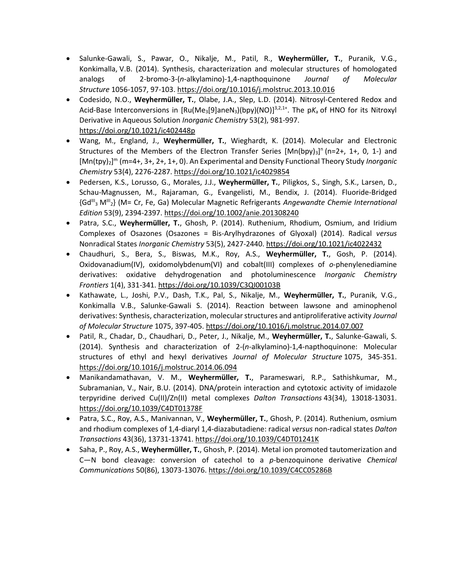- Salunke-Gawali, S., Pawar, O., Nikalje, M., Patil, R., **Weyhermüller, T.**, Puranik, V.G., Konkimalla, V.B. (2014). Synthesis, characterization and molecular structures of homologated analogs of 2-bromo-3-(*n*-alkylamino)-1,4-napthoquinone *Journal of Molecular Structure* 1056-1057, 97-103.<https://doi.org/10.1016/j.molstruc.2013.10.016>
- Codesido, N.O., **Weyhermüller, T.**, Olabe, J.A., Slep, L.D. (2014). Nitrosyl-Centered Redox and Acid-Base Interconversions in [Ru(Me<sub>3</sub>[9]aneN<sub>3</sub>)(bpy)(NO)]<sup>3,2,1+</sup>. The pK<sub>a</sub> of HNO for its Nitroxyl Derivative in Aqueous Solution *Inorganic Chemistry* 53(2), 981-997. <https://doi.org/10.1021/ic402448p>
- Wang, M., England, J., **Weyhermüller, T.**, Wieghardt, K. (2014). Molecular and Electronic Structures of the Members of the Electron Transfer Series [Mn(bpy)<sub>3</sub>]<sup>n</sup> (n=2+, 1+, 0, 1-) and [Mn(tpy)2] <sup>m</sup> (m=4+, 3+, 2+, 1+, 0). An Experimental and Density Functional Theory Study *Inorganic Chemistry* 53(4), 2276-2287.<https://doi.org/10.1021/ic4029854>
- Pedersen, K.S., Lorusso, G., Morales, J.J., **Weyhermüller, T.**, Piligkos, S., Singh, S.K., Larsen, D., Schau-Magnussen, M., Rajaraman, G., Evangelisti, M., Bendix, J. (2014). Fluoride-Bridged {GdIII <sup>3</sup> MIII <sup>2</sup>} (M= Cr, Fe, Ga) Molecular Magnetic Refrigerants *Angewandte Chemie International Edition* 53(9), 2394-2397[. https://doi.org/10.1002/anie.201308240](https://doi.org/10.1002/anie.201308240)
- Patra, S.C., **Weyhermüller, T.**, Ghosh, P. (2014). Ruthenium, Rhodium, Osmium, and Iridium Complexes of Osazones (Osazones = Bis-Arylhydrazones of Glyoxal) (2014). Radical *versus* Nonradical States *Inorganic Chemistry* 53(5), 2427-2440.<https://doi.org/10.1021/ic4022432>
- Chaudhuri, S., Bera, S., Biswas, M.K., Roy, A.S., **Weyhermüller, T.**, Gosh, P. (2014). Oxidovanadium(IV), oxidomolybdenum(VI) and cobalt(III) complexes of *o*-phenylenediamine derivatives: oxidative dehydrogenation and photoluminescence *Inorganic Chemistry Frontiers* 1(4), 331-341.<https://doi.org/10.1039/C3QI00103B>
- Kathawate, L., Joshi, P.V., Dash, T.K., Pal, S., Nikalje, M., **Weyhermüller, T.**, Puranik, V.G., Konkimalla V.B., Salunke-Gawali S. (2014). Reaction between lawsone and aminophenol derivatives: Synthesis, characterization, molecular structures and antiproliferative activity *Journal of Molecular Structure* 1075, 397-405.<https://doi.org/10.1016/j.molstruc.2014.07.007>
- Patil, R., Chadar, D., Chaudhari, D., Peter, J., Nikalje, M., **Weyhermüller, T.**, Salunke-Gawali, S. (2014). Synthesis and characterization of 2-(*n*-alkylamino)-1,4-napthoquinone: Molecular structures of ethyl and hexyl derivatives *Journal of Molecular Structure* 1075, 345-351. <https://doi.org/10.1016/j.molstruc.2014.06.094>
- Manikandamathavan, V. M., **Weyhermüller, T.**, Parameswari, R.P., Sathishkumar, M., Subramanian, V., Nair, B.U. (2014). DNA/protein interaction and cytotoxic activity of imidazole terpyridine derived Cu(II)/Zn(II) metal complexes *Dalton Transactions* 43(34), 13018-13031. <https://doi.org/10.1039/C4DT01378F>
- Patra, S.C., Roy, A.S., Manivannan, V., **Weyhermüller, T.**, Ghosh, P. (2014). Ruthenium, osmium and rhodium complexes of 1,4-diaryl 1,4-diazabutadiene: radical *versus* non-radical states *Dalton Transactions* 43(36), 13731-13741.<https://doi.org/10.1039/C4DT01241K>
- Saha, P., Roy, A.S., **Weyhermüller, T.**, Ghosh, P. (2014). Metal ion promoted tautomerization and C—N bond cleavage: conversion of catechol to a *p*-benzoquinone derivative *Chemical Communications* 50(86), 13073-13076. <https://doi.org/10.1039/C4CC05286B>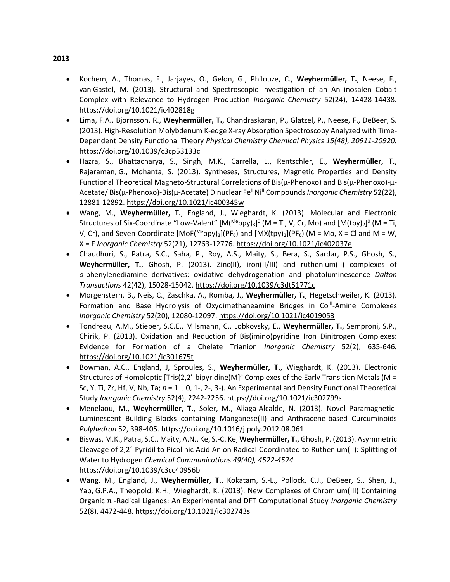- Kochem, A., Thomas, F., Jarjayes, O., Gelon, G., Philouze, C., **Weyhermüller, T.**, Neese, F., van Gastel, M. (2013). Structural and Spectroscopic Investigation of an Anilinosalen Cobalt Complex with Relevance to Hydrogen Production *Inorganic Chemistry* 52(24), 14428-14438. <https://doi.org/10.1021/ic402818g>
- Lima, F.A., Bjornsson, R., **Weyhermüller, T.**, Chandraskaran, P., Glatzel, P., Neese, F., DeBeer, S. (2013). High-Resolution Molybdenum K-edge X-ray Absorption Spectroscopy Analyzed with Time-Dependent Density Functional Theory *Physical Chemistry Chemical Physics 15(48), 20911-20920.*  <https://doi.org/10.1039/c3cp53133c>
- Hazra, S., Bhattacharya, S., Singh, M.K., Carrella, L., Rentschler, E., **Weyhermüller, T.**, Rajaraman, G., Mohanta, S. (2013). Syntheses, Structures, Magnetic Properties and Density Functional Theoretical Magneto-Structural Correlations of Bis(μ-Phenoxo) and Bis(μ-Phenoxo)-μ-Acetate/Bis(μ-Phenoxo)-Bis(μ-Acetate) Dinuclear Fe<sup>ll|</sup>Ni<sup>||</sup> Compounds *Inorganic Chemistry* 52(22), 12881-12892. <https://doi.org/10.1021/ic400345w>
- Wang, M., **Weyhermüller, T.**, England, J., Wieghardt, K. (2013). Molecular and Electronic Structures of Six-Coordinate "Low-Valent" [M(<sup>Me</sup>bpy)<sub>3</sub>]<sup>0</sup> (M = Ti, V, Cr, Mo) and [M(tpy)<sub>2</sub>]<sup>0</sup> (M = Ti, V, Cr), and Seven-Coordinate  $[MOF(^{Me}by)_3](PF_6)$  and  $[MX(tpy)_2](PF_6)$  (M = Mo, X = Cl and M = W, X = F *Inorganic Chemistry* 52(21), 12763-12776. <https://doi.org/10.1021/ic402037e>
- Chaudhuri, S., Patra, S.C., Saha, P., Roy, A.S., Maity, S., Bera, S., Sardar, P.S., Ghosh, S., **Weyhermüller, T.**, Ghosh, P. (2013). Zinc(II), iron(II/III) and ruthenium(II) complexes of *o*-phenylenediamine derivatives: oxidative dehydrogenation and photoluminescence *Dalton Transactions* 42(42), 15028-15042.<https://doi.org/10.1039/c3dt51771c>
- Morgenstern, B., Neis, C., Zaschka, A., Romba, J., **Weyhermüller, T.**, Hegetschweiler, K. (2013). Formation and Base Hydrolysis of Oxydimethaneamine Bridges in Co<sup>ll-</sup>Amine Complexes *Inorganic Chemistry* 52(20), 12080-12097.<https://doi.org/10.1021/ic4019053>
- Tondreau, A.M., Stieber, S.C.E., Milsmann, C., Lobkovsky, E., **Weyhermüller, T.**, Semproni, S.P., Chirik, P. (2013). Oxidation and Reduction of Bis(imino)pyridine Iron Dinitrogen Complexes: Evidence for Formation of a Chelate Trianion *Inorganic Chemistry* 52(2), 635-646*.* <https://doi.org/10.1021/ic301675t>
- Bowman, A.C., England, J, Sproules, S., **Weyhermüller, T.**, Wieghardt, K. (2013). Electronic Structures of Homoleptic [Tris(2,2'-bipyridine)M]*<sup>n</sup>* Complexes of the Early Transition Metals (M = Sc, Y, Ti, Zr, Hf, V, Nb, Ta; *n* = 1+, 0, 1-, 2-, 3-). An Experimental and Density Functional Theoretical Study *Inorganic Chemistry* 52(4), 2242-2256.<https://doi.org/10.1021/ic302799s>
- Menelaou, M., **Weyhermüller, T.**, Soler, M., Aliaga-Alcalde, N. (2013). Novel Paramagnetic-Luminescent Building Blocks containing Manganese(II) and Anthracene-based Curcuminoids *Polyhedron* 52, 398-405.<https://doi.org/10.1016/j.poly.2012.08.061>
- Biswas, M.K., Patra, S.C., Maity, A.N., Ke, S.-C. Ke, **Weyhermüller, T.**, Ghosh, P. (2013). Asymmetric Cleavage of 2,2´-Pyridil to Picolinic Acid Anion Radical Coordinated to Ruthenium(II): Splitting of Water to Hydrogen *Chemical Communications 49(40), 4522-4524.*  <https://doi.org/10.1039/c3cc40956b>
- Wang, M., England, J., **Weyhermüller, T.**, Kokatam, S.-L., Pollock, C.J., DeBeer, S., Shen, J., Yap, G.P.A., Theopold, K.H., Wieghardt, K. (2013). New Complexes of Chromium(III) Containing Organic π -Radical Ligands: An Experimental and DFT Computational Study *Inorganic Chemistry* 52(8), 4472-448. <https://doi.org/10.1021/ic302743s>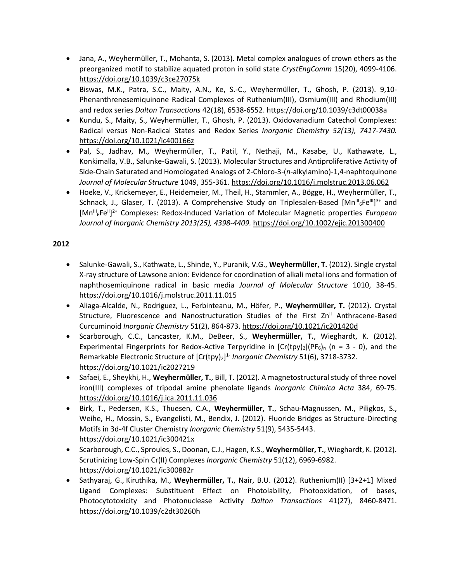- Jana, A., Weyhermüller, T., Mohanta, S. (2013). Metal complex analogues of crown ethers as the preorganized motif to stabilize aquated proton in solid state *CrystEngComm* 15(20), 4099-4106. <https://doi.org/10.1039/c3ce27075k>
- Biswas, M.K., Patra, S.C., Maity, A.N., Ke, S.-C., Weyhermüller, T., Ghosh, P. (2013). 9,10- Phenanthrenesemiquinone Radical Complexes of Ruthenium(III), Osmium(III) and Rhodium(III) and redox series *Dalton Transactions* 42(18), 6538-6552.<https://doi.org/10.1039/c3dt00038a>
- Kundu, S., Maity, S., Weyhermüller, T., Ghosh, P. (2013). Oxidovanadium Catechol Complexes: Radical versus Non-Radical States and Redox Series *Inorganic Chemistry 52(13), 7417-7430.*  <https://doi.org/10.1021/ic400166z>
- Pal, S., Jadhav, M., Weyhermüller, T., Patil, Y., Nethaji, M., Kasabe, U., Kathawate, L., Konkimalla, V.B., Salunke-Gawali, S. (2013). Molecular Structures and Antiproliferative Activity of Side-Chain Saturated and Homologated Analogs of 2-Chloro-3-(*n*-alkylamino)-1,4-naphtoquinone *Journal of Molecular Structure* 1049, 355-361.<https://doi.org/10.1016/j.molstruc.2013.06.062>
- Hoeke, V., Krickemeyer, E., Heidemeier, M., Theil, H., Stammler, A., Bögge, H., Weyhermüller, T., Schnack, J., Glaser, T. (2013). A Comprehensive Study on Triplesalen-Based [Mn<sup>ill</sup><sub>6</sub>Fe<sup>ill</sup>]<sup>3+</sup> and [Mn<sup>III</sup><sub>6</sub>Fe<sup>II</sup>]<sup>2+</sup> Complexes: Redox-Induced Variation of Molecular Magnetic properties *European Journal of Inorganic Chemistry 2013(25), 4398-4409.* <https://doi.org/10.1002/ejic.201300400>

- Salunke-Gawali, S., Kathwate, L., Shinde, Y., Puranik, V.G., **Weyhermüller, T.** (2012). Single crystal X-ray structure of Lawsone anion: Evidence for coordination of alkali metal ions and formation of naphthosemiquinone radical in basic media *Journal of Molecular Structure* 1010, 38-45. <https://doi.org/10.1016/j.molstruc.2011.11.015>
- Aliaga-Alcalde, N., Rodriguez, L., Ferbinteanu, M., Höfer, P., **Weyhermüller, T.** (2012). Crystal Structure, Fluorescence and Nanostructuration Studies of the First Zn<sup>II</sup> Anthracene-Based Curcuminoid *Inorganic Chemistry* 51(2), 864-873[. https://doi.org/10.1021/ic201420d](https://doi.org/10.1021/ic201420d)
- Scarborough, C.C., Lancaster, K.M., DeBeer, S., **Weyhermüller, T.**, Wieghardt, K. (2012). Experimental Fingerprints for Redox-Active Terpyridine in  $[Cr(tpy)_2](PF_6)$ <sub>n</sub> (n = 3 - 0), and the Remarkable Electronic Structure of [Cr(tpy)2] 1- *Inorganic Chemistry* 51(6), 3718-3732. <https://doi.org/10.1021/ic2027219>
- Safaei, E., Sheykhi, H., **Weyhermüller, T.**, Bill, T. (2012). A magnetostructural study of three novel iron(III) complexes of tripodal amine phenolate ligands *Inorganic Chimica Acta* 384, 69-75. <https://doi.org/10.1016/j.ica.2011.11.036>
- Birk, T., Pedersen, K.S., Thuesen, C.A., **Weyhermüller, T.**, Schau-Magnussen, M., Piligkos, S., Weihe, H., Mossin, S., Evangelisti, M., Bendix, J. (2012). Fluoride Bridges as Structure-Directing Motifs in 3d-4f Cluster Chemistry *Inorganic Chemistry* 51(9), 5435-5443. <https://doi.org/10.1021/ic300421x>
- Scarborough, C.C., Sproules, S., Doonan, C.J., Hagen, K.S., **Weyhermüller, T.**, Wieghardt, K. (2012). Scrutinizing Low-Spin Cr(II) Complexes *Inorganic Chemistry* 51(12), 6969-6982. <https://doi.org/10.1021/ic300882r>
- Sathyaraj, G., Kiruthika, M., **Weyhermüller, T.**, Nair, B.U. (2012). Ruthenium(II) [3+2+1] Mixed Ligand Complexes: Substituent Effect on Photolability, Photooxidation, of bases, Photocytotoxicity and Photonuclease Activity *Dalton Transactions* 41(27), 8460-8471. <https://doi.org/10.1039/c2dt30260h>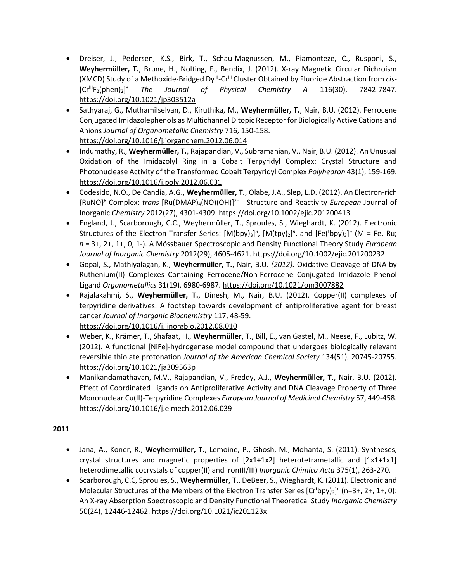- Dreiser, J., Pedersen, K.S., Birk, T., Schau-Magnussen, M., Piamonteze, C., Rusponi, S., **Weyhermüller, T.**, Brune, H., Nolting, F., Bendix, J. (2012). X-ray Magnetic Circular Dichroism (XMCD) Study of a Methoxide-Bridged Dy<sup>III</sup>-Cr<sup>III</sup> Cluster Obtained by Fluoride Abstraction from *cis*- $[Cr^{\text{III}}F_2(\text{phen})_2]^+$ <sup>+</sup> *The Journal of Physical Chemistry A* 116(30), 7842-7847. <https://doi.org/10.1021/jp303512a>
- Sathyaraj, G., Muthamilselvan, D., Kiruthika, M., **Weyhermüller, T.**, Nair, B.U. (2012). Ferrocene Conjugated Imidazolephenols as Multichannel Ditopic Receptor for Biologically Active Cations and Anions *Journal of Organometallic Chemistry* 716, 150-158. <https://doi.org/10.1016/j.jorganchem.2012.06.014>
- Indumathy, R., **Weyhermüller, T.**, Rajapandian, V., Subramanian, V., Nair, B.U. (2012). An Unusual Oxidation of the Imidazolyl Ring in a Cobalt Terpyridyl Complex: Crystal Structure and Photonuclease Activity of the Transformed Cobalt Terpyridyl Complex *Polyhedron* 43(1), 159-169. <https://doi.org/10.1016/j.poly.2012.06.031>
- Codesido, N.O., De Candia, A.G., **Weyhermüller, T.**, Olabe, J.A., Slep, L.D. (2012). An Electron-rich {RuNO}<sup>6</sup> Complex: *trans*-[Ru(DMAP)4(NO)(OH)]2+ - Structure and Reactivity *European* Journal of Inorganic *Chemistry* 2012(27), 4301-4309[. https://doi.org/10.1002/ejic.201200413](https://doi.org/10.1002/ejic.201200413)
- England, J., Scarborough, C.C., Weyhermüller, T., Sproules, S., Wieghardt, K. (2012). Electronic Structures of the Electron Transfer Series: [M(bpy)<sub>3</sub>]<sup>n</sup>, [M(tpy)<sub>2</sub>]<sup>n</sup>, and [Fe(<sup>t</sup>bpy)<sub>3</sub>]<sup>n</sup> (M = Fe, Ru; *n* = 3+, 2+, 1+, 0, 1-). A Mössbauer Spectroscopic and Density Functional Theory Study *European Journal of Inorganic Chemistry* 2012(29), 4605-4621[. https://doi.org/10.1002/ejic.201200232](https://doi.org/10.1002/ejic.201200232)
- Gopal, S., Mathiyalagan, K., **Weyhermüller, T.**, Nair, B.U. *(2012).* Oxidative Cleavage of DNA by Ruthenium(II) Complexes Containing Ferrocene/Non-Ferrocene Conjugated Imidazole Phenol Ligand *Organometallics* 31(19), 6980-6987.<https://doi.org/10.1021/om3007882>
- Rajalakahmi, S., **Weyhermüller, T.**, Dinesh, M., Nair, B.U. (2012). [Copper\(II\) complexes of](http://www.scopus.com/record/display.url?eid=2-s2.0-84867384233&origin=resultslist&sort=plf-f&src=s&st1=Weyherm%c3%bcller&st2=Weyhermuller&searchTerms=%3f%21%22*%24&sid=DF6220DE4BD03A70A9AAFF9A3D550274.WeLimyRvBMk2ky9SFKc8Q%3a20&sot=b&sdt=b&sl=105&s=%28AUTHOR-NAME%28Weyherm%c3%bcller%29+OR+AUTHOR-NAME%28Weyhermuller%29+OR+AUTHOR-NAME%28Weyhermueller%29%29+AND+PUBYEAR+%3e+2011&relpos=0&relpos=0&searchTerm=%28AUTHOR-NAME%28Weyherm%C3%BCller%29+OR+AUTHOR-NAME%28Weyhermuller%29+OR+AUTHOR-NAME%28Weyhermueller%29%29+AND+PUBYEAR+%26gt%3B+2011)  [terpyridine derivatives: A footstep towards development of antiproliferative agent for breast](http://www.scopus.com/record/display.url?eid=2-s2.0-84867384233&origin=resultslist&sort=plf-f&src=s&st1=Weyherm%c3%bcller&st2=Weyhermuller&searchTerms=%3f%21%22*%24&sid=DF6220DE4BD03A70A9AAFF9A3D550274.WeLimyRvBMk2ky9SFKc8Q%3a20&sot=b&sdt=b&sl=105&s=%28AUTHOR-NAME%28Weyherm%c3%bcller%29+OR+AUTHOR-NAME%28Weyhermuller%29+OR+AUTHOR-NAME%28Weyhermueller%29%29+AND+PUBYEAR+%3e+2011&relpos=0&relpos=0&searchTerm=%28AUTHOR-NAME%28Weyherm%C3%BCller%29+OR+AUTHOR-NAME%28Weyhermuller%29+OR+AUTHOR-NAME%28Weyhermueller%29%29+AND+PUBYEAR+%26gt%3B+2011)  [cancer](http://www.scopus.com/record/display.url?eid=2-s2.0-84867384233&origin=resultslist&sort=plf-f&src=s&st1=Weyherm%c3%bcller&st2=Weyhermuller&searchTerms=%3f%21%22*%24&sid=DF6220DE4BD03A70A9AAFF9A3D550274.WeLimyRvBMk2ky9SFKc8Q%3a20&sot=b&sdt=b&sl=105&s=%28AUTHOR-NAME%28Weyherm%c3%bcller%29+OR+AUTHOR-NAME%28Weyhermuller%29+OR+AUTHOR-NAME%28Weyhermueller%29%29+AND+PUBYEAR+%3e+2011&relpos=0&relpos=0&searchTerm=%28AUTHOR-NAME%28Weyherm%C3%BCller%29+OR+AUTHOR-NAME%28Weyhermuller%29+OR+AUTHOR-NAME%28Weyhermueller%29%29+AND+PUBYEAR+%26gt%3B+2011) *Journal of Inorganic Biochemistry* 117, 48-59. <https://doi.org/10.1016/j.jinorgbio.2012.08.010>
- Weber, K., Krämer, T., Shafaat, H., **Weyhermüller, T.**, Bill, E., van Gastel, M., Neese, F., Lubitz, W. (2012). A functional [NiFe]-hydrogenase model compound that undergoes biologically relevant reversible thiolate protonation *Journal of the American Chemical Society* 134(51), 20745-20755. <https://doi.org/10.1021/ja309563p>
- Manikandamathavan, M.V., Rajapandian, V., Freddy, A.J., **Weyhermüller, T.**, Nair, B.U. (2012). Effect of Coordinated Ligands on Antiproliferative Activity and DNA Cleavage Property of Three Mononuclear Cu(II)-Terpyridine Complexes *European Journal of Medicinal Chemistry* 57, 449-458. <https://doi.org/10.1016/j.ejmech.2012.06.039>

- Jana, A., Koner, R., **Weyhermüller, T.**, Lemoine, P., Ghosh, M., Mohanta, S. (2011). Syntheses, crystal structures and magnetic properties of [2x1+1x2] heterotetrametallic and [1x1+1x1] heterodimetallic cocrystals of copper(II) and iron(II/III) *Inorganic Chimica Acta* 375(1), 263-270.
- Scarborough, C.C, Sproules, S., **Weyhermüller, T.**, DeBeer, S., Wieghardt, K. (2011). Electronic and Molecular Structures of the Members of the Electron Transfer Series  $[Cr<sup>t</sup>bpy]_3]$ <sup>n</sup> (n=3+, 2+, 1+, 0): An X-ray Absorption Spectroscopic and Density Functional Theoretical Study *Inorganic Chemistry*  50(24), 12446-12462[. https://doi.org/10.1021/ic201123x](https://doi.org/10.1021/ic201123x)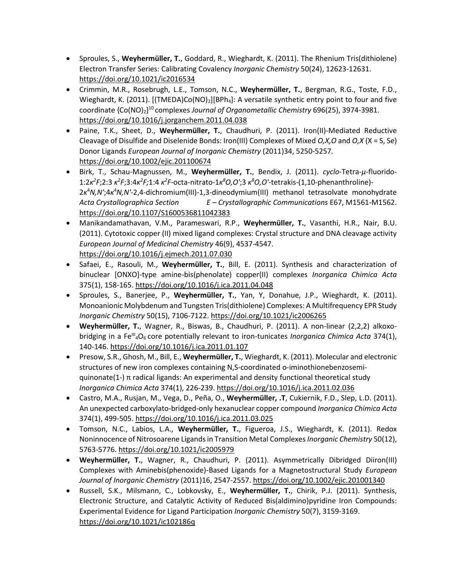- Sproules, S., **Weyhermüller, T.**, Goddard, R., Wieghardt, K. (2011). The Rhenium Tris(dithiolene) Electron Transfer Series: Calibrating Covalency *Inorganic Chemistry* 50(24), 12623-12631. <https://doi.org/10.1021/ic2016534>
- Crimmin, M.R., Rosebrugh, L.E., Tomson, N.C., **Weyhermüller, T.**, Bergman, R.G., Toste, F.D., Wieghardt, K. (2011). [(TMEDA)Co(NO)<sub>2</sub>][BPh<sub>4</sub>]: A versatile synthetic entry point to four and five coordinate {Co(NO)2} <sup>10</sup> complexes *Journal of Organometallic Chemistry* 696(25), 3974-3981. <https://doi.org/10.1016/j.jorganchem.2011.04.038>
- Paine, T.K., Sheet, D., **Weyhermüller, T.**, Chaudhuri, P. (2011). Iron(II)-Mediated Reductive Cleavage of Disulfide and Diselenide Bonds: Iron(III) Complexes of Mixed *O,X,O* and *O,X* (X = S, Se) Donor Ligands *European Journal of Inorganic Chemistry* (2011)34, 5250-5257. <https://doi.org/10.1002/ejic.201100674>
- Birk, T., Schau-Magnussen, M., **Weyhermüller, T.**, Bendix, J. (2011). *cyclo*-Tetra-*μ*-fluorido- $1:2\kappa^2 F;2:3\kappa^2 F;3:4\kappa^2 F;1:4\kappa^2 F$ -octa-nitrato-1 $\kappa^8 O, O';3\kappa^8 O, O'$ -tetrakis-(1,10-phenanthroline)-2*κ* <sup>4</sup>*N,N'*;4*κ* <sup>4</sup>*N,N'*-2,4-dichromium(III)-1,3-dineodymium(III) methanol tetrasolvate monohydrate *Acta Crystallographica Section E – Crystallographic Communications* E67, M1561-M1562. <https://doi.org/10.1107/S1600536811042383>
- Manikandamathavan, V.M., Parameswari, R.P., **Weyhermüller, T.**, Vasanthi, H.R., Nair, B.U. (2011). Cytotoxic copper (II) mixed ligand complexes: Crystal structure and DNA cleavage activity *European Journal of Medicinal Chemistry* 46(9), 4537-4547. <https://doi.org/10.1016/j.ejmech.2011.07.030>
- Safaei, E., Rasouli, M., **Weyhermüller, T.**, Bill, E. (2011). Synthesis and characterization of binuclear [ONXO]-type amine-bis(phenolate) copper(II) complexes *Inorganica Chimica Acta*  375(1), 158-165. <https://doi.org/10.1016/j.ica.2011.04.048>
- Sproules, S., Banerjee, P., **Weyhermüller, T.**, Yan, Y, Donahue, J.P., Wieghardt, K. (2011). Monoanionic Molybdenum and Tungsten Tris(dithiolene) Complexes: A Multifrequency EPR Study *Inorganic Chemistry* 50(15), 7106-7122. <https://doi.org/10.1021/ic2006265>
- **Weyhermüller, T.**, Wagner, R., Biswas, B., Chaudhuri, P. (2011). A non-linear (2,2,2) alkoxobridging in a Fe<sup>lll</sup><sub>4</sub>O<sub>6</sub> core potentially relevant to iron-tunicates *Inorganica Chimica Acta* 374(1), 140-146. <https://doi.org/10.1016/j.ica.2011.01.107>
- Presow, S.R., Ghosh, M., Bill, E., **Weyhermüller, T.**, Wieghardt, K. (2011). Molecular and electronic structures of new iron complexes containing N,S-coordinated o-iminothionebenzosemiquinonate(1-)  $\pi$  radical ligands: An experimental and density functional theoretical study *Inorganica Chimica Acta* 374(1), 226-239. <https://doi.org/10.1016/j.ica.2011.02.036>
- Castro, M.A., Rusjan, M., Vega, D., Peña, O., **Weyhermüller, .T**, Cukiernik, F.D., Slep, L.D. (2011). An unexpected carboxylato-bridged-only hexanuclear copper compound *Inorganica Chimica Acta*  374(1), 499-505. <https://doi.org/10.1016/j.ica.2011.03.025>
- Tomson, N.C., Labios, L.A., **Weyhermüller, T.**, Figueroa, J.S., Wieghardt, K. (2011). Redox Noninnocence of Nitrosoarene Ligands in Transition Metal Complexes *Inorganic Chemistry* 50(12), 5763-5776. <https://doi.org/10.1021/ic2005979>
- **Weyhermüller, T.**, Wagner, R., Chaudhuri, P. (2011). Asymmetrically Dibridged Diiron(III) Complexes with Aminebis(phenoxide)-Based Ligands for a Magnetostructural Study *European Journal of Inorganic Chemistry* (2011)16, 2547-2557. <https://doi.org/10.1002/ejic.201001340>
- Russell, S.K., Milsmann, C., Lobkovsky, E., **Weyhermüller, T.**, Chirik, P.J. (2011). Synthesis, Electronic Structure, and Catalytic Activity of Reduced Bis(aldimino)pyridine Iron Compounds: Experimental Evidence for Ligand Participation *Inorganic Chemistry* 50(7), 3159-3169. <https://doi.org/10.1021/ic102186q>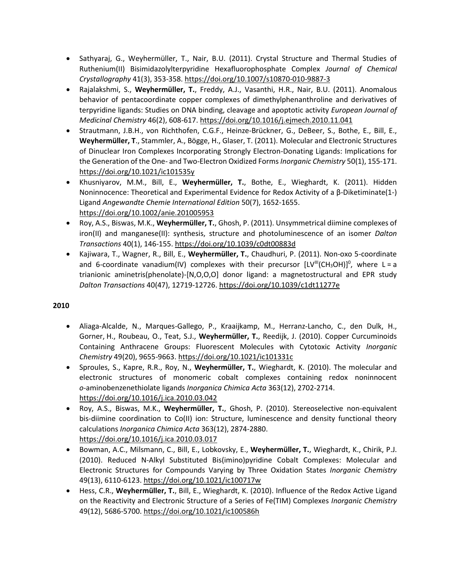- Sathyaraj, G., Weyhermüller, T., Nair, B.U. (2011). Crystal Structure and Thermal Studies of Ruthenium(II) Bisimidazolylterpyridine Hexafluorophosphate Complex *Journal of Chemical Crystallography* 41(3), 353-358. <https://doi.org/10.1007/s10870-010-9887-3>
- Rajalakshmi, S., **Weyhermüller, T.**, Freddy, A.J., Vasanthi, H.R., Nair, B.U. (2011). Anomalous behavior of pentacoordinate copper complexes of dimethylphenanthroline and derivatives of terpyridine ligands: Studies on DNA binding, cleavage and apoptotic activity *European Journal of Medicinal Chemistry* 46(2), 608-617. <https://doi.org/10.1016/j.ejmech.2010.11.041>
- Strautmann, J.B.H., von Richthofen, C.G.F., Heinze-Brückner, G., DeBeer, S., Bothe, E., Bill, E., **Weyhermüller, T**., Stammler, A., Bögge, H., Glaser, T. (2011). Molecular and Electronic Structures of Dinuclear Iron Complexes Incorporating Strongly Electron-Donating Ligands: Implications for the Generation of the One- and Two-Electron Oxidized Forms *Inorganic Chemistry* 50(1), 155-171. <https://doi.org/10.1021/ic101535y>
- Khusniyarov, M.M., Bill, E., **Weyhermüller, T.**, Bothe, E., Wieghardt, K. (2011). Hidden Noninnocence: Theoretical and Experimental Evidence for Redox Activity of a β-Diketiminate(1-) Ligand *Angewandte Chemie International Edition* 50(7), 1652-1655. <https://doi.org/10.1002/anie.201005953>
- Roy, A.S., Biswas, M.K., **Weyhermüller, T.**, Ghosh, P. (2011). Unsymmetrical diimine complexes of iron(II) and manganese(II): synthesis, structure and photoluminescence of an isomer *Dalton Transactions* 40(1), 146-155. <https://doi.org/10.1039/c0dt00883d>
- Kajiwara, T., Wagner, R., Bill, E., **Weyhermüller, T.**, Chaudhuri, P. (2011). Non-oxo 5-coordinate and 6-coordinate vanadium(IV) complexes with their precursor  $[LV^{\text{III}}(CH_3OH)]^0$ , where L = a trianionic aminetris(phenolate)-[N,O,O,O] donor ligand: a magnetostructural and EPR study *Dalton Transactions* 40(47), 12719-12726. <https://doi.org/10.1039/c1dt11277e>

- Aliaga-Alcalde, N., Marques-Gallego, P., Kraaijkamp, M., Herranz-Lancho, C., den Dulk, H., Gorner, H., Roubeau, O., Teat, S.J., **Weyhermüller, T.**, Reedijk, J. (2010). Copper Curcuminoids Containing Anthracene Groups: Fluorescent Molecules with Cytotoxic Activity *Inorganic Chemistry* 49(20), 9655-9663. <https://doi.org/10.1021/ic101331c>
- Sproules, S., Kapre, R.R., Roy, N., **Weyhermüller, T.**, Wieghardt, K. (2010). The molecular and electronic structures of monomeric cobalt complexes containing redox noninnocent *o-*aminobenzenethiolate ligands *Inorganica Chimica Acta* 363(12), 2702-2714. <https://doi.org/10.1016/j.ica.2010.03.042>
- Roy, A.S., Biswas, M.K., **Weyhermüller, T.**, Ghosh, P. (2010). Stereoselective non-equivalent bis-diimine coordination to Co(II) ion: Structure, luminescence and density functional theory calculations *Inorganica Chimica Acta* 363(12), 2874-2880. <https://doi.org/10.1016/j.ica.2010.03.017>
- Bowman, A.C., Milsmann, C., Bill, E., Lobkovsky, E., **Weyhermüller, T.**, Wieghardt, K., Chirik, P.J. (2010). Reduced N-Alkyl Substituted Bis(imino)pyridine Cobalt Complexes: Molecular and Electronic Structures for Compounds Varying by Three Oxidation States *Inorganic Chemistry*  49(13), 6110-6123. <https://doi.org/10.1021/ic100717w>
- Hess, C.R., **Weyhermüller, T.**, Bill, E., Wieghardt, K. (2010). Influence of the Redox Active Ligand on the Reactivity and Electronic Structure of a Series of Fe(TIM) Complexes *Inorganic Chemistry*  49(12), 5686-5700. <https://doi.org/10.1021/ic100586h>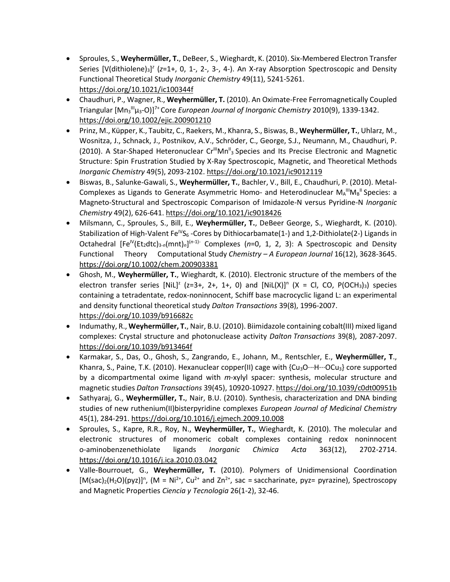- Sproules, S., **Weyhermüller, T.**, DeBeer, S., Wieghardt, K. (2010). Six-Membered Electron Transfer Series [V(dithiolene)<sub>3</sub>]<sup>2</sup> (z=1+, 0, 1-, 2-, 3-, 4-). An X-ray Absorption Spectroscopic and Density Functional Theoretical Study *Inorganic Chemistry* 49(11), 5241-5261. <https://doi.org/10.1021/ic100344f>
- Chaudhuri, P., Wagner, R., **Weyhermüller, T.** (2010). An Oximate-Free Ferromagnetically Coupled Triangular [Mn<sup>3</sup> IIIμ3-O)]7+ Core *European Journal of Inorganic Chemistry* 2010(9), 1339-1342. <https://doi.org/10.1002/ejic.200901210>
- Prinz, M., Küpper, K., Taubitz, C., Raekers, M., Khanra, S., Biswas, B., **Weyhermüller, T.**, Uhlarz, M., Wosnitza, J., Schnack, J., Postnikov, A.V., Schröder, C., George, S.J., Neumann, M., Chaudhuri, P. (2010). A Star-Shaped Heteronuclear Cr<sup>III</sup>Mn<sup>II</sup><sub>3</sub> Species and Its Precise Electronic and Magnetic Structure: Spin Frustration Studied by X-Ray Spectroscopic, Magnetic, and Theoretical Methods *Inorganic Chemistry* 49(5), 2093-2102. <https://doi.org/10.1021/ic9012119>
- Biswas, B., Salunke-Gawali, S., **Weyhermüller, T.**, Bachler, V., Bill, E., Chaudhuri, P. (2010). Metal-Complexes as Ligands to Generate Asymmetric Homo- and Heterodinuclear MA<sup>III</sup>MB<sup>II</sup> Species: a Magneto-Structural and Spectroscopic Comparison of Imidazole-N versus Pyridine-N *Inorganic Chemistry* 49(2), 626-641. <https://doi.org/10.1021/ic9018426>
- Milsmann, C., Sproules, S., Bill, E., **Weyhermüller, T.**, DeBeer George, S., Wieghardt, K. (2010). Stabilization of High-Valent Fe<sup>IV</sup>S<sub>6</sub> -Cores by Dithiocarbamate(1-) and 1,2-Dithiolate(2-) Ligands in Octahedral [Fe<sup>IV</sup>(Et<sub>2</sub>dtc)<sub>3-n</sub>(mnt)<sub>n</sub>]<sup>(n-1)-</sup> Complexes (n=0, 1, 2, 3): A Spectroscopic and Density Functional Theory Computational Study *Chemistry – A European Journal* 16(12), 3628-3645. <https://doi.org/10.1002/chem.200903381>
- Ghosh, M., **Weyhermüller, T.**, Wieghardt, K. (2010). Electronic structure of the members of the electron transfer series [NiL]<sup>2</sup> (z=3+, 2+, 1+, 0) and [NiL(X)]<sup>n</sup> (X = Cl, CO, P(OCH<sub>3</sub>)<sub>3</sub>) species containing a tetradentate, redox-noninnocent, Schiff base macrocyclic ligand L: an experimental and density functional theoretical study *Dalton Transactions* 39(8), 1996-2007. <https://doi.org/10.1039/b916682c>
- Indumathy, R., **Weyhermüller, T.**, Nair, B.U. (2010). Biimidazole containing cobalt(III) mixed ligand complexes: Crystal structure and photonuclease activity *Dalton Transactions* 39(8), 2087-2097. <https://doi.org/10.1039/b913464f>
- Karmakar, S., Das, O., Ghosh, S., Zangrando, E., Johann, M., Rentschler, E., **Weyhermüller, T**., Khanra, S., Paine, T.K. (2010). Hexanuclear copper(II) cage with  ${Cu_3O...H...OCu_3}$  core supported by a dicompartmental oxime ligand with *m*-xylyl spacer: synthesis, molecular structure and magnetic studies *Dalton Transactions* 39(45), 10920-10927. <https://doi.org/10.1039/c0dt00951b>
- Sathyaraj, G., **Weyhermüller, T.**, Nair, B.U. (2010). Synthesis, characterization and DNA binding studies of new ruthenium(II)bisterpyridine complexes *European Journal of Medicinal Chemistry*  45(1), 284-291. <https://doi.org/10.1016/j.ejmech.2009.10.008>
- Sproules, S., Kapre, R.R., Roy, N., **Weyhermüller, T.**, Wieghardt, K. (2010). The molecular and electronic structures of monomeric cobalt complexes containing redox noninnocent o-aminobenzenethiolate ligands *Inorganic Chimica Acta* 363(12), 2702-2714. <https://doi.org/10.1016/j.ica.2010.03.042>
- Valle-Bourrouet, G., **Weyhermüller, T.** (2010). Polymers of Unidimensional Coordination  $[M(sac)<sub>2</sub>(H<sub>2</sub>O)(pyz)]<sup>n</sup>$ , (M = Ni<sup>2+</sup>, Cu<sup>2+</sup> and Zn<sup>2+</sup>, sac = saccharinate, pyz= pyrazine), Spectroscopy and Magnetic Properties *Ciencia y Tecnologia* 26(1-2), 32-46.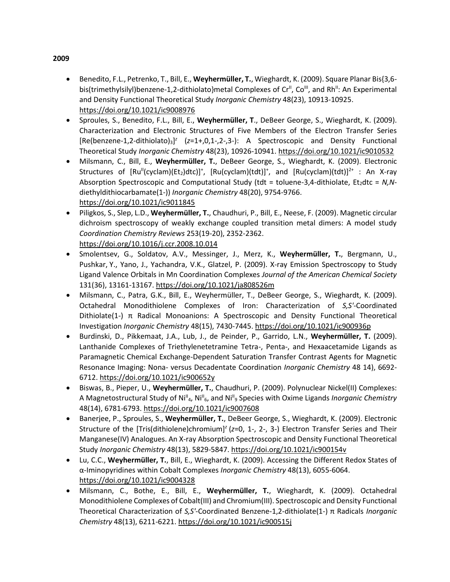- Benedito, F.L., Petrenko, T., Bill, E., **Weyhermüller, T.**, Wieghardt, K. (2009). Square Planar Bis{3,6 bis(trimethylsilyl)benzene-1,2-dithiolato}metal Complexes of  $Cr<sup>II</sup>$ , Co<sup>III</sup>, and Rh<sup>II</sup>: An Experimental and Density Functional Theoretical Study *Inorganic Chemistry* 48(23), 10913-10925. <https://doi.org/10.1021/ic9008976>
- Sproules, S., Benedito, F.L., Bill, E., **Weyhermüller, T**., DeBeer George, S., Wieghardt, K. (2009). Characterization and Electronic Structures of Five Members of the Electron Transfer Series [Re(benzene-1,2-dithiolato)<sub>3</sub>]<sup>z</sup> (z=1+,0,1-,2-,3-): A Spectroscopic and Density Functional Theoretical Study *Inorganic Chemistry* 48(23), 10926-10941. <https://doi.org/10.1021/ic9010532>
- Milsmann, C., Bill, E., **Weyhermüller, T.**, DeBeer George, S., Wieghardt, K. (2009). Electronic Structures of [Ru<sup>||</sup>(cyclam)(Et<sub>2</sub>)dtc)]<sup>+</sup>, [Ru(cyclam)(tdt)]<sup>+</sup>, and [Ru(cyclam)(tdt)]<sup>2+</sup> : An X-ray Absorption Spectroscopic and Computational Study (tdt = toluene-3,4-dithiolate, Et<sub>2</sub>dtc = N,Ndiethyldithiocarbamate(1-)) *Inorganic Chemistry* 48(20), 9754-9766. <https://doi.org/10.1021/ic9011845>
- Piligkos, S., Slep, L.D., **Weyhermüller, T.**, Chaudhuri, P., Bill, E., Neese, F. (2009). Magnetic circular dichroism spectroscopy of weakly exchange coupled transition metal dimers: A model study *Coordination Chemistry Reviews* 253(19-20), 2352-2362. <https://doi.org/10.1016/j.ccr.2008.10.014>
- Smolentsev, G., Soldatov, A.V., Messinger, J., Merz, K., **Weyhermüller, T.**, Bergmann, U., Pushkar, Y., Yano, J., Yachandra, V.K., Glatzel, P. (2009). X-ray Emission Spectroscopy to Study Ligand Valence Orbitals in Mn Coordination Complexes *Journal of the American Chemical Society*  131(36), 13161-13167. <https://doi.org/10.1021/ja808526m>
- Milsmann, C., Patra, G.K., Bill, E., Weyhermüller, T., DeBeer George, S., Wieghardt, K. (2009). Octahedral Monodithiolene Complexes of Iron: Characterization of *S,S'*-Coordinated Dithiolate(1-)  $\pi$  Radical Monoanions: A Spectroscopic and Density Functional Theoretical Investigation *Inorganic Chemistry* 48(15), 7430-7445. <https://doi.org/10.1021/ic900936p>
- Burdinski, D., Pikkemaat, J.A., Lub, J., de Peinder, P., Garrido, L.N., **Weyhermüller, T.** (2009). Lanthanide Complexes of Triethylenetetramine Tetra-, Penta-, and Hexaacetamide Ligands as Paramagnetic Chemical Exchange-Dependent Saturation Transfer Contrast Agents for Magnetic Resonance Imaging: Nona- versus Decadentate Coordination *Inorganic Chemistry* 48 14), 6692- 6712. <https://doi.org/10.1021/ic900652y>
- Biswas, B., Pieper, U., **Weyhermüller, T.**, Chaudhuri, P. (2009). Polynuclear Nickel(II) Complexes: A Magnetostructural Study of Ni<sup>II</sup><sub>4</sub>, Ni<sup>II</sup><sub>6</sub>, and Ni<sup>II</sup><sub>9</sub> Species with Oxime Ligands *Inorganic Chemistry* 48(14), 6781-6793. <https://doi.org/10.1021/ic9007608>
- Banerjee, P., Sproules, S., **Weyhermüller, T.**, DeBeer George, S., Wieghardt, K. (2009). Electronic Structure of the [Tris(dithiolene)chromium]*<sup>z</sup>* (*z*=0, 1-, 2-, 3-) Electron Transfer Series and Their Manganese(IV) Analogues. An X-ray Absorption Spectroscopic and Density Functional Theoretical Study *Inorganic Chemistry* 48(13), 5829-5847. <https://doi.org/10.1021/ic900154v>
- Lu, C.C., **Weyhermüller, T.**, Bill, E., Wieghardt, K. (2009). Accessing the Different Redox States of α-Iminopyridines within Cobalt Complexes *Inorganic Chemistry* 48(13), 6055-6064. <https://doi.org/10.1021/ic9004328>
- Milsmann, C., Bothe, E., Bill, E., **Weyhermüller, T.**, Wieghardt, K. (2009). Octahedral Monodithiolene Complexes of Cobalt(III) and Chromium(III). Spectroscopic and Density Functional Theoretical Characterization of *S,S'*-Coordinated Benzene-1,2-dithiolate(1-) π Radicals *Inorganic Chemistry* 48(13), 6211-6221. <https://doi.org/10.1021/ic900515j>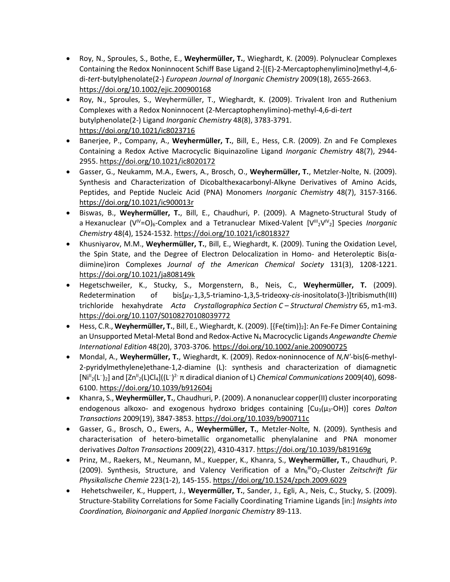- Roy, N., Sproules, S., Bothe, E., **Weyhermüller, T.**, Wieghardt, K. (2009). Polynuclear Complexes Containing the Redox Noninnocent Schiff Base Ligand 2-[(E)-2-Mercaptophenylimino]methyl-4,6 di-*tert*-butylphenolate(2-) *European Journal of Inorganic Chemistry* 2009(18), 2655-2663. <https://doi.org/10.1002/ejic.200900168>
- Roy, N., Sproules, S., Weyhermüller, T., Wieghardt, K. (2009). Trivalent Iron and Ruthenium Complexes with a Redox Noninnocent (2-Mercaptophenylimino)-methyl-4,6-di-*tert* butylphenolate(2-) Ligand *Inorganic Chemistry* 48(8), 3783-3791. <https://doi.org/10.1021/ic8023716>
- Banerjee, P., Company, A., **Weyhermüller, T.**, Bill, E., Hess, C.R. (2009). Zn and Fe Complexes Containing a Redox Active Macrocyclic Biquinazoline Ligand *Inorganic Chemistry* 48(7), 2944- 2955. <https://doi.org/10.1021/ic8020172>
- Gasser, G., Neukamm, M.A., Ewers, A., Brosch, O., **Weyhermüller, T.**, Metzler-Nolte, N. (2009). Synthesis and Characterization of Dicobalthexacarbonyl-Alkyne Derivatives of Amino Acids, Peptides, and Peptide Nucleic Acid (PNA) Monomers *Inorganic Chemistry* 48(7), 3157-3166. <https://doi.org/10.1021/ic900013r>
- Biswas, B., **Weyhermüller, T.**, Bill, E., Chaudhuri, P. (2009). A Magneto-Structural Study of a Hexanuclear (V<sup>IV</sup>=O)<sub>6</sub>-Complex and a Tetranuclear Mixed-Valent [V<sup>III</sup><sub>2</sub>V<sup>IV</sup><sub>2</sub>] Species *Inorganic Chemistry* 48(4), 1524-1532. <https://doi.org/10.1021/ic8018327>
- Khusniyarov, M.M., **Weyhermüller, T.**, Bill, E., Wieghardt, K. (2009). Tuning the Oxidation Level, the Spin State, and the Degree of Electron Delocalization in Homo- and Heteroleptic Bis(αdiimine)iron Complexes *Journal of the American Chemical Society* 131(3), 1208-1221. <https://doi.org/10.1021/ja808149k>
- Hegetschweiler, K., Stucky, S., Morgenstern, B., Neis, C., **Weyhermüller, T.** (2009). Redetermination of bis[*μ*3-1,3,5-triamino-1,3,5-trideoxy-*cis*-inositolato(3-)]tribismuth(III) trichloride hexahydrate *Acta Crystallographica Section C – Structural Chemistry* 65, m1-m3. <https://doi.org/10.1107/S0108270108039772>
- Hess, C.R., **Weyhermüller, T.**, Bill, E., Wieghardt, K. (2009). [{Fe(tim)}2]: An Fe-Fe Dimer Containing an Unsupported Metal-Metal Bond and Redox-Active N<sup>4</sup> Macrocyclic Ligands *Angewandte Chemie International Edition* 48(20), 3703-3706. <https://doi.org/10.1002/anie.200900725>
- Mondal, A., **Weyhermüller, T.**, Wieghardt, K. (2009). Redox-noninnocence of *N,N'*-bis(6-methyl-2-pyridylmethylene)ethane-1,2-diamine (L): synthesis and characterization of diamagnetic [Ni<sup>II</sup><sub>2</sub>(L<sup>·</sup>)<sub>2</sub>] and [Zn<sup>II</sup><sub>2</sub>(L)Cl<sub>4</sub>]((L<sup>··</sup>)<sup>2</sup>· π diradical dianion of L) *Chemical Communications* 2009(40), 6098-6100. <https://doi.org/10.1039/b912604j>
- Khanra, S., **Weyhermüller, T.**, Chaudhuri, P. (2009). A nonanuclear copper(II) cluster incorporating endogenous alkoxo- and exogenous hydroxo bridges containing [Cu3(μ3-OH)] cores *Dalton Transactions* 2009(19), 3847-3853. <https://doi.org/10.1039/b900711c>
- Gasser, G., Brosch, O., Ewers, A., **Weyhermüller, T.**, Metzler-Nolte, N. (2009). Synthesis and characterisation of hetero-bimetallic organometallic phenylalanine and PNA monomer derivatives *Dalton Transactions* 2009(22), 4310-4317. <https://doi.org/10.1039/b819169g>
- Prinz, M., Raekers, M., Neumann, M., Kuepper, K., Khanra, S., **Weyhermüller, T.**, Chaudhuri, P. (2009). Synthesis, Structure, and Valency Verification of a Mn<sub>6</sub><sup>III</sup>O<sub>2</sub>-Cluster Zeitschrift für *Physikalische Chemie* 223(1-2), 145-155. <https://doi.org/10.1524/zpch.2009.6029>
- Hehetschweiler, K., Huppert, J., **Weyermüller, T.**, Sander, J., Egli, A., Neis, C., Stucky, S. (2009). Structure-Stability Correlations for Some Facially Coordinating Triamine Ligands [in:] *Insights into Coordination, Bioinorganic and Applied Inorganic Chemistry* 89-113.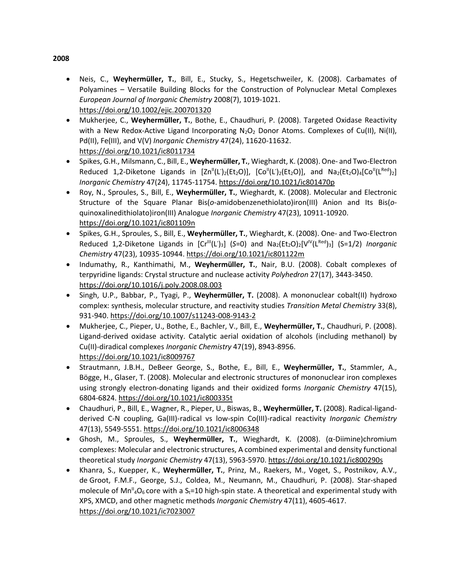- Neis, C., **Weyhermüller, T.**, Bill, E., Stucky, S., Hegetschweiler, K. (2008). Carbamates of Polyamines – Versatile Building Blocks for the Construction of Polynuclear Metal Complexes *European Journal of Inorganic Chemistry* 2008(7), 1019-1021. <https://doi.org/10.1002/ejic.200701320>
- Mukherjee, C., **Weyhermüller, T.**, Bothe, E., Chaudhuri, P. (2008). Targeted Oxidase Reactivity with a New Redox-Active Ligand Incorporating  $N_2O_2$  Donor Atoms. Complexes of Cu(II), Ni(II), Pd(II), Fe(III), and V(V) *Inorganic Chemistry* 47(24), 11620-11632. <https://doi.org/10.1021/ic8011734>
- Spikes, G.H., Milsmann, C., Bill, E., **Weyhermüller, T.**, Wieghardt, K. (2008). One- and Two-Electron Reduced 1,2-Diketone Ligands in [Zn<sup>||</sup>(L')<sub>2</sub>(Et<sub>2</sub>O)], [Co<sup>||</sup>(L')<sub>2</sub>(Et<sub>2</sub>O)], and Na<sub>2</sub>(Et<sub>2</sub>O)<sub>4</sub>[Co<sup>||</sup>(L<sup>Red</sup>)<sub>2</sub>] *Inorganic Chemistry* 47(24), 11745-11754. <https://doi.org/10.1021/ic801470p>
- Roy, N., Sproules, S., Bill, E., **Weyhermüller, T.**, Wieghardt, K. (2008). Molecular and Electronic Structure of the Square Planar Bis(*o*-amidobenzenethiolato)iron(III) Anion and Its Bis(*o*quinoxalinedithiolato)iron(III) Analogue *Inorganic Chemistry* 47(23), 10911-10920. <https://doi.org/10.1021/ic801109n>
- Spikes, G.H., Sproules, S., Bill, E., **Weyhermüller, T.**, Wieghardt, K. (2008). One- and Two-Electron Reduced 1,2-Diketone Ligands in [Cr<sup>III</sup>(L')<sub>3</sub>] (S=0) and Na<sub>2</sub>(Et<sub>2</sub>O)<sub>2</sub>[V<sup>IV</sup>(L<sup>Red</sup>)<sub>3</sub>] (S=1/2) *Inorganic Chemistry* 47(23), 10935-10944. <https://doi.org/10.1021/ic801122m>
- Indumathy, R., Kanthimathi, M., **Weyhermüller, T.**, Nair, B.U. (2008). Cobalt complexes of terpyridine ligands: Crystal structure and nuclease activity *Polyhedron* 27(17), 3443-3450. <https://doi.org/10.1016/j.poly.2008.08.003>
- Singh, U.P., Babbar, P., Tyagi, P., **Weyhermüller, T.** (2008). A mononuclear cobalt(II) hydroxo complex: synthesis, molecular structure, and reactivity studies *Transition Metal Chemistry* 33(8), 931-940. <https://doi.org/10.1007/s11243-008-9143-2>
- Mukherjee, C., Pieper, U., Bothe, E., Bachler, V., Bill, E., **Weyhermüller, T.**, Chaudhuri, P. (2008). Ligand-derived oxidase activity. Catalytic aerial oxidation of alcohols (including methanol) by Cu(II)-diradical complexes *Inorganic Chemistry* 47(19), 8943-8956. <https://doi.org/10.1021/ic8009767>
- Strautmann, J.B.H., DeBeer George, S., Bothe, E., Bill, E., **Weyhermüller, T.**, Stammler, A., Bögge, H., Glaser, T. (2008). Molecular and electronic structures of mononuclear iron complexes using strongly electron-donating ligands and their oxidized forms *Inorganic Chemistry* 47(15), 6804-6824. <https://doi.org/10.1021/ic800335t>
- Chaudhuri, P., Bill, E., Wagner, R., Pieper, U., Biswas, B., **Weyhermüller, T.** (2008). Radical-ligandderived C-N coupling, Ga(III)-radical vs low-spin Co(III)-radical reactivity *Inorganic Chemistry*  47(13), 5549-5551. <https://doi.org/10.1021/ic8006348>
- Ghosh, M., Sproules, S., **Weyhermüller, T.**, Wieghardt, K. (2008). (α-Diimine)chromium complexes: Molecular and electronic structures, A combined experimental and density functional theoretical study *Inorganic Chemistry* 47(13), 5963-5970. <https://doi.org/10.1021/ic800290s>
- Khanra, S., Kuepper, K., **Weyhermüller, T.**, Prinz, M., Raekers, M., Voget, S., Postnikov, A.V., de Groot, F.M.F., George, S.J., Coldea, M., Neumann, M., Chaudhuri, P. (2008). Star-shaped molecule of  $Mn^{\mu}$ <sub>4</sub>O<sub>6</sub> core with a S<sub>t</sub>=10 high-spin state. A theoretical and experimental study with XPS, XMCD, and other magnetic methods *Inorganic Chemistry* 47(11), 4605-4617. <https://doi.org/10.1021/ic7023007>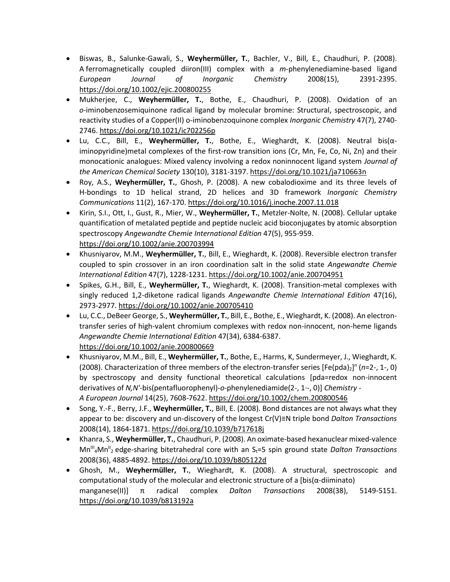- Biswas, B., Salunke-Gawali, S., **Weyhermüller, T.**, Bachler, V., Bill, E., Chaudhuri, P. (2008). A ferromagnetically coupled diiron(III) complex with a *m*-phenylenediamine-based ligand *European Journal of Inorganic Chemistry* 2008(15), 2391-2395. <https://doi.org/10.1002/ejic.200800255>
- Mukherjee, C., **Weyhermüller, T.**, Bothe, E., Chaudhuri, P. (2008). Oxidation of an *o-*iminobenzosemiquinone radical ligand by molecular bromine: Structural, spectroscopic, and reactivity studies of a Copper(II) o-iminobenzoquinone complex *Inorganic Chemistry* 47(7), 2740- 2746. <https://doi.org/10.1021/ic702256p>
- Lu, C.C., Bill, E., **Weyhermüller, T.**, Bothe, E., Wieghardt, K. (2008). Neutral bis(αiminopyridine)metal complexes of the first-row transition ions (Cr, Mn, Fe, Co, Ni, Zn) and their monocationic analogues: Mixed valency involving a redox noninnocent ligand system *Journal of the American Chemical Society* 130(10), 3181-3197. <https://doi.org/10.1021/ja710663n>
- Roy, A.S., **Weyhermüller, T.**, Ghosh, P. (2008). A new cobalodioxime and its three levels of H-bondings to 1D helical strand, 2D helices and 3D framework *Inorganic Chemistry Communications* 11(2), 167-170. <https://doi.org/10.1016/j.inoche.2007.11.018>
- Kirin, S.I., Ott, I., Gust, R., Mier, W., **Weyhermüller, T.**, Metzler-Nolte, N. (2008). Cellular uptake quantification of metalated peptide and peptide nucleic acid bioconjugates by atomic absorption spectroscopy *Angewandte Chemie International Edition* 47(5), 955-959. <https://doi.org/10.1002/anie.200703994>
- Khusniyarov, M.M., **Weyhermüller, T.**, Bill, E., Wieghardt, K. (2008). Reversible electron transfer coupled to spin crossover in an iron coordination salt in the solid state *Angewandte Chemie International Edition* 47(7), 1228-1231. <https://doi.org/10.1002/anie.200704951>
- Spikes, G.H., Bill, E., **Weyhermüller, T.**, Wieghardt, K. (2008). Transition-metal complexes with singly reduced 1,2-diketone radical ligands *Angewandte Chemie International Edition* 47(16), 2973-2977. <https://doi.org/10.1002/anie.200705410>
- Lu, C.C., DeBeer George, S., **Weyhermüller, T.**, Bill, E., Bothe, E., Wieghardt, K. (2008). An electrontransfer series of high-valent chromium complexes with redox non-innocent, non-heme ligands *Angewandte Chemie International Edition* 47(34), 6384-6387. <https://doi.org/10.1002/anie.200800669>
- Khusniyarov, M.M., Bill, E., **Weyhermüller, T.**, Bothe, E., Harms, K, Sundermeyer, J., Wieghardt, K. (2008). Characterization of three members of the electron-transfer series [Fe(pda)<sub>2</sub>]<sup>n</sup> (n=2-, 1-, 0) by spectroscopy and density functional theoretical calculations [pda=redox non-innocent derivatives of *N,N'*-bis(pentafluorophenyl)-*o*-phenylenediamide(2-, 1·-, 0)] *Chemistry - A European Journal* 14(25), 7608-7622. <https://doi.org/10.1002/chem.200800546>
- Song, Y.-F., Berry, J.F., **Weyhermüller, T.**, Bill, E. (2008). Bond distances are not always what they appear to be: discovery and un-discovery of the longest Cr(V)≡N triple bond *Dalton Transactions* 2008(14), 1864-1871. <https://doi.org/10.1039/b717618j>
- Khanra, S., **Weyhermüller, T.**, Chaudhuri, P. (2008). An oximate-based hexanuclear mixed-valence Mn<sup>III</sup><sub>4</sub>Mn<sup>II</sup><sub>2</sub> edge-sharing bitetrahedral core with an S<sub>t</sub>=5 spin ground state *Dalton Transactions* 2008(36), 4885-4892. <https://doi.org/10.1039/b805122d>
- Ghosh, M., **Weyhermüller, T.**, Wieghardt, K. (2008). A structural, spectroscopic and computational study of the molecular and electronic structure of a [bis( $\alpha$ -diiminato) manganese(II)] π radical complex *Dalton Transactions* 2008(38), 5149-5151. <https://doi.org/10.1039/b813192a>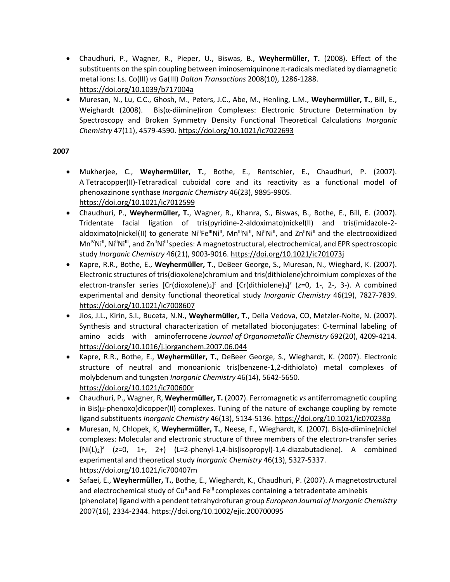- Chaudhuri, P., Wagner, R., Pieper, U., Biswas, B., **Weyhermüller, T.** (2008). Effect of the substituents on the spin coupling between iminosemiquinone π-radicals mediated by diamagnetic metal ions: l.s. Co(III) *vs* Ga(III) *Dalton Transactions* 2008(10), 1286-1288. <https://doi.org/10.1039/b717004a>
- Muresan, N., Lu, C.C., Ghosh, M., Peters, J.C., Abe, M., Henling, L.M., **Weyhermüller, T.**, Bill, E., Weighardt (2008). Bis( $\alpha$ -diimine)iron Complexes: Electronic Structure Determination by Spectroscopy and Broken Symmetry Density Functional Theoretical Calculations *Inorganic Chemistry* 47(11), 4579-4590[. https://doi.org/10.1021/ic7022693](https://doi.org/10.1021/ic7022693)

- Mukherjee, C., **Weyhermüller, T.**, Bothe, E., Rentschier, E., Chaudhuri, P. (2007). A Tetracopper(II)-Tetraradical cuboidal core and its reactivity as a functional model of phenoxazinone synthase *Inorganic Chemistry* 46(23), 9895-9905. <https://doi.org/10.1021/ic7012599>
- Chaudhuri, P., **Weyhermüller, T.**, Wagner, R., Khanra, S., Biswas, B., Bothe, E., Bill, E. (2007). Tridentate facial ligation of tris(pyridine-2-aldoximato)nickel(II) and tris(imidazole-2 aldoximato)nickel(II) to generate Ni<sup>ll</sup>Fe<sup>llI</sup>Ni<sup>II</sup>, Mn<sup>III</sup>Ni<sup>II</sup>, Ni<sup>II</sup>Ni<sup>II</sup>, and Zn<sup>II</sup>Ni<sup>II</sup> and the electrooxidized Mn<sup>IV</sup>Ni<sup>II</sup>, Ni<sup>II</sup>Ni<sup>III</sup>, and Zn<sup>II</sup>Ni<sup>III</sup> species: A magnetostructural, electrochemical, and EPR spectroscopic study *Inorganic Chemistry* 46(21), 9003-9016. <https://doi.org/10.1021/ic701073j>
- Kapre, R.R., Bothe, E., **Weyhermüller, T.**, DeBeer George, S., Muresan, N., Wieghard, K. (2007). Electronic structures of tris(dioxolene)chromium and tris(dithiolene)chroimium complexes of the electron-transfer series [Cr(dioxolene)<sub>3</sub>]<sup>z</sup> and [Cr(dithiolene)<sub>3</sub>]<sup>z</sup> (z=0, 1-, 2-, 3-). A combined experimental and density functional theoretical study *Inorganic Chemistry* 46(19), 7827-7839. <https://doi.org/10.1021/ic7008607>
- Jios, J.L., Kirin, S.I., Buceta, N.N., **Weyhermüller, T.**, Della Vedova, CO, Metzler-Nolte, N. (2007). Synthesis and structural characterization of metallated bioconjugates: C-terminal labeling of amino acids with aminoferrocene *Journal of Organometallic Chemistry* 692(20), 4209-4214. <https://doi.org/10.1016/j.jorganchem.2007.06.044>
- Kapre, R.R., Bothe, E., **Weyhermüller, T.**, DeBeer George, S., Wieghardt, K. (2007). Electronic structure of neutral and monoanionic tris(benzene-1,2-dithiolato) metal complexes of molybdenum and tungsten *Inorganic Chemistry* 46(14), 5642-5650. <https://doi.org/10.1021/ic700600r>
- Chaudhuri, P., Wagner, R, **Weyhermüller, T.** (2007). Ferromagnetic *vs* antiferromagnetic coupling in Bis(μ-phenoxo)dicopper(II) complexes. Tuning of the nature of exchange coupling by remote ligand substituents *Inorganic Chemistry* 46(13), 5134-5136. <https://doi.org/10.1021/ic070238p>
- Muresan, N, Chlopek, K, **Weyhermüller, T.**, Neese, F., Wieghardt, K. (2007). Bis(α-diimine)nickel complexes: Molecular and electronic structure of three members of the electron-transfer series [Ni(L)2] *z* (*z*=0, 1+, 2+) (L=2-phenyl-1,4-bis(isopropyl)-1,4-diazabutadiene). A combined experimental and theoretical study *Inorganic Chemistry* 46(13), 5327-5337. <https://doi.org/10.1021/ic700407m>
- Safaei, E., **Weyhermüller, T.**, Bothe, E., Wieghardt, K., Chaudhuri, P. (2007). A magnetostructural and electrochemical study of  $Cu<sup>II</sup>$  and Fe $<sup>III</sup>$  complexes containing a tetradentate aminebis</sup> (phenolate) ligand with a pendent tetrahydrofuran group *European Journal of Inorganic Chemistry* 2007(16), 2334-2344. <https://doi.org/10.1002/ejic.200700095>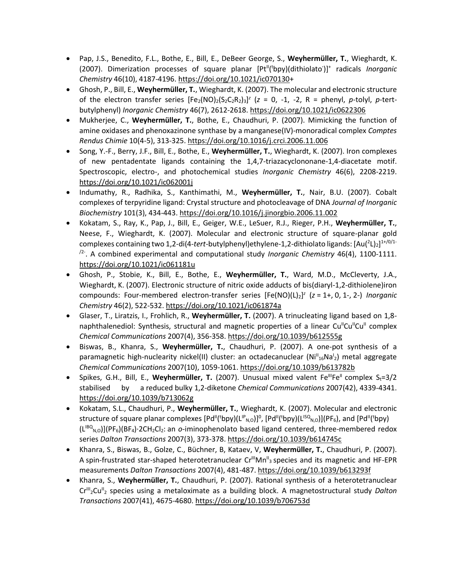- Pap, J.S., Benedito, F.L., Bothe, E., Bill, E., DeBeer George, S., **Weyhermüller, T.**, Wieghardt, K. (2007). Dimerization processes of square planar [Pt<sup>ii</sup>('bpy)(dithiolato')]<sup>+</sup> radicals *Inorganic Chemistry* 46(10), 4187-4196. [https://doi.org/10.1021/ic070130+](https://doi.org/10.1021/ic070130)
- Ghosh, P., Bill, E., **Weyhermüller, T.**, Wieghardt, K. (2007). The molecular and electronic structure of the electron transfer series  $[Fe_2(NO)_2(S_2C_2R_2)_3]^2$  ( $z = 0$ , -1, -2, R = phenyl,  $p$ -tolyl,  $p$ -tertbutylphenyl) *Inorganic Chemistry* 46(7), 2612-2618. <https://doi.org/10.1021/ic0622306>
- Mukherjee, C., **Weyhermüller, T.**, Bothe, E., Chaudhuri, P. (2007). Mimicking the function of amine oxidases and phenoxazinone synthase by a manganese(IV)-monoradical complex *Comptes Rendus Chimie* 10(4-5), 313-325. <https://doi.org/10.1016/j.crci.2006.11.006>
- Song, Y.-F., Berry, J.F., Bill, E., Bothe, E., **Weyhermüller, T.**, Wieghardt, K. (2007). Iron complexes of new pentadentate ligands containing the 1,4,7-triazacyclononane-1,4-diacetate motif. Spectroscopic, electro-, and photochemical studies *Inorganic Chemistry* 46(6), 2208-2219. <https://doi.org/10.1021/ic062001j>
- Indumathy, R., Radhika, S., Kanthimathi, M., **Weyhermüller, T.**, Nair, B.U. (2007). Cobalt complexes of terpyridine ligand: Crystal structure and photocleavage of DNA *Journal of Inorganic Biochemistry* 101(3), 434-443. <https://doi.org/10.1016/j.jinorgbio.2006.11.002>
- Kokatam, S., Ray, K., Pap, J., Bill, E., Geiger, W.E., LeSuer, R.J., Rieger, P.H., **Weyhermüller, T.**, Neese, F., Wieghardt, K. (2007). Molecular and electronic structure of square-planar gold complexes containing two 1,2-di(4-tert-butylphenyl)ethylene-1,2-dithiolato ligands: [Au(<sup>2</sup>L)<sub>2</sub>]<sup>1+/0/1-</sup> /2- . A combined experimental and computational study *Inorganic Chemistry* 46(4), 1100-1111. <https://doi.org/10.1021/ic061181u>
- Ghosh, P., Stobie, K., Bill, E., Bothe, E., **Weyhermüller, T.**, Ward, M.D., McCleverty, J.A., Wieghardt, K. (2007). Electronic structure of nitric oxide adducts of bis(diaryl-1,2-dithiolene)iron compounds: Four-membered electron-transfer series [Fe(NO)(L)2] *z* (*z* = 1+, 0, 1-, 2-) *Inorganic Chemistry* 46(2), 522-532. <https://doi.org/10.1021/ic061874a>
- Glaser, T., Liratzis, I., Frohlich, R., **Weyhermüller, T.** (2007). A trinucleating ligand based on 1,8 naphthalenediol: Synthesis, structural and magnetic properties of a linear Cu<sup>ii</sup>Cu<sup>ii</sup>Cu<sup>ii</sup> complex *Chemical Communications* 2007(4), 356-358. <https://doi.org/10.1039/b612555g>
- Biswas, B., Khanra, S., **Weyhermüller, T.**, Chaudhuri, P. (2007). A one-pot synthesis of a paramagnetic high-nuclearity nickel(II) cluster: an octadecanuclear (Ni<sup>II</sup>16Na<sup>1</sup>2) metal aggregate *Chemical Communications* 2007(10), 1059-1061. <https://doi.org/10.1039/b613782b>
- Spikes, G.H., Bill, E., **Weyhermüller, T.** (2007). Unusual mixed valent Fe<sup>III</sup>Fe<sup>II</sup> complex  $S_t=3/2$ stabilised by a reduced bulky 1,2-diketone *Chemical Communications* 2007(42), 4339-4341. <https://doi.org/10.1039/b713062g>
- Kokatam, S.L., Chaudhuri, P., **Weyhermüller, T.**, Wieghardt, K. (2007). Molecular and electronic structure of square planar complexes [Pd<sup>II</sup>(<sup>t</sup>bpy)(L<sup>IP</sup><sub>N,O</sub>)]<sup>0</sup>, [Pd<sup>II</sup>(<sup>t</sup>bpy)(L<sup>ISQ</sup><sub>N,O</sub>)](PF<sub>6</sub>), and [Pd<sup>II</sup>(<sup>t</sup>bpy) (L<sup>IBQ</sup><sub>N,O</sub>)](PF<sub>6</sub>)(BF<sub>4</sub>)·2CH<sub>2</sub>Cl<sub>2</sub>: an *o*-iminophenolato based ligand centered, three-membered redox series *Dalton Transactions* 2007(3), 373-378. <https://doi.org/10.1039/b614745c>
- Khanra, S., Biswas, B., Golze, C., Büchner, B, Kataev, V, **Weyhermüller, T.**, Chaudhuri, P. (2007). A spin-frustrated star-shaped heterotetranuclear Cr<sup>III</sup>Mn<sup>II</sup><sub>3</sub> species and its magnetic and HF-EPR measurements *Dalton Transactions* 2007(4), 481-487. <https://doi.org/10.1039/b613293f>
- Khanra, S., **Weyhermüller, T.**, Chaudhuri, P. (2007). Rational synthesis of a heterotetranuclear Cr<sup>III</sup><sub>2</sub>Cu<sup>II</sup><sub>2</sub> species using a metaloximate as a building block. A magnetostructural study Dalton *Transactions* 2007(41), 4675-4680.<https://doi.org/10.1039/b706753d>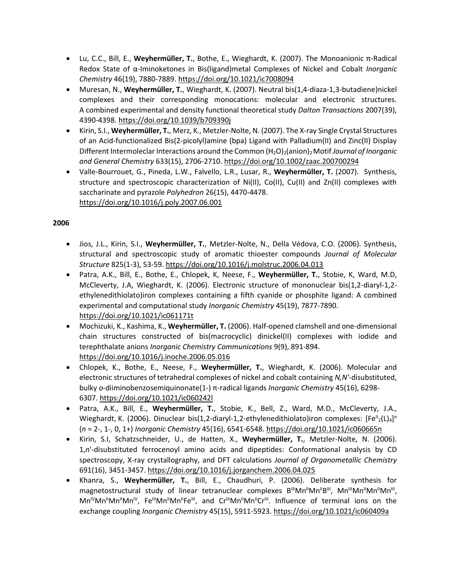- Lu, C.C., Bill, E., **Weyhermüller, T.**, Bothe, E., Wieghardt, K. (2007). The Monoanionic π-Radical Redox State of α-Iminoketones in Bis(ligand)metal Complexes of Nickel and Cobalt *Inorganic Chemistry* 46(19), 7880-7889[. https://doi.org/10.1021/ic7008094](https://doi.org/10.1021/ic7008094)
- Muresan, N., **Weyhermüller, T.**, Wieghardt, K. (2007). Neutral bis(1,4-diaza-1,3-butadiene)nickel complexes and their corresponding monocations: molecular and electronic structures. A combined experimental and density functional theoretical study *Dalton Transactions* 2007(39), 4390-4398. <https://doi.org/10.1039/b709390j>
- Kirin, S.I., **Weyhermüller, T.**, Merz, K., Metzler-Nolte, N. (2007). The X‐ray Single Crystal Structures of an Acid‐functionalized Bis(2‐picolyl)amine (bpa) Ligand with Palladium(II) and Zinc(II) Display Different Intermoleclar Interactions around the Common (H<sub>2</sub>O)<sub>2</sub>(anion)<sub>2</sub> Motif *Journal of Inorganic and General Chemistry* 633(15), 2706-2710.<https://doi.org/10.1002/zaac.200700294>
- Valle-Bourrouet, G., Pineda, L.W., Falvello, L.R., Lusar, R., **Weyhermüller, T.** (2007). Synthesis, structure and spectroscopic characterization of Ni(II), Co(II), Cu(II) and Zn(II) complexes with saccharinate and pyrazole *Polyhedron* 26(15), 4470-4478. <https://doi.org/10.1016/j.poly.2007.06.001>

- Jios, J.L., Kirin, S.I., **Weyhermüller, T.**, Metzler-Nolte, N., Della Védova, C.O. (2006). Synthesis, structural and spectroscopic study of aromatic thioester compounds *Journal of Molecular Structure* 825(1-3), 53-59. <https://doi.org/10.1016/j.molstruc.2006.04.013>
- Patra, A.K., Bill, E., Bothe, E., Chlopek, K, Neese, F., **Weyhermüller, T.**, Stobie, K, Ward, M.D, McCleverty, J.A, Wieghardt, K. (2006). Electronic structure of mononuclear bis(1,2-diaryl-1,2 ethylenedithiolato)iron complexes containing a fifth cyanide or phosphite ligand: A combined experimental and computational study *Inorganic Chemistry* 45(19), 7877-7890. <https://doi.org/10.1021/ic061171t>
- Mochizuki, K., Kashima, K., **Weyhermüller, T.** (2006). Half-opened clamshell and one-dimensional chain structures constructed of bis(macrocyclic) dinickel(II) complexes with iodide and terephthalate anions *Inorganic Chemistry Communications* 9(9), 891-894. <https://doi.org/10.1016/j.inoche.2006.05.016>
- Chlopek, K., Bothe, E., Neese, F., **Weyhermüller, T.**, Wieghardt, K. (2006). Molecular and electronic structures of tetrahedral complexes of nickel and cobalt containing *N,N'*-disubstituted, bulky *o*-diiminobenzosemiquinonate(1-) π-radical ligands *Inorganic Chemistry* 45(16), 6298- 6307. <https://doi.org/10.1021/ic060242l>
- Patra, A.K., Bill, E., **Weyhermüller, T.**, Stobie, K., Bell, Z., Ward, M.D., McCleverty, J.A., Wieghardt, K. (2006). Dinuclear bis(1,2-diaryl-1,2-ethylenedithiolato)iron complexes: [Fe<sup>II</sup><sub>2</sub>(L)<sub>4</sub>]<sup>n</sup> (*n* = 2-, 1-, 0, 1+) *Inorganic Chemistry* 45(16), 6541-6548. <https://doi.org/10.1021/ic060665n>
- Kirin, S.I, Schatzschneider, U., de Hatten, X., **Weyhermüller, T.**, Metzler-Nolte, N. (2006). 1,*n*'-disubstituted ferrocenoyl amino acids and dipeptides: Conformational analysis by CD spectroscopy, X-ray crystallography, and DFT calculations *Journal of Organometallic Chemistry*  691(16), 3451-3457. <https://doi.org/10.1016/j.jorganchem.2006.04.025>
- Khanra, S., **Weyhermüller, T.**, Bill, E., Chaudhuri, P. (2006). Deliberate synthesis for magnetostructural study of linear tetranuclear complexes B<sup>III</sup>Mn<sup>II</sup>Mn<sup>II</sup>B<sup>III</sup>, Mn<sup>III</sup>Mn<sup>II</sup>Mn<sup>II</sup>Mn<sup>II</sup>, Mn<sup>iv</sup>Mn<sup>ii</sup>Mn<sup>ii</sup>Mn<sup>iv</sup>, Fe<sup>ili</sup>Mn<sup>ii</sup>Mn<sup>ii</sup>Fe<sup>ili</sup>, and Cr<sup>ili</sup>Mn<sup>ii</sup>Mn<sup>ii</sup>Cr<sup>ili</sup>. Influence of terminal ions on the exchange coupling *Inorganic Chemistry* 45(15), 5911-5923. <https://doi.org/10.1021/ic060409a>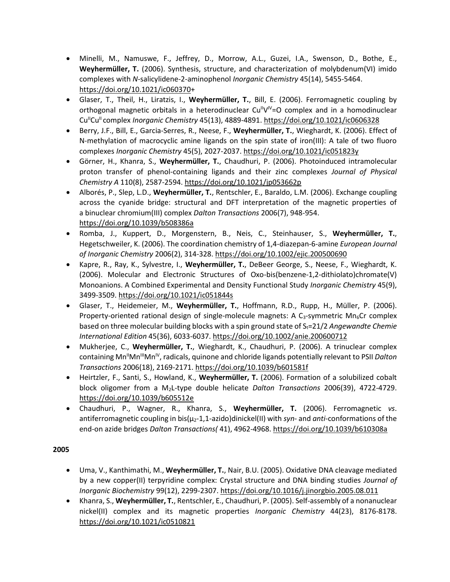- Minelli, M., Namuswe, F., Jeffrey, D., Morrow, A.L., Guzei, I.A., Swenson, D., Bothe, E., **Weyhermüller, T.** (2006). Synthesis, structure, and characterization of molybdenum(VI) imido complexes with *N-*salicylidene-2-aminophenol *Inorganic Chemistry* 45(14), 5455-5464. [https://doi.org/10.1021/ic060370+](https://doi.org/10.1021/ic060370)
- Glaser, T., Theil, H., Liratzis, I., **Weyhermüller, T.**, Bill, E. (2006). Ferromagnetic coupling by orthogonal magnetic orbitals in a heterodinuclear Cu<sup>ll</sup>V<sup>IV</sup>=O complex and in a homodinuclear Cu<sup>II</sup>Cu<sup>II</sup> complex *Inorganic Chemistry* 45(13), 4889-4891. <https://doi.org/10.1021/ic0606328>
- Berry, J.F., Bill, E., Garcia-Serres, R., Neese, F., **Weyhermüller, T.**, Wieghardt, K. (2006). Effect of N-methylation of macrocyclic amine ligands on the spin state of iron(III): A tale of two fluoro complexes *Inorganic Chemistry* 45(5), 2027-2037. <https://doi.org/10.1021/ic051823y>
- Görner, H., Khanra, S., **Weyhermüller, T.**, Chaudhuri, P. (2006). Photoinduced intramolecular proton transfer of phenol-containing ligands and their zinc complexes *Journal of Physical Chemistry A* 110(8), 2587-2594. <https://doi.org/10.1021/jp053662p>
- Alborés, P., Slep, L.D., **Weyhermüller, T.**, Rentschler, E., Baraldo, L.M. (2006). Exchange coupling across the cyanide bridge: structural and DFT interpretation of the magnetic properties of a binuclear chromium(III) complex *Dalton Transactions* 2006(7), 948-954. <https://doi.org/10.1039/b508386a>
- Romba, J., Kuppert, D., Morgenstern, B., Neis, C., Steinhauser, S., **Weyhermüller, T.**, Hegetschweiler, K. (2006). The coordination chemistry of 1,4-diazepan-6-amine *European Journal of Inorganic Chemistry* 2006(2), 314-328. <https://doi.org/10.1002/ejic.200500690>
- Kapre, R., Ray, K., Sylvestre, I., **Weyhermüller, T.**, DeBeer George, S., Neese, F., Wieghardt, K. (2006). Molecular and Electronic Structures of Oxo-bis(benzene-1,2-dithiolato)chromate(V) Monoanions. A Combined Experimental and Density Functional Study *Inorganic Chemistry* 45(9), 3499-3509.<https://doi.org/10.1021/ic051844s>
- Glaser, T., Heidemeier, M., **Weyhermüller, T.**, Hoffmann, R.D., Rupp, H., Müller, P. (2006). Property-oriented rational design of single-molecule magnets: A  $C_3$ -symmetric Mn<sub>6</sub>Cr complex based on three molecular building blocks with a spin ground state of S<sub>t</sub>=21/2 *Angewandte Chemie International Edition* 45(36), 6033-6037. <https://doi.org/10.1002/anie.200600712>
- Mukherjee, C., **Weyhermüller, T.**, Wieghardt, K., Chaudhuri, P. (2006). A trinuclear complex containing Mn<sup>II</sup>Mn<sup>II</sup>Mn<sup>IV</sup>, radicals, quinone and chloride ligands potentially relevant to PSII *Dalton Transactions* 2006(18), 2169-2171. <https://doi.org/10.1039/b601581f>
- Heirtzler, F., Santi, S., Howland, K., **Weyhermüller, T.** (2006). Formation of a solubilized cobalt block oligomer from a M2L-type double helicate *Dalton Transactions* 2006(39), 4722-4729. <https://doi.org/10.1039/b605512e>
- Chaudhuri, P., Wagner, R., Khanra, S., **Weyhermüller, T.** (2006). Ferromagnetic *vs*. antiferromagnetic coupling in bis(μ2-1,1-azido)dinickel(II) with *syn*- and *anti*-conformations of the end-on azide bridges *Dalton Transactions(* 41), 4962-4968. <https://doi.org/10.1039/b610308a>

- Uma, V., Kanthimathi, M., **Weyhermüller, T.**, Nair, B.U. (2005). Oxidative DNA cleavage mediated by a new copper(II) terpyridine complex: Crystal structure and DNA binding studies *Journal of Inorganic Biochemistry* 99(12), 2299-2307. <https://doi.org/10.1016/j.jinorgbio.2005.08.011>
- Khanra, S., **Weyhermüller, T.**, Rentschler, E., Chaudhuri, P. (2005). Self-assembly of a nonanuclear nickel(II) complex and its magnetic properties *Inorganic Chemistry* 44(23), 8176-8178. <https://doi.org/10.1021/ic0510821>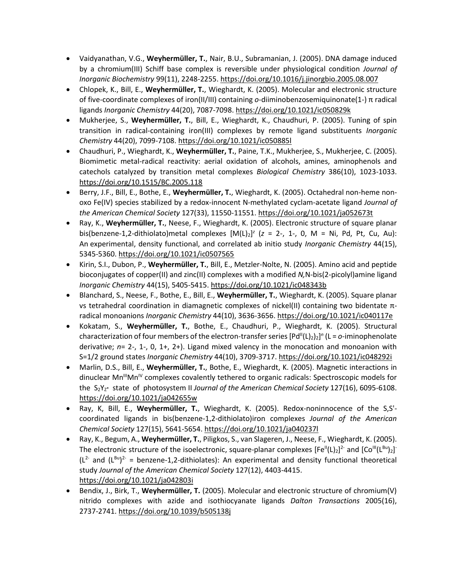- Vaidyanathan, V.G., **Weyhermüller, T.**, Nair, B.U., Subramanian, J. (2005). DNA damage induced by a chromium(III) Schiff base complex is reversible under physiological condition *Journal of Inorganic Biochemistry* 99(11), 2248-2255. <https://doi.org/10.1016/j.jinorgbio.2005.08.007>
- Chlopek, K., Bill, E., **Weyhermüller, T.**, Wieghardt, K. (2005). Molecular and electronic structure of five-coordinate complexes of iron(II/III) containing *o*-diiminobenzosemiquinonate(1-) π radical ligands *Inorganic Chemistry* 44(20), 7087-7098. <https://doi.org/10.1021/ic050829k>
- Mukherjee, S., **Weyhermüller, T.**, Bill, E., Wieghardt, K., Chaudhuri, P. (2005). Tuning of spin transition in radical-containing iron(III) complexes by remote ligand substituents *Inorganic Chemistry* 44(20), 7099-7108. <https://doi.org/10.1021/ic050885l>
- Chaudhuri, P., Wieghardt, K., **Weyhermüller, T.**, Paine, T.K., Mukherjee, S., Mukherjee, C. (2005). Biomimetic metal-radical reactivity: aerial oxidation of alcohols, amines, aminophenols and catechols catalyzed by transition metal complexes *Biological Chemistry* 386(10), 1023-1033. <https://doi.org/10.1515/BC.2005.118>
- Berry, J.F., Bill, E., Bothe, E., **Weyhermüller, T.**, Wieghardt, K. (2005). Octahedral non-heme nonoxo Fe(IV) species stabilized by a redox-innocent N-methylated cyclam-acetate ligand *Journal of the American Chemical Society* 127(33), 11550-11551. <https://doi.org/10.1021/ja052673t>
- Ray, K., **Weyhermüller, T.**, Neese, F., Wieghardt, K. (2005). Electronic structure of square planar bis(benzene-1,2-dithiolato)metal complexes  $[M(L)_2]^z$  ( $z = 2$ -, 1-, 0, M = Ni, Pd, Pt, Cu, Au): An experimental, density functional, and correlated ab initio study *Inorganic Chemistry* 44(15), 5345-5360. <https://doi.org/10.1021/ic0507565>
- Kirin, S.I., Dubon, P., **Weyhermüller, T.**, Bill, E., Metzler-Nolte, N. (2005). Amino acid and peptide bioconjugates of copper(II) and zinc(II) complexes with a modified *N,*N-bis(2-picolyl)amine ligand *Inorganic Chemistry* 44(15), 5405-5415. <https://doi.org/10.1021/ic048343b>
- Blanchard, S., Neese, F., Bothe, E., Bill, E., **Weyhermüller, T.**, Wieghardt, K. (2005). Square planar vs tetrahedral coordination in diamagnetic complexes of nickel(II) containing two bidentate πradical monoanions *Inorganic Chemistry* 44(10), 3636-3656. <https://doi.org/10.1021/ic040117e>
- Kokatam, S., **Weyhermüller, T.**, Bothe, E., Chaudhuri, P., Wieghardt, K. (2005). Structural characterization of four members of the electron-transfer series  $[Pd''(L)_2]_2]^n$  (L =  $o$ -iminophenolate derivative; *n*= 2-, 1-, 0, 1+, 2+). Ligand mixed valency in the monocation and monoanion with S=1/2 ground states *Inorganic Chemistry* 44(10), 3709-3717. <https://doi.org/10.1021/ic048292i>
- Marlin, D.S., Bill, E., **Weyhermüller, T.**, Bothe, E., Wieghardt, K. (2005). Magnetic interactions in  $dimuclear Mn<sup>IV</sup>$  complexes covalently tethered to organic radicals: Spectroscopic models for the S2YZ**·** state of photosystem II *Journal of the American Chemical Society* 127(16), 6095-6108. <https://doi.org/10.1021/ja042655w>
- Ray, K, Bill, E., **Weyhermüller, T.**, Wieghardt, K. (2005). Redox-noninnocence of the S,S' coordinated ligands in bis(benzene-1,2-dithiolato)iron complexes *Journal of the American Chemical Society* 127(15), 5641-5654. <https://doi.org/10.1021/ja040237l>
- Ray, K., Begum, A., **Weyhermüller, T.**, Piligkos, S., van Slageren, J., Neese, F., Wieghardt, K. (2005). The electronic structure of the isoelectronic, square-planar complexes  $[Fe^{II}(L)_2]^2$  and  $[Co^{III}(L^{Bu})_2]$  $(L^{2-}$  and  $(L^{Bu})^{2-}$  = benzene-1,2-dithiolates): An experimental and density functional theoretical study *Journal of the American Chemical Society* 127(12), 4403-4415. <https://doi.org/10.1021/ja042803i>
- Bendix, J., Birk, T., **Weyhermüller, T.** (2005). Molecular and electronic structure of chromium(V) nitrido complexes with azide and isothiocyanate ligands *Dalton Transactions* 2005(16), 2737-2741.<https://doi.org/10.1039/b505138j>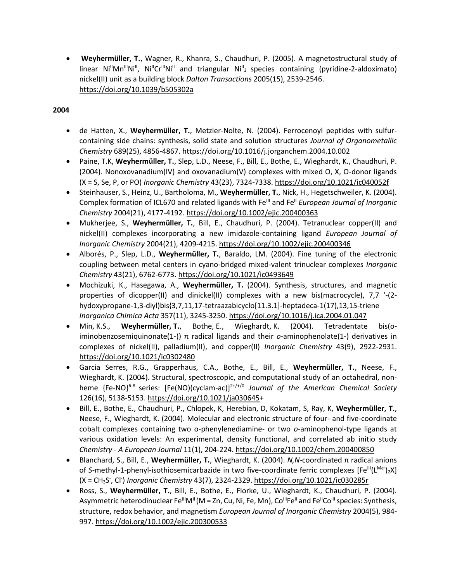• **Weyhermüller, T.**, Wagner, R., Khanra, S., Chaudhuri, P. (2005). A magnetostructural study of linear Ni<sup>II</sup>Mn<sup>III</sup>Ni<sup>II</sup>, Ni<sup>II</sup>Cr<sup>III</sup>Ni<sup>II</sup> and triangular Ni<sup>II</sup><sub>3</sub> species containing (pyridine-2-aldoximato) nickel(II) unit as a building block *Dalton Transactions* 2005(15), 2539-2546. <https://doi.org/10.1039/b505302a>

- de Hatten, X., **Weyhermüller, T.**, Metzler-Nolte, N. (2004). Ferrocenoyl peptides with sulfurcontaining side chains: synthesis, solid state and solution structures *Journal of Organometallic Chemistry* 689(25), 4856-4867. <https://doi.org/10.1016/j.jorganchem.2004.10.002>
- Paine, T.K, **Weyhermüller, T.**, Slep, L.D., Neese, F., Bill, E., Bothe, E., Wieghardt, K., Chaudhuri, P. (2004). Nonoxovanadium(IV) and oxovanadium(V) complexes with mixed O, X, O-donor ligands (X = S, Se, P, or PO) *Inorganic Chemistry* 43(23), 7324-7338. <https://doi.org/10.1021/ic040052f>
- Steinhauser, S., Heinz, U., Bartholoma, M., **Weyhermüller, T.**, Nick, H., Hegetschweiler, K. (2004). Complex formation of ICL670 and related ligands with Fe<sup>III</sup> and Fe<sup>II</sup> *European Journal of Inorganic Chemistry* 2004(21), 4177-4192. <https://doi.org/10.1002/ejic.200400363>
- Mukherjee, S., **Weyhermüller, T.**, Bill, E., Chaudhuri, P. (2004). Tetranuclear copper(II) and nickel(II) complexes incorporating a new imidazole-containing ligand *European Journal of Inorganic Chemistry* 2004(21), 4209-4215. <https://doi.org/10.1002/ejic.200400346>
- Alborés, P., Slep, L.D., **Weyhermüller, T.**, Baraldo, LM. (2004). Fine tuning of the electronic coupling between metal centers in cyano-bridged mixed-valent trinuclear complexes *Inorganic Chemistry* 43(21), 6762-6773. <https://doi.org/10.1021/ic0493649>
- Mochizuki, K., Hasegawa, A., **Weyhermüller, T.** (2004). Synthesis, structures, and magnetic properties of dicopper(II) and dinickel(II) complexes with a new bis(macrocycle), 7,7 '-(2 hydoxypropane-1,3-diyl)bis{3,7,11,17-tetraazabicyclo[11.3.1]-heptadeca-1(17),13,15-triene *Inorganica Chimica Acta* 357(11), 3245-3250. <https://doi.org/10.1016/j.ica.2004.01.047>
- Min, K.S., **Weyhermüller, T.**, Bothe, E., Wieghardt, K. (2004). Tetradentate bis(oiminobenzosemiquinonate(1-)) π radical ligands and their *o*-aminophenolate(1-) derivatives in complexes of nickel(II), palladium(II), and copper(II) *Inorganic Chemistry* 43(9), 2922-2931. <https://doi.org/10.1021/ic0302480>
- Garcia Serres, R.G., Grapperhaus, C.A., Bothe, E., Bill, E., **Weyhermüller, T.**, Neese, F., Wieghardt, K. (2004). Structural, spectroscopic, and computational study of an octahedral, nonheme {Fe-NO}<sup>6-8</sup> series: [Fe(NO)(cyclam-ac)]<sup>2+/+/0</sup> Journal of the American Chemical Society 126(16), 5138-5153. [https://doi.org/10.1021/ja030645+](https://doi.org/10.1021/ja030645)
- Bill, E., Bothe, E., Chaudhuri, P., Chlopek, K, Herebian, D, Kokatam, S, Ray, K, **Weyhermüller, T.**, Neese, F., Wieghardt, K. (2004). Molecular and electronic structure of four- and five-coordinate cobalt complexes containing two o-phenylenediamine- or two *o*-aminophenol-type ligands at various oxidation levels: An experimental, density functional, and correlated ab initio study *Chemistry - A European Journal* 11(1), 204-224[. https://doi.org/10.1002/chem.200400850](https://doi.org/10.1002/chem.200400850)
- Blanchard, S., Bill, E., **Weyhermüller, T.**, Wieghardt, K. (2004). *N,N*-coordinated π radical anions of S-methyl-1-phenyl-isothiosemicarbazide in two five-coordinate ferric complexes [Fe<sup>III</sup>(L<sup>Me·</sup>)<sub>2</sub>X] (X = CH<sub>3</sub>S, Cl<sup>-</sup>) *Inorganic Chemistry* 43(7), 2324-2329. <https://doi.org/10.1021/ic030285r>
- Ross, S., **Weyhermüller, T.**, Bill, E., Bothe, E., Florke, U., Wieghardt, K., Chaudhuri, P. (2004). Asymmetric heterodinuclear Fe<sup>ll</sup>M" (M = Zn, Cu, Ni, Fe, Mn), Co<sup>ll</sup>Fe<sup>ll</sup> and Fe<sup>ll</sup>Co<sup>lll</sup> species: Synthesis, structure, redox behavior, and magnetism *European Journal of Inorganic Chemistry* 2004(5), 984- 997. <https://doi.org/10.1002/ejic.200300533>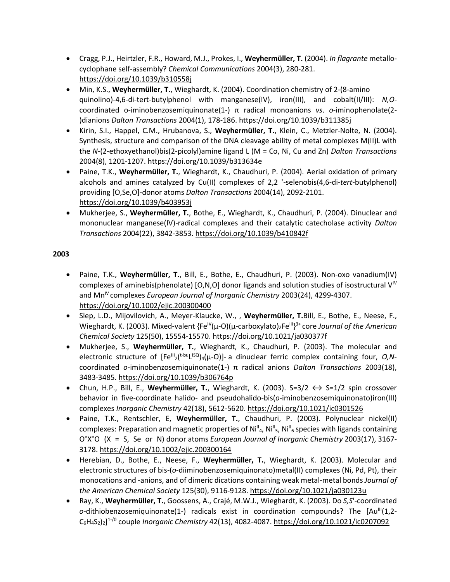- Cragg, P.J., Heirtzler, F.R., Howard, M.J., Prokes, I., **Weyhermüller, T.** (2004). *In flagrante* metallocyclophane self-assembly? *Chemical Communications* 2004(3), 280-281. <https://doi.org/10.1039/b310558j>
- Min, K.S., **Weyhermüller, T.**, Wieghardt, K. (2004). Coordination chemistry of 2-(8-amino quinolino)-4,6-di-tert-butylphenol with manganese(IV), iron(III), and cobalt(II/III): *N,O*coordinated o-iminobenzosemiquinonate(1-) π radical monoanions *vs*. *o*-iminophenolate(2- )dianions *Dalton Transactions* 2004(1), 178-186. <https://doi.org/10.1039/b311385j>
- Kirin, S.I., Happel, C.M., Hrubanova, S., **Weyhermüller, T.**, Klein, C., Metzler-Nolte, N. (2004). Synthesis, structure and comparison of the DNA cleavage ability of metal complexes M(II)L with the *N*-(2-ethoxyethanol)bis(2-picolyl)amine ligand L (M = Co, Ni, Cu and Zn) *Dalton Transactions* 2004(8), 1201-1207. <https://doi.org/10.1039/b313634e>
- Paine, T.K., **Weyhermüller, T.**, Wieghardt, K., Chaudhuri, P. (2004). Aerial oxidation of primary alcohols and amines catalyzed by Cu(II) complexes of 2,2 '-selenobis(4,6-di-*tert*-butylphenol) providing [O,Se,O]-donor atoms *Dalton Transactions* 2004(14), 2092-2101. <https://doi.org/10.1039/b403953j>
- Mukherjee, S., **Weyhermüller, T.**, Bothe, E., Wieghardt, K., Chaudhuri, P. (2004). Dinuclear and mononuclear manganese(IV)-radical complexes and their catalytic catecholase activity *Dalton Transactions* 2004(22), 3842-3853. <https://doi.org/10.1039/b410842f>

- Paine, T.K., **Weyhermüller, T.**, Bill, E., Bothe, E., Chaudhuri, P. (2003). Non-oxo vanadium(IV) complexes of aminebis(phenolate) [O,N,O] donor ligands and solution studies of isostructural  $V^{\vee}$ and MnIV complexes *European Journal of Inorganic Chemistry* 2003(24), 4299-4307. <https://doi.org/10.1002/ejic.200300400>
- Slep, L.D., Mijovilovich, A., Meyer-Klaucke, W., , **Weyhermüller, T.**Bill, E., Bothe, E., Neese, F., Wieghardt, K. (2003). Mixed-valent {Fe<sup>IV</sup>(μ-O)(μ-carboxylato)<sub>2</sub>Fe<sup>III</sup>}<sup>3+</sup> core *Journal of the American Chemical Society* 125(50), 15554-15570. <https://doi.org/10.1021/ja030377f>
- Mukherjee, S., **Weyhermüller, T.**, Wieghardt, K., Chaudhuri, P. (2003). The molecular and electronic structure of [Fe<sup>ιl1</sup>2(<sup>t-bu</sup>L<sup>ISQ</sup>)<sub>4</sub>(μ-O)]- a dinuclear ferric complex containing four, *O,N*coordinated *o*-iminobenzosemiquinonate(1-) π radical anions *Dalton Transactions* 2003(18), 3483-3485. <https://doi.org/10.1039/b306764p>
- Chun, H.P., Bill, E., Weyhermüller, T., Wieghardt, K. (2003). S=3/2  $\leftrightarrow$  S=1/2 spin crossover behavior in five-coordinate halido- and pseudohalido-bis(*o*-iminobenzosemiquinonato)iron(III) complexes *Inorganic Chemistry* 42(18), 5612-5620. <https://doi.org/10.1021/ic0301526>
- Paine, T.K., Rentschler, E, **Weyhermüller, T.**, Chaudhuri, P. (2003). Polynuclear nickel(II) complexes: Preparation and magnetic properties of Ni<sup>n</sup><sub>4</sub>, Ni<sup>n</sup><sub>5</sub>, Ni<sup>n</sup><sub>6</sub> species with ligands containing O **ᴖ**X **<sup>ᴖ</sup>**O (X = S, Se or N) donor atoms *European Journal of Inorganic Chemistry* 2003(17), 3167- 3178. <https://doi.org/10.1002/ejic.200300164>
- Herebian, D., Bothe, E., Neese, F., **Weyhermüller, T.**, Wieghardt, K. (2003). Molecular and electronic structures of bis-(*o*-diiminobenzosemiquinonato)metal(II) complexes (Ni, Pd, Pt), their monocations and -anions, and of dimeric dications containing weak metal-metal bonds *Journal of the American Chemical Society* 125(30), 9116-9128. <https://doi.org/10.1021/ja030123u>
- Ray, K., **Weyhermüller, T.**, Goossens, A., Crajé, M.W.J., Wieghardt, K. (2003). Do *S,S*'-coordinated  $o$ -dithiobenzosemiquinonate(1-) radicals exist in coordination compounds? The  $[Au^{\parallel \parallel}(1,2-$ C6H4S2)2] 1-/0 couple *Inorganic Chemistry* 42(13), 4082-4087. <https://doi.org/10.1021/ic0207092>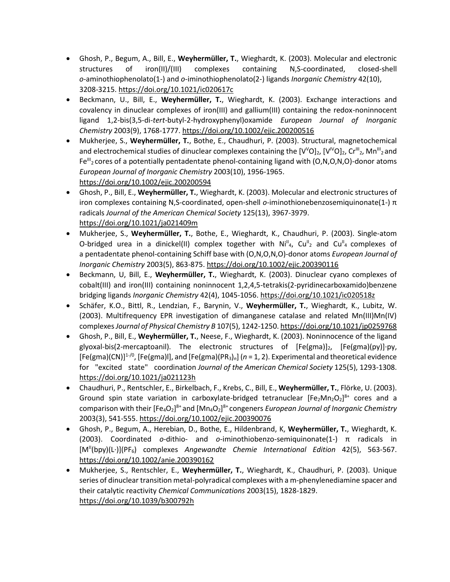- Ghosh, P., Begum, A., Bill, E., **Weyhermüller, T.**, Wieghardt, K. (2003). Molecular and electronic structures of iron(II)/(III) complexes containing N,S-coordinated, closed-shell *o-*aminothiophenolato(1-) and *o-*iminothiophenolato(2-) ligands *Inorganic Chemistry* 42(10), 3208-3215. <https://doi.org/10.1021/ic020617c>
- Beckmann, U., Bill, E., **Weyhermüller, T.**, Wieghardt, K. (2003). Exchange interactions and covalency in dinuclear complexes of iron(III) and gallium(III) containing the redox-noninnocent ligand 1,2-bis(3,5-di-*tert*-butyl-2-hydroxyphenyl)oxamide *European Journal of Inorganic Chemistry* 2003(9), 1768-1777. <https://doi.org/10.1002/ejic.200200516>
- Mukherjee, S., **Weyhermüller, T.**, Bothe, E., Chaudhuri, P. (2003). Structural, magnetochemical and electrochemical studies of dinuclear complexes containing the  $[V^{\vee}O]_2$ ,  $[V^{\vee}O]_2$ ,  $Cr^{\mathfrak{m}}_2$ , Mn $^{\mathfrak{m}}_2$  and Fe $^{III}$ <sub>2</sub> cores of a potentially pentadentate phenol-containing ligand with (O,N,O,N,O)-donor atoms *European Journal of Inorganic Chemistry* 2003(10), 1956-1965. <https://doi.org/10.1002/ejic.200200594>
- Ghosh, P., Bill, E., **Weyhermüller, T.**, Wieghardt, K. (2003). Molecular and electronic structures of iron complexes containing N,S-coordinated, open-shell *o*-iminothionebenzosemiquinonate(1-) π radicals *Journal of the American Chemical Society* 125(13), 3967-3979. <https://doi.org/10.1021/ja021409m>
- Mukherjee, S., **Weyhermüller, T.**, Bothe, E., Wieghardt, K., Chaudhuri, P. (2003). Single-atom O-bridged urea in a dinickel(II) complex together with  $Ni<sup>II</sup><sub>4</sub>$ , Cu<sup>II</sup><sub>2</sub> and Cu<sup>II</sup><sub>4</sub> complexes of a pentadentate phenol-containing Schiff base with (O,N,O,N,O)-donor atoms *European Journal of Inorganic Chemistry* 2003(5), 863-875. <https://doi.org/10.1002/ejic.200390116>
- Beckmann, U, Bill, E., **Weyhermüller, T.**, Wieghardt, K. (2003). Dinuclear cyano complexes of cobalt(III) and iron(III) containing noninnocent 1,2,4,5-tetrakis(2-pyridinecarboxamido)benzene bridging ligands *Inorganic Chemistry* 42(4), 1045-1056. <https://doi.org/10.1021/ic020518z>
- Schäfer, K.O., Bittl, R., Lendzian, F., Barynin, V., **Weyhermüller, T.**, Wieghardt, K., Lubitz, W. (2003). Multifrequency EPR investigation of dimanganese catalase and related Mn(III)Mn(IV) complexes *Journal of Physical Chemistry B* 107(5), 1242-1250. <https://doi.org/10.1021/jp0259768>
- Ghosh, P., Bill, E., **Weyhermüller, T.**, Neese, F., Wieghardt, K. (2003). Noninnocence of the ligand glyoxal-bis(2-mercaptoanil). The electronic structures of  $[Fe(gma)]_2$ ,  $[Fe(gma)(py)]\cdot py$ , [Fe(gma)(CN)]1-/0, [Fe(gma)l], and [Fe(gma)(PR3)*n*] (*n* = 1, 2). Experimental and theoretical evidence for "excited state" coordination *Journal of the American Chemical Society* 125(5), 1293-1308. <https://doi.org/10.1021/ja021123h>
- Chaudhuri, P., Rentschler, E., Birkelbach, F., Krebs, C., Bill, E., **Weyhermüller, T.**, Flörke, U. (2003). Ground spin state variation in carboxylate-bridged tetranuclear  $[Fe<sub>2</sub>Mn<sub>2</sub>O<sub>2</sub>]^{8+}$  cores and a comparison with their [Fe<sub>4</sub>O<sub>2</sub>]<sup>8+</sup> and [Mn<sub>4</sub>O<sub>2</sub>]<sup>8+</sup> congeners *European Journal of Inorganic Chemistry* 2003(3), 541-555. <https://doi.org/10.1002/ejic.200390076>
- Ghosh, P., Begum, A., Herebian, D., Bothe, E., Hildenbrand, K, **Weyhermüller, T.**, Wieghardt, K. (2003). Coordinated *o*-dithio- and *o*-iminothiobenzo-semiquinonate(1-) π radicals in [MII(bpy)(L·)](PF6) complexes *Angewandte Chemie International Edition* 42(5), 563-567. <https://doi.org/10.1002/anie.200390162>
- Mukherjee, S., Rentschler, E., **Weyhermüller, T.**, Wieghardt, K., Chaudhuri, P. (2003). Unique series of dinuclear transition metal-polyradical complexes with a m-phenylenediamine spacer and their catalytic reactivity *Chemical Communications* 2003(15), 1828-1829. <https://doi.org/10.1039/b300792h>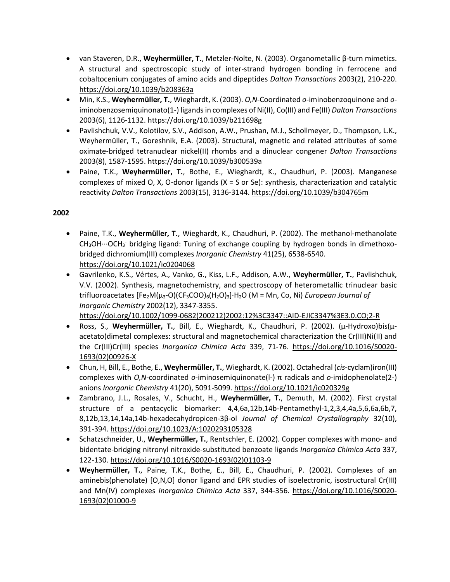- van Staveren, D.R., **Weyhermüller, T.**, Metzler-Nolte, N. (2003). Organometallic β-turn mimetics. A structural and spectroscopic study of inter-strand hydrogen bonding in ferrocene and cobaltocenium conjugates of amino acids and dipeptides *Dalton Transactions* 2003(2), 210-220. <https://doi.org/10.1039/b208363a>
- Min, K.S., **Weyhermüller, T.**, Wieghardt, K. (2003). *O,N*-Coordinated *o*-iminobenzoquinone and *o*iminobenzosemiquinonato(1-) ligands in complexes of Ni(II), Co(III) and Fe(III) *Dalton Transactions* 2003(6), 1126-1132. <https://doi.org/10.1039/b211698g>
- Pavlishchuk, V.V., Kolotilov, S.V., Addison, A.W., Prushan, M.J., Schollmeyer, D., Thompson, L.K., Weyhermüller, T., Goreshnik, E.A. (2003). Structural, magnetic and related attributes of some oximate-bridged tetranuclear nickel(II) rhombs and a dinuclear congener *Dalton Transactions* 2003(8), 1587-1595. <https://doi.org/10.1039/b300539a>
- Paine, T.K., **Weyhermüller, T.**, Bothe, E., Wieghardt, K., Chaudhuri, P. (2003). Manganese complexes of mixed O, X, O-donor ligands (X = S or Se): synthesis, characterization and catalytic reactivity *Dalton Transactions* 2003(15), 3136-3144. <https://doi.org/10.1039/b304765m>

- Paine, T.K., **Weyhermüller, T.**, Wieghardt, K., Chaudhuri, P. (2002). The methanol-methanolate  $CH<sub>3</sub>OH...OCH<sub>3</sub>$  bridging ligand: Tuning of exchange coupling by hydrogen bonds in dimethoxobridged dichromium(III) complexes *Inorganic Chemistry* 41(25), 6538-6540. <https://doi.org/10.1021/ic0204068>
- Gavrilenko, K.S., Vértes, A., Vanko, G., Kiss, L.F., Addison, A.W., **Weyhermüller, T.**, Pavlishchuk, V.V. (2002). Synthesis, magnetochemistry, and spectroscopy of heterometallic trinuclear basic trifluoroacetates [Fe2M(μ3-O)(CF3COO)6(H2O)3]·H2O (M = Mn, Co, Ni) *European Journal of Inorganic Chemistry* 2002(12), 3347-3355.

[https://doi.org/10.1002/1099-0682\(200212\)2002:12%3C3347::AID-EJIC3347%3E3.0.CO;2-R](https://doi.org/10.1002/1099-0682(200212)2002:12%3C3347::AID-EJIC3347%3E3.0.CO;2-R)

- Ross, S., **Weyhermüller, T.**, Bill, E., Wieghardt, K., Chaudhuri, P. (2002). (μ-Hydroxo)bis(μacetato)dimetal complexes: structural and magnetochemical characterization the Cr(III)Ni(II) and the Cr(III)Cr(III) species *Inorganica Chimica Acta* 339, 71-76. [https://doi.org/10.1016/S0020-](https://doi.org/10.1016/S0020-1693(02)00926-X) [1693\(02\)00926-X](https://doi.org/10.1016/S0020-1693(02)00926-X)
- Chun, H, Bill, E., Bothe, E., **Weyhermüller, T.**, Wieghardt, K. (2002). Octahedral (*cis*-cyclam)iron(III) complexes with *O,N*-coordinated *o*-iminosemiquinonate(l-) π radicals and *o*-imidophenolate(2-) anions *Inorganic Chemistry* 41(20), 5091-5099. <https://doi.org/10.1021/ic020329g>
- Zambrano, J.L., Rosales, V., Schucht, H., **Weyhermüller, T.**, Demuth, M. (2002). First crystal structure of a pentacyclic biomarker: 4,4,6a,12b,14b-Pentamethyl-1,2,3,4,4a,5,6,6a,6b,7, 8,12b,13,14,14a,14b-hexadecahydropicen-3β-ol *Journal of Chemical Crystallography* 32(10), 391-394. <https://doi.org/10.1023/A:1020293105328>
- Schatzschneider, U., **Weyhermüller, T.**, Rentschler, E. (2002). Copper complexes with mono- and bidentate-bridging nitronyl nitroxide-substituted benzoate ligands *Inorganica Chimica Acta* 337, 122-130. [https://doi.org/10.1016/S0020-1693\(02\)01103-9](https://doi.org/10.1016/S0020-1693(02)01103-9)
- **Weyhermüller, T.**, Paine, T.K., Bothe, E., Bill, E., Chaudhuri, P. (2002). Complexes of an aminebis(phenolate) [O,N,O] donor ligand and EPR studies of isoelectronic, isostructural Cr(III) and Mn(IV) complexes *Inorganica Chimica Acta* 337, 344-356. [https://doi.org/10.1016/S0020-](https://doi.org/10.1016/S0020-1693(02)01000-9) [1693\(02\)01000-9](https://doi.org/10.1016/S0020-1693(02)01000-9)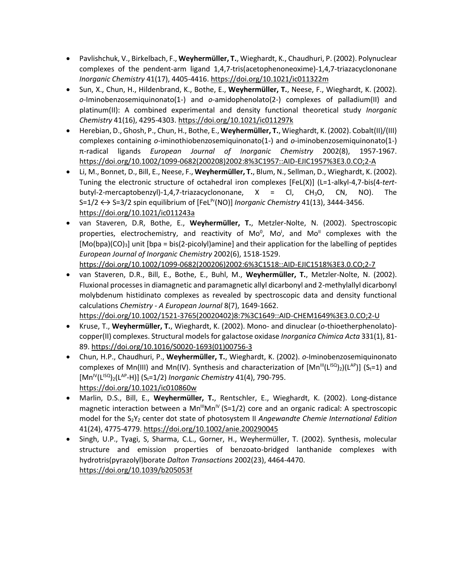- Pavlishchuk, V., Birkelbach, F., **Weyhermüller, T.**, Wieghardt, K., Chaudhuri, P. (2002). Polynuclear complexes of the pendent-arm ligand 1,4,7-tris(acetophenoneoxime)-1,4,7-triazacyclononane *Inorganic Chemistry* 41(17), 4405-4416. <https://doi.org/10.1021/ic011322m>
- Sun, X., Chun, H., Hildenbrand, K., Bothe, E., **Weyhermüller, T.**, Neese, F., Wieghardt, K. (2002). *o*-Iminobenzosemiquinonato(1-) and *o*-amidophenolato(2-) complexes of palladium(II) and platinum(II): A combined experimental and density functional theoretical study *Inorganic Chemistry* 41(16), 4295-4303. <https://doi.org/10.1021/ic011297k>
- Herebian, D., Ghosh, P., Chun, H., Bothe, E., **Weyhermüller, T.**, Wieghardt, K. (2002). Cobalt(II)/(III) complexes containing *o*-iminothiobenzosemiquinonato(1-) and *o*-iminobenzosemiquinonato(1-) π-radical ligands *European Journal of Inorganic Chemistry* 2002(8), 1957-1967. [https://doi.org/10.1002/1099-0682\(200208\)2002:8%3C1957::AID-EJIC1957%3E3.0.CO;2-A](https://doi.org/10.1002/1099-0682(200208)2002:8%3C1957::AID-EJIC1957%3E3.0.CO;2-A)
- Li, M., Bonnet, D., Bill, E., Neese, F., **Weyhermüller, T.**, Blum, N., Sellman, D., Wieghardt, K. (2002). Tuning the electronic structure of octahedral iron complexes [FeL(X)] (L=1-alkyl-4,7-bis(4-*tert*butyl-2-mercaptobenzyl)-1,4,7-triazacyclononane,  $X = Cl$ , CH<sub>3</sub>O, CN, NO). The S=1/2 ↔ S=3/2 spin equilibrium of [FeL<sup>Pr</sup>(NO)] *Inorganic Chemistry* 41(13), 3444-3456. <https://doi.org/10.1021/ic011243a>
- van Staveren, D.R, Bothe, E., **Weyhermüller, T.**, Metzler-Nolte, N. (2002). Spectroscopic properties, electrochemistry, and reactivity of Mo<sup>0</sup>, Mo<sup>1</sup>, and Mo<sup>II</sup> complexes with the  $[Mo(bpa)(CO)<sub>3</sub>]$  unit  $[bpa = bis(2-picoly)]$ amine] and their application for the labelling of peptides *European Journal of Inorganic Chemistry* 2002(6), 1518-1529. [https://doi.org/10.1002/1099-0682\(200206\)2002:6%3C1518::AID-EJIC1518%3E3.0.CO;2-7](https://doi.org/10.1002/1099-0682(200206)2002:6%3C1518::AID-EJIC1518%3E3.0.CO;2-7)
- van Staveren, D.R., Bill, E., Bothe, E., Buhl, M., **Weyhermüller, T.**, Metzler-Nolte, N. (2002). Fluxional processes in diamagnetic and paramagnetic allyl dicarbonyl and 2-methylallyl dicarbonyl molybdenum histidinato complexes as revealed by spectroscopic data and density functional calculations *Chemistry - A European Journal* 8(7), 1649-1662. [https://doi.org/10.1002/1521-3765\(20020402\)8:7%3C1649::AID-CHEM1649%3E3.0.CO;2-U](https://doi.org/10.1002/1521-3765(20020402)8:7%3C1649::AID-CHEM1649%3E3.0.CO;2-U)
- Kruse, T., **Weyhermüller, T.**, Wieghardt, K. (2002). Mono- and dinuclear (*o*-thioetherphenolato) copper(II) complexes. Structural models for galactose oxidase *Inorganica Chimica Acta* 331(1), 81- 89. [https://doi.org/10.1016/S0020-1693\(01\)00756-3](https://doi.org/10.1016/S0020-1693(01)00756-3)
- Chun, H.P., Chaudhuri, P., **Weyhermüller, T.**, Wieghardt, K. (2002). *o-*Iminobenzosemiquinonato complexes of Mn(III) and Mn(IV). Synthesis and characterization of  $[Mn^{\text{III}}(L^{1SQ})_2)(L^{AP})$ ] (S<sub>t</sub>=1) and [Mn<sup>IV</sup>(L<sup>ISQ</sup>)<sub>2</sub>(L<sup>AP</sup>-H)] (S<sub>t</sub>=1/2) *Inorganic Chemistry* 41(4), 790-795. <https://doi.org/10.1021/ic010860w>
- Marlin, D.S., Bill, E., **Weyhermüller, T.**, Rentschler, E., Wieghardt, K. (2002). Long-distance magnetic interaction between a  $Mn^{\text{III}}Mn^{\text{IV}}$  (S=1/2) core and an organic radical: A spectroscopic model for the S<sub>2</sub>Y<sub>Z</sub> center dot state of photosystem II *Angewandte Chemie International Edition* 41(24), 4775-4779. <https://doi.org/10.1002/anie.200290045>
- Singh, U.P., Tyagi, S, Sharma, C.L., Gorner, H., Weyhermüller, T. (2002). Synthesis, molecular structure and emission properties of benzoato-bridged lanthanide complexes with hydrotris(pyrazolyl)borate *Dalton Transactions* 2002(23), 4464-4470. <https://doi.org/10.1039/b205053f>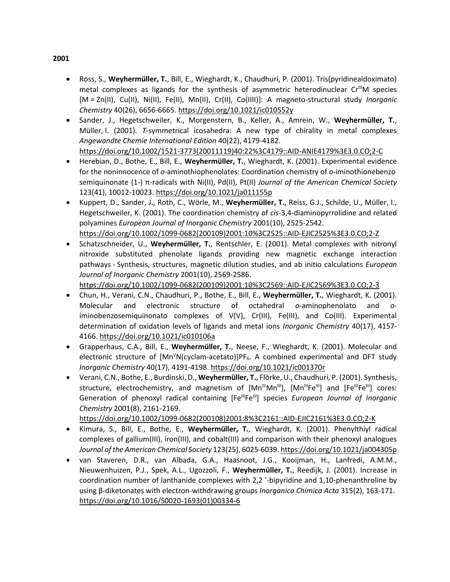- Ross, S., **Weyhermüller, T.**, Bill, E., Wieghardt, K., Chaudhuri, P. (2001). Tris(pyridinealdoximato) metal complexes as ligands for the synthesis of asymmetric heterodinuclear  $Cr<sup>III</sup>M$  species [M = Zn(II), Cu(II), Ni(II), Fe(II), Mn(II), Cr(II), Co(IIII)]: A magneto-structural study *Inorganic Chemistry* 40(26), 6656-6665. <https://doi.org/10.1021/ic010552y>
- Sander, J., Hegetschweiler, K., Morgenstern, B., Keller, A., Amrein, W., **Weyhermüller, T.**, Müller, I. (2001). *T*-symmetrical icosahedra: A new type of chirality in metal complexes *Angewandte Chemie International Edition* 40(22), 4179-4182. [https://doi.org/10.1002/1521-3773\(20011119\)40:22%3C4179::AID-ANIE4179%3E3.0.CO;2-C](https://doi.org/10.1002/1521-3773(20011119)40:22%3C4179::AID-ANIE4179%3E3.0.CO;2-C)
- Herebian, D., Bothe, E., Bill, E., **Weyhermüller, T.**, Wieghardt, K. (2001). Experimental evidence for the noninnocence of *o*-aminothiophenolates: Coordination chemistry of *o-*iminothionebenzo semiquinonate (1-) π-radicals with Ni(II), Pd(II), Pt(II) *Journal of the American Chemical Society*  123(41), 10012-10023. <https://doi.org/10.1021/ja011155p>
- Kuppert, D., Sander, J., Roth, C., Wörle, M., **Weyhermüller, T.**, Reiss, G.J., Schilde, U., Müller, I., Hegetschweiler, K. (2001). The coordination chemistry of *cis*-3,4-diaminopyrrolidine and related polyamines *European Journal of Inorganic Chemistry* 2001(10), 2525-2542. [https://doi.org/10.1002/1099-0682\(200109\)2001:10%3C2525::AID-EJIC2525%3E3.0.CO;2-Z](https://doi.org/10.1002/1099-0682(200109)2001:10%3C2525::AID-EJIC2525%3E3.0.CO;2-Z)
- Schatzschneider, U., **Weyhermüller, T.**, Rentschler, E. (2001). Metal complexes with nitronyl nitroxide substituted phenolate ligands providing new magnetic exchange interaction pathways - Synthesis, structures, magnetic dilution studies, and ab initio calculations *European Journal of Inorganic Chemistry* 2001(10), 2569-2586. [https://doi.org/10.1002/1099-0682\(200109\)2001:10%3C2569::AID-EJIC2569%3E3.0.CO;2-3](https://doi.org/10.1002/1099-0682(200109)2001:10%3C2569::AID-EJIC2569%3E3.0.CO;2-3)
- Chun, H., Verani, C.N., Chaudhuri, P., Bothe, E., Bill, E., **Weyhermüller, T.**, Wieghardt, K. (2001). Molecular and electronic structure of octahedral *o*-aminophenolato and *o*iminobenzosemiquinonato complexes of V(V), Cr(III), Fe(III), and Co(III). Experimental determination of oxidation levels of ligands and metal ions *Inorganic Chemistry* 40(17), 4157- 4166. <https://doi.org/10.1021/ic010106a>
- Grapperhaus, C.A., Bill, E., **Weyhermüller, T.**, Neese, F., Wieghardt, K. (2001). Molecular and electronic structure of [Mn<sup>V</sup>N(cyclam-acetato)]PF<sub>6</sub>. A combined experimental and DFT study *Inorganic Chemistry* 40(17), 4191-4198. <https://doi.org/10.1021/ic001370r>
- Verani, C.N., Bothe, E., Burdinski, D., **Weyhermüller, T.**, Flörke, U., Chaudhuri, P. (2001). Synthesis, structure, electrochemistry, and magnetism of [Mn<sup>III</sup>Mn<sup>III</sup>], [Mn<sup>III</sup>Fe<sup>III</sup>] and [Fe<sup>III</sup>Fe<sup>III</sup>] cores: Generation of phenoxyl radical containing [Fe<sup>III</sup>Fe<sup>III</sup>] species *European Journal of Inorganic Chemistry* 2001(8), 2161-2169.

[https://doi.org/10.1002/1099-0682\(200108\)2001:8%3C2161::AID-EJIC2161%3E3.0.CO;2-K](https://doi.org/10.1002/1099-0682(200108)2001:8%3C2161::AID-EJIC2161%3E3.0.CO;2-K)

- Kimura, S., Bill, E., Bothe, E., **Weyhermüller, T.**, Wieghardt, K. (2001). Phenylthiyl radical complexes of gallium(III), iron(III), and cobalt(III) and comparison with their phenoxyl analogues *Journal of the American Chemical Society* 123(25), 6025-6039. <https://doi.org/10.1021/ja004305p>
- van Staveren, D.R., van Albada, G.A., Haasnoot, J.G., Kooijman, H., Lanfredi, A.M.M., Nieuwenhuizen, P.J., Spek, A.L., Ugozzoli, F., **Weyhermüller, T.**, Reedijk, J. (2001). Increase in coordination number of lanthanide complexes with 2,2 '-bipyridine and 1,10-phenanthroline by using β-diketonates with electron-withdrawing groups *Inorganica Chimica Acta* 315(2), 163-171. [https://doi.org/10.1016/S0020-1693\(01\)00334-6](https://doi.org/10.1016/S0020-1693(01)00334-6)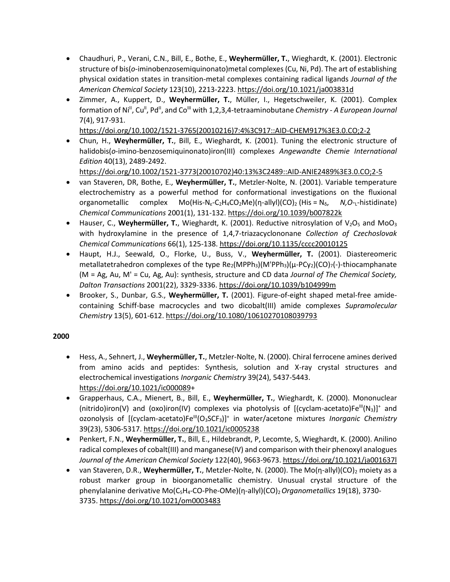- Chaudhuri, P., Verani, C.N., Bill, E., Bothe, E., **Weyhermüller, T.**, Wieghardt, K. (2001). Electronic structure of bis(*o*-iminobenzosemiquinonato)metal complexes (Cu, Ni, Pd). The art of establishing physical oxidation states in transition-metal complexes containing radical ligands *Journal of the American Chemical Society* 123(10), 2213-2223. <https://doi.org/10.1021/ja003831d>
- Zimmer, A., Kuppert, D., **Weyhermüller, T.**, Müller, I., Hegetschweiler, K. (2001). Complex formation of Ni<sup>II</sup>, Cu<sup>II</sup>, Pd<sup>II</sup>, and Co<sup>III</sup> with 1,2,3,4-tetraaminobutane *Chemistry - A European Journal* 7(4), 917-931.

[https://doi.org/10.1002/1521-3765\(20010216\)7:4%3C917::AID-CHEM917%3E3.0.CO;2-2](https://doi.org/10.1002/1521-3765(20010216)7:4%3C917::AID-CHEM917%3E3.0.CO;2-2)

• Chun, H., **Weyhermüller, T.**, Bill, E., Wieghardt, K. (2001). Tuning the electronic structure of halidobis(*o*-imino-benzosemiquinonato)iron(III) complexes *Angewandte Chemie International Edition* 40(13), 2489-2492.

[https://doi.org/10.1002/1521-3773\(20010702\)40:13%3C2489::AID-ANIE2489%3E3.0.CO;2-5](https://doi.org/10.1002/1521-3773(20010702)40:13%3C2489::AID-ANIE2489%3E3.0.CO;2-5)

- van Staveren, DR, Bothe, E., **Weyhermüller, T.**, Metzler-Nolte, N. (2001). Variable temperature electrochemistry as a powerful method for conformational investigations on the fluxional organometallic complex Mo(His-N<sub>ε</sub>-C<sub>2</sub>H<sub>4</sub>CO<sub>2</sub>Me)(η-allyl)(CO)<sub>2</sub> (His = N<sub>δ</sub>, *N*,O-<sub>L</sub>-histidinate) *Chemical Communications* 2001(1), 131-132. <https://doi.org/10.1039/b007822k>
- Hauser, C., Weyhermüller, T., Wieghardt, K. (2001). Reductive nitrosylation of  $V_2O_5$  and Mo $O_3$ with hydroxylamine in the presence of 1,4,7-triazacyclononane *Collection of Czechoslovak Chemical Communications* 66(1), 125-138. <https://doi.org/10.1135/cccc20010125>
- Haupt, H.J., Seewald, O., Florke, U., Buss, V., **Weyhermüller, T.** (2001). Diastereomeric metallatetrahedron complexes of the type  $Re_2(MPPh_3)(M'PPh_3)(\mu\text{-}PCy_2)(CO)_{7}(-)$ -thiocamphanate (M = Ag, Au, M' = Cu, Ag, Au): synthesis, structure and CD data *Journal of The Chemical Society, Dalton Transactions* 2001(22), 3329-3336. <https://doi.org/10.1039/b104999m>
- Brooker, S., Dunbar, G.S., **Weyhermüller, T.** (2001). Figure-of-eight shaped metal-free amidecontaining Schiff-base macrocycles and two dicobalt(III) amide complexes *Supramolecular Chemistry* 13(5), 601-612. <https://doi.org/10.1080/10610270108039793>

- Hess, A., Sehnert, J., **Weyhermüller, T.**, Metzler-Nolte, N. (2000). Chiral ferrocene amines derived from amino acids and peptides: Synthesis, solution and X-ray crystal structures and electrochemical investigations *Inorganic Chemistry* 39(24), 5437-5443. [https://doi.org/10.1021/ic000089+](https://doi.org/10.1021/ic000089)
- Grapperhaus, C.A., Mienert, B., Bill, E., **Weyhermüller, T.**, Wieghardt, K. (2000). Mononuclear (nitrido)iron(V) and (oxo)iron(IV) complexes via photolysis of  $[(cyclam-acetato)Fe^{III}(N<sub>3</sub>)]^+$  and ozonolysis of [(cyclam-acetato)Fe<sup>lli</sup>(O<sub>3</sub>SCF<sub>3</sub>)]<sup>+</sup> in water/acetone mixtures *Inorganic Chemistry* 39(23), 5306-5317. <https://doi.org/10.1021/ic0005238>
- Penkert, F.N., **Weyhermüller, T.**, Bill, E., Hildebrandt, P, Lecomte, S, Wieghardt, K. (2000). Anilino radical complexes of cobalt(III) and manganese(IV) and comparison with their phenoxyl analogues *Journal of the American Chemical Society* 122(40), 9663-9673. <https://doi.org/10.1021/ja001637l>
- van Staveren, D.R., **Weyhermüller, T.**, Metzler-Nolte, N. (2000). The Mo(n-allyl)(CO)<sub>2</sub> moiety as a robust marker group in bioorganometallic chemistry. Unusual crystal structure of the phenylalanine derivative Mo(C5H4-CO-Phe-OMe)(η-allyl)(CO)2*Organometallics* 19(18), 3730- 3735. <https://doi.org/10.1021/om0003483>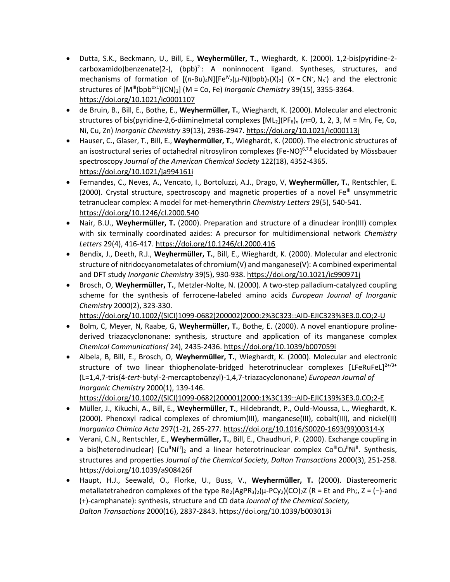- Dutta, S.K., Beckmann, U., Bill, E., **Weyhermüller, T.**, Wieghardt, K. (2000). 1,2-bis(pyridine-2  $carboxamido)$ benzenate(2-),  $(bpb)^2$ : A noninnocent ligand. Syntheses, structures, and mechanisms of formation of  $[(n-Bu)_4N][Fe^{IV}(μ-N)(bpb)_2(X)_2]$  (X = CN, N<sub>3</sub>) and the electronic structures of  $[M^{\text{III}}(bpb^{ox1})(CN)_2]$  (M = Co, Fe) *Inorganic Chemistry* 39(15), 3355-3364. <https://doi.org/10.1021/ic0001107>
- de Bruin, B., Bill, E., Bothe, E., **Weyhermüller, T.**, Wieghardt, K. (2000). Molecular and electronic structures of bis(pyridine-2,6-diimine)metal complexes [ML2](PF6)*<sup>n</sup>* (*n*=0, 1, 2, 3, M = Mn, Fe, Co, Ni, Cu, Zn) *Inorganic Chemistry* 39(13), 2936-2947. <https://doi.org/10.1021/ic000113j>
- Hauser, C., Glaser, T., Bill, E., **Weyhermüller, T.**, Wieghardt, K. (2000). The electronic structures of an isostructural series of octahedral nitrosyliron complexes  ${Fe-NO}^{6,7,8}$  elucidated by Mössbauer spectroscopy *Journal of the American Chemical Society* 122(18), 4352-4365. <https://doi.org/10.1021/ja994161i>
- Fernandes, C., Neves, A., Vencato, I., Bortoluzzi, A.J., Drago, V, **Weyhermüller, T.**, Rentschler, E.  $(2000)$ . Crystal structure, spectroscopy and magnetic properties of a novel Fe<sup>III</sup> unsymmetric tetranuclear complex: A model for met-hemerythrin *Chemistry Letters* 29(5), 540-541. <https://doi.org/10.1246/cl.2000.540>
- Nair, B.U., **Weyhermüller, T.** (2000). Preparation and structure of a dinuclear iron(III) complex with six terminally coordinated azides: A precursor for multidimensional network *Chemistry Letters* 29(4), 416-417. <https://doi.org/10.1246/cl.2000.416>
- Bendix, J., Deeth, R.J., **Weyhermüller, T.**, Bill, E., Wieghardt, K. (2000). Molecular and electronic structure of nitridocyanometalates of chromium(V) and manganese(V): A combined experimental and DFT study *Inorganic Chemistry* 39(5), 930-938. <https://doi.org/10.1021/ic990971j>
- Brosch, O, **Weyhermüller, T.**, Metzler-Nolte, N. (2000). A two-step palladium-catalyzed coupling scheme for the synthesis of ferrocene-labeled amino acids *European Journal of Inorganic Chemistry* 2000(2), 323-330.

[https://doi.org/10.1002/\(SICI\)1099-0682\(200002\)2000:2%3C323::AID-EJIC323%3E3.0.CO;2-U](https://doi.org/10.1002/(SICI)1099-0682(200002)2000:2%3C323::AID-EJIC323%3E3.0.CO;2-U)

- Bolm, C, Meyer, N, Raabe, G, **Weyhermüller, T.**, Bothe, E. (2000). A novel enantiopure prolinederived triazacyclononane: synthesis, structure and application of its manganese complex *Chemical Communications(* 24), 2435-2436. <https://doi.org/10.1039/b007059i>
- Albela, B, Bill, E., Brosch, O, **Weyhermüller, T.**, Wieghardt, K. (2000). Molecular and electronic structure of two linear thiophenolate-bridged heterotrinuclear complexes  $[LFeRuFeL]^{2+/3+}$ (L=1,4,7-tris(4-*tert*-butyl-2-mercaptobenzyl)-1,4,7-triazacyclononane) *European Journal of Inorganic Chemistry* 2000(1), 139-146. [https://doi.org/10.1002/\(SICI\)1099-0682\(200001\)2000:1%3C139::AID-EJIC139%3E3.0.CO;2-E](https://doi.org/10.1002/(SICI)1099-0682(200001)2000:1%3C139::AID-EJIC139%3E3.0.CO;2-E)
- Müller, J., Kikuchi, A., Bill, E., **Weyhermüller, T.**, Hildebrandt, P., Ould-Moussa, L., Wieghardt, K. (2000). Phenoxyl radical complexes of chromium(III), manganese(III), cobalt(III), and nickel(II) *Inorganica Chimica Acta* 297(1-2), 265-277. [https://doi.org/10.1016/S0020-1693\(99\)00314-X](https://doi.org/10.1016/S0020-1693(99)00314-X)
- Verani, C.N., Rentschler, E., **Weyhermüller, T.**, Bill, E., Chaudhuri, P. (2000). Exchange coupling in a bis(heterodinuclear)  $\left[\text{Cu}^{\parallel}\text{Ni}^{\parallel}\right]_2$  and a linear heterotrinuclear complex Co<sup>III</sup>Cu<sup>II</sup>Ni<sup>II</sup>. Synthesis, structures and properties *Journal of the Chemical Society, Dalton Transactions* 2000(3), 251-258. <https://doi.org/10.1039/a908426f>
- Haupt, H.J., Seewald, O., Florke, U., Buss, V., **Weyhermüller, T.** (2000). Diastereomeric metallatetrahedron complexes of the type  $Re_2(AgPR_3)$ <sub>2</sub>( $\mu$ -PCy<sub>2</sub>)(CO)<sub>7</sub>Z (R = Et and Ph;, Z = (-)-and (+)-camphanate): synthesis, structure and CD data *Journal of the Chemical Society, Dalton Transactions* 2000(16), 2837-2843. <https://doi.org/10.1039/b003013i>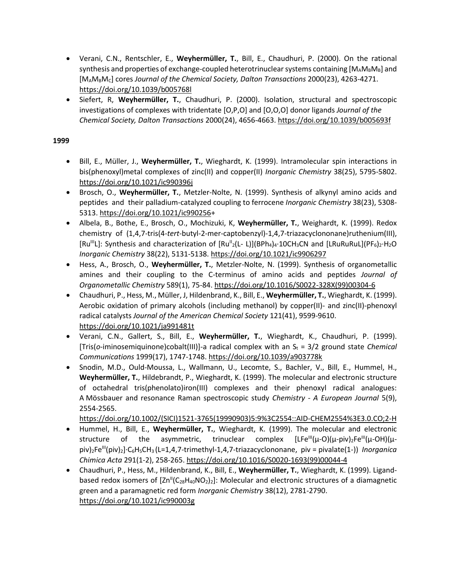- Verani, C.N., Rentschler, E., **Weyhermüller, T.**, Bill, E., Chaudhuri, P. (2000). On the rational synthesis and properties of exchange-coupled heterotrinuclear systems containing  $[M_A M_B M_B]$  and [MAMBMC] cores *Journal of the Chemical Society, Dalton Transactions* 2000(23), 4263-4271. <https://doi.org/10.1039/b005768l>
- Siefert, R, **Weyhermüller, T.**, Chaudhuri, P. (2000). Isolation, structural and spectroscopic investigations of complexes with tridentate [O,P,O] and [O,O,O] donor ligands *Journal of the Chemical Society, Dalton Transactions* 2000(24), 4656-4663. <https://doi.org/10.1039/b005693f>

- Bill, E., Müller, J., **Weyhermüller, T.**, Wieghardt, K. (1999). Intramolecular spin interactions in bis(phenoxyl)metal complexes of zinc(II) and copper(II) *Inorganic Chemistry* 38(25), 5795-5802. <https://doi.org/10.1021/ic990396j>
- Brosch, O., **Weyhermüller, T.**, Metzler-Nolte, N. (1999). Synthesis of alkynyl amino acids and peptides and their palladium-catalyzed coupling to ferrocene *Inorganic Chemistry* 38(23), 5308- 5313. [https://doi.org/10.1021/ic990256+](https://doi.org/10.1021/ic990256)
- Albela, B., Bothe, E., Brosch, O., Mochizuki, K, **Weyhermüller, T.**, Weighardt, K. (1999). Redox chemistry of (1,4,7-tris(4-*tert*-butyl-2-mer-captobenzyl)-1,4,7-triazacyclononane)ruthenium(III), [Ru<sup>III</sup>L]: Synthesis and characterization of  $[Ru^{\parallel 2}(L-L)](BPh_4)_4 \cdot 10CH_3CN$  and  $[LRuRuLU](PF_6)_2 \cdot H_2O$ *Inorganic Chemistry* 38(22), 5131-5138.<https://doi.org/10.1021/ic9906297>
- Hess, A., Brosch, O., **Weyhermüller, T.**, Metzler-Nolte, N. (1999). Synthesis of organometallic amines and their coupling to the C-terminus of amino acids and peptides *Journal of Organometallic Chemistry* 589(1), 75-84. [https://doi.org/10.1016/S0022-328X\(99\)00304-6](https://doi.org/10.1016/S0022-328X(99)00304-6)
- Chaudhuri, P., Hess, M., Müller, J, Hildenbrand, K., Bill, E., **Weyhermüller, T.**, Wieghardt, K. (1999). Aerobic oxidation of primary alcohols (including methanol) by copper(II)- and zinc(II)-phenoxyl radical catalysts *Journal of the American Chemical Society* 121(41), 9599-9610. <https://doi.org/10.1021/ja991481t>
- Verani, C.N., Gallert, S., Bill, E., **Weyhermüller, T.**, Wieghardt, K., Chaudhuri, P. (1999). [Tris(*o*-iminosemiquinone)cobalt(III)]-a radical complex with an S<sub>t</sub> = 3/2 ground state *Chemical Communications* 1999(17), 1747-1748. <https://doi.org/10.1039/a903778k>
- Snodin, M.D., Ould-Moussa, L., Wallmann, U., Lecomte, S., Bachler, V., Bill, E., Hummel, H., **Weyhermüller, T.**, Hildebrandt, P., Wieghardt, K. (1999). The molecular and electronic structure of octahedral tris(phenolato)iron(III) complexes and their phenoxyl radical analogues: A Mössbauer and resonance Raman spectroscopic study *Chemistry - A European Journal* 5(9), 2554-2565.

[https://doi.org/10.1002/\(SICI\)1521-3765\(19990903\)5:9%3C2554::AID-CHEM2554%3E3.0.CO;2-H](https://doi.org/10.1002/(SICI)1521-3765(19990903)5:9%3C2554::AID-CHEM2554%3E3.0.CO;2-H)

- Hummel, H., Bill, E., **Weyhermüller, T.**, Wieghardt, K. (1999). The molecular and electronic structure of the asymmetric, trinuclear complex  $[LE^{\text{III}}(\mu-O)(\mu-piv)_2Fe^{\text{III}}(\mu-OH)(\mu-PiD))$ piv)2FeIII(piv)2]·C6H5CH<sup>3</sup> (L=1,4,7-trimethyl-1,4,7-triazacyclononane, piv = pivalate(1-)) *Inorganica Chimica Acta* 291(1-2), 258-265. [https://doi.org/10.1016/S0020-1693\(99\)00044-4](https://doi.org/10.1016/S0020-1693(99)00044-4)
- Chaudhuri, P., Hess, M., Hildenbrand, K., Bill, E., **Weyhermüller, T.**, Wieghardt, K. (1999). Ligandbased redox isomers of  $[Zn^{\parallel}(C_{28}H_{40}NO_{2})_{2}]$ : Molecular and electronic structures of a diamagnetic green and a paramagnetic red form *Inorganic Chemistry* 38(12), 2781-2790. <https://doi.org/10.1021/ic990003g>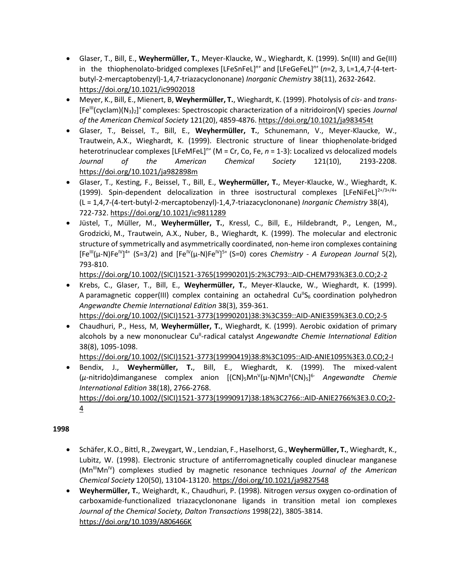- Glaser, T., Bill, E., **Weyhermüller, T.**, Meyer-Klaucke, W., Wieghardt, K. (1999). Sn(III) and Ge(III) in the thiophenolato-bridged complexes [LFeSnFeL]*n+* and [LFeGeFeL]*n+* (*n*=2, 3, L=1,4,7-(4-tertbutyl-2-mercaptobenzyl)-1,4,7-triazacyclononane) *Inorganic Chemistry* 38(11), 2632-2642. <https://doi.org/10.1021/ic9902018>
- Meyer, K., Bill, E., Mienert, B, **Weyhermüller, T.**, Wieghardt, K. (1999). Photolysis of *cis* and *trans* [Fe<sup>lli</sup>(cyclam)(N<sub>3</sub>)<sub>2</sub>]<sup>+</sup> complexes: Spectroscopic characterization of a nitridoiron(V) species *Journal of the American Chemical Society* 121(20), 4859-4876. <https://doi.org/10.1021/ja983454t>
- Glaser, T., Beissel, T., Bill, E., **Weyhermüller, T.**, Schunemann, V., Meyer-Klaucke, W., Trautwein, A.X., Wieghardt, K. (1999). Electronic structure of linear thiophenolate-bridged heterotrinuclear complexes [LFeMFeL]*n+* (M = Cr, Co, Fe, *n* = 1-3): Localized vs delocalized models *Journal of the American Chemical Society* 121(10), 2193-2208. <https://doi.org/10.1021/ja982898m>
- Glaser, T., Kesting, F., Beissel, T., Bill, E., **Weyhermüller, T.**, Meyer-Klaucke, W., Wieghardt, K. (1999). Spin-dependent delocalization in three isostructural complexes  $[LFeNiF]^{2+/3+/4+}$ (L = 1,4,7-(4-tert-butyl-2-mercaptobenzyl)-1,4,7-triazacyclononane) *Inorganic Chemistry* 38(4), 722-732. <https://doi.org/10.1021/ic9811289>
- Jüstel, T., Müller, M., **Weyhermüller, T.**, Kressl, C., Bill, E., Hildebrandt, P., Lengen, M., Grodzicki, M., Trautwein, A.X., Nuber, B., Wieghardt, K. (1999). The molecular and electronic structure of symmetrically and asymmetrically coordinated, non-heme iron complexes containing [Fe<sup>III</sup>(μ-N)Fe<sup>IV</sup>]<sup>4+</sup> (S=3/2) and [Fe<sup>IV</sup>(μ-N)Fe<sup>IV</sup>]<sup>5+</sup> (S=0) cores *Chemistry - A European Journal* 5(2), 793-810.

[https://doi.org/10.1002/\(SICI\)1521-3765\(19990201\)5:2%3C793::AID-CHEM793%3E3.0.CO;2-2](https://doi.org/10.1002/(SICI)1521-3765(19990201)5:2%3C793::AID-CHEM793%3E3.0.CO;2-2)

- Krebs, C., Glaser, T., Bill, E., **Weyhermüller, T.**, Meyer-Klaucke, W., Wieghardt, K. (1999). A paramagnetic copper(III) complex containing an octahedral Cu<sup>II</sup>S<sub>6</sub> coordination polyhedron *Angewandte Chemie International Edition* 38(3), 359-361. [https://doi.org/10.1002/\(SICI\)1521-3773\(19990201\)38:3%3C359::AID-ANIE359%3E3.0.CO;2-5](https://doi.org/10.1002/(SICI)1521-3773(19990201)38:3%3C359::AID-ANIE359%3E3.0.CO;2-5)
- Chaudhuri, P., Hess, M, **Weyhermüller, T.**, Wieghardt, K. (1999). Aerobic oxidation of primary alcohols by a new mononuclear Cu<sup>ll</sup>-radical catalyst *Angewandte Chemie International Edition* 38(8), 1095-1098.

[https://doi.org/10.1002/\(SICI\)1521-3773\(19990419\)38:8%3C1095::AID-ANIE1095%3E3.0.CO;2-I](https://doi.org/10.1002/(SICI)1521-3773(19990419)38:8%3C1095::AID-ANIE1095%3E3.0.CO;2-I)

• Bendix, J., **Weyhermüller, T.**, Bill, E., Wieghardt, K. (1999). The mixed-valent (μ-nitrido)dimanganese complex anion [(CN)<sub>5</sub>Mn<sup>v</sup>(μ-N)Mn<sup>||</sup>(CN)<sub>5</sub>]<sup>6-</sup> Angewandte Chemie *International Edition* 38(18), 2766-2768. [https://doi.org/10.1002/\(SICI\)1521-3773\(19990917\)38:18%3C2766::AID-ANIE2766%3E3.0.CO;2-](https://doi.org/10.1002/(SICI)1521-3773(19990917)38:18%3C2766::AID-ANIE2766%3E3.0.CO;2-4) [4](https://doi.org/10.1002/(SICI)1521-3773(19990917)38:18%3C2766::AID-ANIE2766%3E3.0.CO;2-4)

- Schäfer, K.O., Bittl, R., Zweygart, W., Lendzian, F., Haselhorst, G., **Weyhermüller, T.**, Wieghardt, K., Lubitz, W. (1998). Electronic structure of antiferromagnetically coupled dinuclear manganese (Mn<sup>III</sup>Mn<sup>IV</sup>) complexes studied by magnetic resonance techniques *Journal of the American Chemical Society* 120(50), 13104-13120. <https://doi.org/10.1021/ja9827548>
- **Weyhermüller, T.**, Weighardt, K., Chaudhuri, P. (1998). Nitrogen *versus* oxygen co-ordination of carboxamide-functionalized triazacyclononane ligands in transition metal ion complexes *Journal of the Chemical Society, Dalton Transactions* 1998(22), 3805-3814. <https://doi.org/10.1039/A806466K>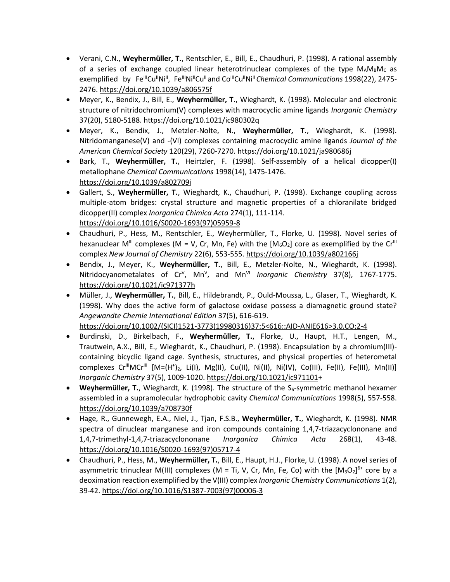- Verani, C.N., **Weyhermüller, T.**, Rentschler, E., Bill, E., Chaudhuri, P. (1998). A rational assembly of a series of exchange coupled linear heterotrinuclear complexes of the type  $M_A M_B M_C$  as exemplified by Fe<sup>lli</sup>Cu<sup>li</sup>Ni<sup>II</sup>, Fe<sup>lli</sup>Ni<sup>II</sup>Cu<sup>li</sup>and Co<sup>lli</sup>Cu<sup>li</sup>Ni<sup>II</sup> Chemical Communications 1998(22), 2475-2476. <https://doi.org/10.1039/a806575f>
- Meyer, K., Bendix, J., Bill, E., **Weyhermüller, T.**, Wieghardt, K. (1998). Molecular and electronic structure of nitridochromium(V) complexes with macrocyclic amine ligands *Inorganic Chemistry*  37(20), 5180-5188. <https://doi.org/10.1021/ic980302q>
- Meyer, K., Bendix, J., Metzler-Nolte, N., **Weyhermüller, T.**, Wieghardt, K. (1998). Nitridomanganese(V) and -(VI) complexes containing macrocyclic amine ligands *Journal of the American Chemical Society* 120(29), 7260-7270. <https://doi.org/10.1021/ja980686j>
- Bark, T., **Weyhermüller, T.**, Heirtzler, F. (1998). Self-assembly of a helical dicopper(I) metallophane *Chemical Communications* 1998(14), 1475-1476. <https://doi.org/10.1039/a802709i>
- Gallert, S., **Weyhermüller, T.**, Wieghardt, K., Chaudhuri, P. (1998). Exchange coupling across multiple-atom bridges: crystal structure and magnetic properties of a chloranilate bridged dicopper(II) complex *Inorganica Chimica Acta* 274(1), 111-114. [https://doi.org/10.1016/S0020-1693\(97\)05959-8](https://doi.org/10.1016/S0020-1693(97)05959-8)
- Chaudhuri, P., Hess, M., Rentschler, E., Weyhermüller, T., Florke, U. (1998). Novel series of hexanuclear M<sup>III</sup> complexes (M = V, Cr, Mn, Fe) with the  $[M_6O_2]$  core as exemplified by the Cr<sup>III</sup> complex *New Journal of Chemistry* 22(6), 553-555. <https://doi.org/10.1039/a802166j>
- Bendix, J., Meyer, K., **Weyhermüller, T.**, Bill, E., Metzler-Nolte, N., Wieghardt, K. (1998). Nitridocyanometalates of Cr<sup>v</sup>, Mn<sup>v</sup>, and Mn<sup>vi</sup> Inorganic Chemistry 37(8), 1767-1775. <https://doi.org/10.1021/ic971377h>
- Müller, J., **Weyhermüller, T.**, Bill, E., Hildebrandt, P., Ould-Moussa, L., Glaser, T., Wieghardt, K. (1998). Why does the active form of galactose oxidase possess a diamagnetic ground state? *Angewandte Chemie International Edition* 37(5), 616-619. [https://doi.org/10.1002/\(SICI\)1521-3773\(19980316\)37:5<616::AID-ANIE616>3.0.CO;2-4](https://doi.org/10.1002/(SICI)1521-3773(19980316)37:5%3c616::AID-ANIE616%3e3.0.CO;2-4)
- Burdinski, D., Birkelbach, F., **Weyhermüller, T.**, Florke, U., Haupt, H.T., Lengen, M., Trautwein, A.X., Bill, E., Wieghardt, K., Chaudhuri, P. (1998). Encapsulation by a chromium(III) containing bicyclic ligand cage. Synthesis, structures, and physical properties of heterometal complexes Cr<sup>ili</sup>MCr<sup>ill</sup> [M=(H<sup>+</sup>)<sub>2</sub>, Li(I), Mg(II), Cu(II), Ni(II), Ni(IV), Co(III), Fe(II), Fe(III), Mn(II)] *Inorganic Chemistry* 37(5), 1009-1020. [https://doi.org/10.1021/ic971101+](https://doi.org/10.1021/ic971101)
- Weyhermüller, T., Wieghardt, K. (1998). The structure of the S<sub>6</sub>-symmetric methanol hexamer assembled in a supramolecular hydrophobic cavity *Chemical Communications* 1998(5), 557-558. <https://doi.org/10.1039/a708730f>
- Hage, R., Gunnewegh, E.A., Niel, J., Tjan, F.S.B., **Weyhermüller, T.**, Wieghardt, K. (1998). NMR spectra of dinuclear manganese and iron compounds containing 1,4,7-triazacyclononane and 1,4,7-trimethyl-1,4,7-triazacyclononane *Inorganica Chimica Acta* 268(1), 43-48. [https://doi.org/10.1016/S0020-1693\(97\)05717-4](https://doi.org/10.1016/S0020-1693(97)05717-4)
- Chaudhuri, P., Hess, M., **Weyhermüller, T.**, Bill, E., Haupt, H.J., Florke, U. (1998). A novel series of asymmetric trinuclear M(III) complexes (M = Ti, V, Cr, Mn, Fe, Co) with the  $[M_3O_2]^{6+}$  core by a deoximation reaction exemplified by the V(III) complex *Inorganic Chemistry Communications* 1(2), 39-42. [https://doi.org/10.1016/S1387-7003\(97\)00006-3](https://doi.org/10.1016/S1387-7003(97)00006-3)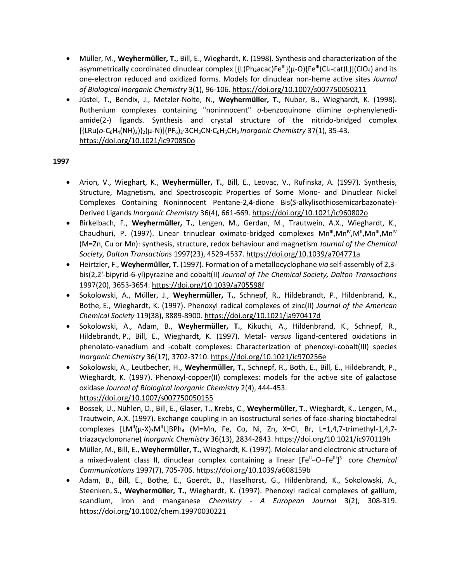- Müller, M., **Weyhermüller, T.**, Bill, E., Wieghardt, K. (1998). Synthesis and characterization of the asymmetrically coordinated dinuclear complex [{L(Ph<sub>2</sub>acac)Fe<sup>III</sup>}(μ-O){Fe<sup>III</sup>(Cl<sub>4</sub>-cat)L}](ClO<sub>4</sub>) and its one-electron reduced and oxidized forms. Models for dinuclear non-heme active sites *Journal of Biological Inorganic Chemistry* 3(1), 96-106. <https://doi.org/10.1007/s007750050211>
- Jüstel, T., Bendix, J., Metzler-Nolte, N., **Weyhermüller, T.**, Nuber, B., Wieghardt, K. (1998). Ruthenium complexes containing "noninnocent" *o*-benzoquinone diimine *o*-phenylenediamide(2-) ligands. Synthesis and crystal structure of the nitrido-bridged complex [{LRu(*o*-C6H4(NH)2)}2(μ-N)](PF6)2·3CH3CN·C6H5CH<sup>3</sup> *Inorganic Chemistry* 37(1), 35-43. <https://doi.org/10.1021/ic970850o>

- Arion, V., Wieghart, K., **Weyhermüller, T.**, Bill, E., Leovac, V., Rufinska, A. (1997). Synthesis, Structure, Magnetism, and Spectroscopic Properties of Some Mono- and Dinuclear Nickel Complexes Containing Noninnocent Pentane-2,4-dione Bis(*S*-alkylisothiosemicarbazonate)- Derived Ligands *Inorganic Chemistry* 36(4), 661-669.<https://doi.org/10.1021/ic960802o>
- Birkelbach, F., **Weyhermüller, T.**, Lengen, M., Gerdan, M., Trautwein, A.X., Wieghardt, K., Chaudhuri, P. (1997). Linear trinuclear oximato-bridged complexes Mn<sup>II</sup>,Mn<sup>IV</sup>,M<sup>II</sup>,Mn<sup>II</sup>,Mn<sup>IV</sup> (M=Zn, Cu or Mn): synthesis, structure, redox behaviour and magnetism *Journal of the Chemical Society, Dalton Transactions* 1997(23), 4529-4537. <https://doi.org/10.1039/a704771a>
- Heirtzler, F., **Weyhermüller, T.** (1997). Formation of a metallocyclophane *via* self-assembly of 2,3 bis(2,2'-bipyrid-6-yl)pyrazine and cobalt(II) *Journal of The Chemical Society, Dalton Transactions* 1997(20), 3653-3654. <https://doi.org/10.1039/a705598f>
- Sokolowski, A., Müller, J., **Weyhermüller, T.**, Schnepf, R., Hildebrandt, P., Hildenbrand, K., Bothe, E., Wieghardt, K. (1997). Phenoxyl radical complexes of zinc(II) *Journal of the American Chemical Society* 119(38), 8889-8900. <https://doi.org/10.1021/ja970417d>
- Sokolowski, A., Adam, B., **Weyhermüller, T.**, Kikuchi, A., Hildenbrand, K., Schnepf, R., Hildebrandt, P., Bill, E., Wieghardt, K. (1997). Metal- *versus* ligand-centered oxidations in phenolato-vanadium and -cobalt complexes: Characterization of phenoxyl-cobalt(III) species *Inorganic Chemistry* 36(17), 3702-3710. <https://doi.org/10.1021/ic970256e>
- Sokolowski, A., Leutbecher, H., **Weyhermüller, T.**, Schnepf, R., Both, E., Bill, E., Hildebrandt, P., Wieghardt, K. (1997). Phenoxyl-copper(II) complexes: models for the active site of galactose oxidase *Journal of Biological Inorganic Chemistry* 2(4), 444-453. <https://doi.org/10.1007/s007750050155>
- Bossek, U., Nühlen, D., Bill, E., Glaser, T., Krebs, C., **Weyhermüller, T.**, Wieghardt, K., Lengen, M., Trautwein, A.X. (1997). Exchange coupling in an isostructural series of face-sharing bioctahedral complexes  $[LM''(µ-X)_3M''L]BPh_4$  (M=Mn, Fe, Co, Ni, Zn, X=Cl, Br, L=1,4,7-trimethyl-1,4,7triazacyclononane) *Inorganic Chemistry* 36(13), 2834-2843. <https://doi.org/10.1021/ic970119h>
- Müller, M., Bill, E., **Weyhermüller, T.**, Wieghardt, K. (1997). Molecular and electronic structure of a mixed-valent class II, dinuclear complex containing a linear [Fe<sup>II</sup>-O-Fe<sup>III</sup>]<sup>3+</sup> core *Chemical Communications* 1997(7), 705-706. <https://doi.org/10.1039/a608159b>
- Adam, B., Bill, E., Bothe, E., Goerdt, B., Haselhorst, G., Hildenbrand, K., Sokolowski, A., Steenken, S., **Weyhermüller, T.**, Wieghardt, K. (1997). Phenoxyl radical complexes of gallium, scandium, iron and manganese *Chemistry - A European Journal* 3(2), 308-319. <https://doi.org/10.1002/chem.19970030221>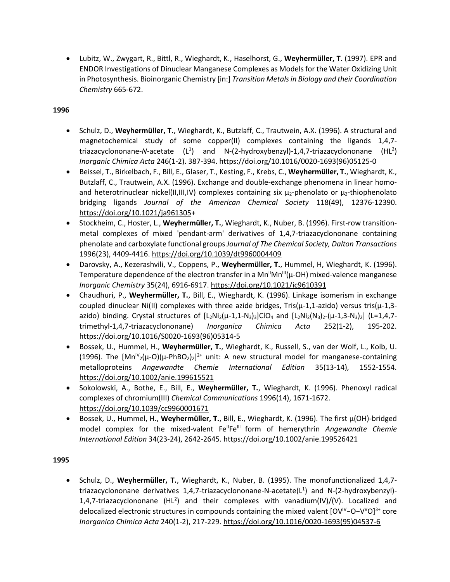• Lubitz, W., Zwygart, R., Bittl, R., Wieghardt, K., Haselhorst, G., **Weyhermüller, T.** (1997). EPR and ENDOR Investigations of Dinuclear Manganese Complexes as Models for the Water Oxidizing Unit in Photosynthesis. Bioinorganic Chemistry [in:] *Transition Metals in Biology and their Coordination Chemistry* 665-672.

### **1996**

- Schulz, D., **Weyhermüller, T.**, Wieghardt, K., Butzlaff, C., Trautwein, A.X. (1996). A structural and magnetochemical study of some copper(II) complexes containing the ligands 1,4,7 triazacyclononane-N-acetate (L<sup>1</sup>) and N-(2-hydroxybenzyl)-1,4,7-triazacyclononane (HL<sup>2</sup>) *Inorganic Chimica Acta* 246(1-2). 387-394. [https://doi.org/10.1016/0020-1693\(96\)05125-0](https://doi.org/10.1016/0020-1693(96)05125-0)
- Beissel, T., Birkelbach, F., Bill, E., Glaser, T., Kesting, F., Krebs, C., **Weyhermüller, T.**, Wieghardt, K., Butzlaff, C., Trautwein, A.X. (1996). Exchange and double-exchange phenomena in linear homoand heterotrinuclear nickel(II,III,IV) complexes containing six  $\mu_2$ -phenolato or  $\mu_2$ -thiophenolato bridging ligands *Journal of the American Chemical Society* 118(49), 12376-12390. [https://doi.org/10.1021/ja961305+](https://doi.org/10.1021/ja961305)
- Stockheim, C., Hoster, L., **Weyhermüller, T.**, Wieghardt, K., Nuber, B. (1996). First-row transitionmetal complexes of mixed 'pendant-arm' derivatives of 1,4,7-triazacyclononane containing phenolate and carboxylate functional groups *Journal of The Chemical Society, Dalton Transactions* 1996(23), 4409-4416. <https://doi.org/10.1039/dt9960004409>
- Darovsky, A., Kezerashvili, V., Coppens, P., **Weyhermüller, T.**, Hummel, H, Wieghardt, K. (1996). Temperature dependence of the electron transfer in a  $Mn^HMn^H(\mu$ -OH) mixed-valence manganese *Inorganic Chemistry* 35(24), 6916-6917. <https://doi.org/10.1021/ic9610391>
- Chaudhuri, P., **Weyhermüller, T.**, Bill, E., Wieghardt, K. (1996). Linkage isomerism in exchange coupled dinuclear Ni(II) complexes with three azide bridges, Tris( $\mu$ -1,1-azido) versus tris( $\mu$ -1,3azido) binding. Crystal structures of  $[L_2Ni_2(\mu-1,1-N_3)_3]CO_4$  and  $[L_2Ni_2(N_3)_2-(\mu-1,3-N_3)_2]$  (L=1,4,7trimethyl-1,4,7-triazacyclononane) *Inorganica Chimica Acta* 252(1-2), 195-202. [https://doi.org/10.1016/S0020-1693\(96\)05314-5](https://doi.org/10.1016/S0020-1693(96)05314-5)
- Bossek, U., Hummel, H., **Weyhermüller, T.**, Wieghardt, K., Russell, S., van der Wolf, L., Kolb, U. (1996). The  $[Mn^{\nu}{}_{2}(\mu$ -O)( $\mu$ -PhBO<sub>2</sub>)<sub>2</sub>]<sup>2+</sup> unit: A new structural model for manganese-containing metalloproteins *Angewandte Chemie International Edition* 35(13-14), 1552-1554. <https://doi.org/10.1002/anie.199615521>
- Sokolowski, A., Bothe, E., Bill, E., **Weyhermüller, T.**, Wieghardt, K. (1996). Phenoxyl radical complexes of chromium(III) *Chemical Communications* 1996(14), 1671-1672. <https://doi.org/10.1039/cc9960001671>
- Bossek, U., Hummel, H., **Weyhermüller, T.**, Bill, E., Wieghardt, K. (1996). The first μ(OH)-bridged model complex for the mixed-valent Fe<sup>II</sup>Fe<sup>III</sup> form of hemerythrin *Angewandte Chemie International Edition* 34(23-24), 2642-2645.<https://doi.org/10.1002/anie.199526421>

#### **1995**

• Schulz, D., **Weyhermüller, T.**, Wieghardt, K., Nuber, B. (1995). The monofunctionalized 1,4,7 triazacyclononane derivatives 1,4,7-triazacyclononane-N-acetate(L<sup>1</sup>) and N-(2-hydroxybenzyl)-1,4,7-triazacyclononane  $(HL^2)$  and their complexes with vanadium(IV)/(V). Localized and delocalized electronic structures in compounds containing the mixed valent [OV<sup>IV</sup>-O-V<sup>V</sup>O]<sup>3+</sup> core *Inorganica Chimica Acta* 240(1-2), 217-229. [https://doi.org/10.1016/0020-1693\(95\)04537-6](https://doi.org/10.1016/0020-1693(95)04537-6)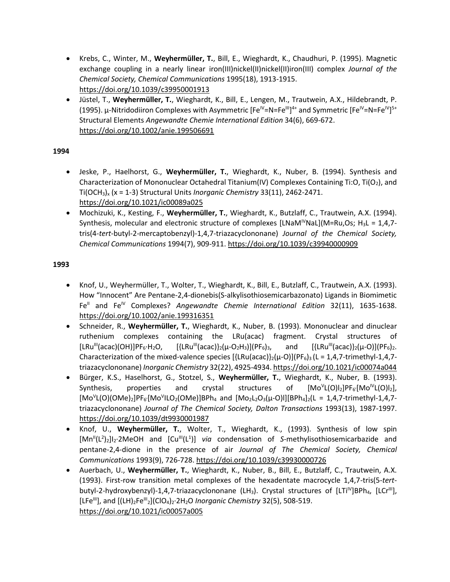- Krebs, C., Winter, M., **Weyhermüller, T.**, Bill, E., Wieghardt, K., Chaudhuri, P. (1995). Magnetic exchange coupling in a nearly linear iron(III)nickel(II)nickel(II)iron(III) complex *Journal of the Chemical Society, Chemical Communications* 1995(18), 1913-1915. <https://doi.org/10.1039/c39950001913>
- Jüstel, T., **Weyhermüller, T.**, Wieghardt, K., Bill, E., Lengen, M., Trautwein, A.X., Hildebrandt, P. (1995). μ-Nitridodiiron Complexes with Asymmetric [Fe<sup>IV</sup>=N=Fe<sup>III</sup>]<sup>4+</sup> and Symmetric [Fe<sup>IV</sup>=N=Fe<sup>IV</sup>]<sup>5+</sup> Structural Elements *Angewandte Chemie International Edition* 34(6), 669-672. <https://doi.org/10.1002/anie.199506691>

- Jeske, P., Haelhorst, G., **Weyhermüller, T.**, Wieghardt, K., Nuber, B. (1994). Synthesis and Characterization of Mononuclear Octahedral Titanium(IV) Complexes Containing Ti:O, Ti(O<sub>2</sub>), and Ti(OCH3)<sup>x</sup> (x = 1-3) Structural Units *Inorganic Chemistry* 33(11), 2462-2471. <https://doi.org/10.1021/ic00089a025>
- Mochizuki, K., Kesting, F., **Weyhermüller, T.**, Wieghardt, K., Butzlaff, C., Trautwein, A.X. (1994). Synthesis, molecular and electronic structure of complexes [LNaM<sup>IV</sup>NaL](M=Ru,Os; H<sub>3</sub>L = 1,4,7tris(4-*tert*-butyl-2-mercaptobenzyl)-1,4,7-triazacyclononane) *Journal of the Chemical Society, Chemical Communications* 1994(7), 909-911. <https://doi.org/10.1039/c39940000909>

- Knof, U., Weyhermüller, T., Wolter, T., Wieghardt, K., Bill, E., Butzlaff, C., Trautwein, A.X. (1993). How "Innocent" Are Pentane‐2,4‐dionebis(S‐alkylisothiosemicarbazonato) Ligands in Biomimetic Fe<sup>II</sup> and Fe<sup>IV</sup> Complexes? *Angewandte Chemie International Edition* 32(11), 1635-1638. <https://doi.org/10.1002/anie.199316351>
- Schneider, R., **Weyhermüller, T.**, Wieghardt, K., Nuber, B. (1993). Mononuclear and dinuclear ruthenium complexes containing the LRu(acac) fragment. Crystal structures of  $[LRu'''(acac)(OH)]PF_6\cdot H_2O, \qquad [{LRu'''(acac)}_2(\mu-O_2H_3)](PF_6)_3, \qquad \text{and} \qquad [{LRu''(acac)}_2(\mu-O)](PF_6)_2.$ Characterization of the mixed-valence species  $[{LRu(acac)}_2(\mu-O)](PF_6)_3$  (L = 1,4,7-trimethyl-1,4,7triazacyclononane) *Inorganic Chemistry* 32(22), 4925-4934. <https://doi.org/10.1021/ic00074a044>
- Bürger, K.S., Haselhorst, G., Stotzel, S., **Weyhermüller, T.**, Wieghardt, K., Nuber, B. (1993). Synthesis, properties and crystal structures of  $[Mo<sup>V</sup>L(O)]<sub>2</sub>]PF<sub>6'</sub>[Mo<sup>IV</sup>L(O)]<sub>2</sub>],$  $[Mo<sup>V</sup>L(O)(OMe)<sub>2</sub>]PF<sub>6'</sub>[Mo<sup>V</sup>lLO<sub>2</sub>(OMe)]BPh<sub>4</sub>$  and  $[Mo<sub>2</sub>L<sub>2</sub>O<sub>3</sub>(\mu-O)l][BPh<sub>4</sub>]<sub>2</sub>(L = 1,4,7-trimethyl-1,4,7-1)$ triazacyclononane) *Journal of The Chemical Society, Dalton Transactions* 1993(13), 1987-1997. <https://doi.org/10.1039/dt9930001987>
- Knof, U., **Weyhermüller, T.**, Wolter, T., Wieghardt, K., (1993). Synthesis of low spin [Mn<sup>||</sup>(L<sup>2</sup>)<sub>2</sub>]I<sub>2</sub>·2MeOH and [Cu<sup>|||</sup>(L<sup>1</sup>)] via condensation of *S*-methylisothiosemicarbazide and pentane-2,4-dione in the presence of air *Journal of The Chemical Society, Chemical Communications* 1993(9), 726-728. <https://doi.org/10.1039/c39930000726>
- Auerbach, U., **Weyhermüller, T.**, Wieghardt, K., Nuber, B., Bill, E., Butzlaff, C., Trautwein, A.X. (1993). First-row transition metal complexes of the hexadentate macrocycle 1,4,7-tris(5-*tert*butyl-2-hydroxybenzyl)-1,4,7-triazacyclononane (LH<sub>3</sub>). Crystal structures of  $[LT^{IV}$ BPh<sub>4</sub>,  $[LCr^{III}]$ , [LFe<sup>III</sup>], and [(LH)<sub>2</sub>Fe<sup>III</sup><sub>2</sub>](ClO<sub>4</sub>)<sub>2</sub>·2H<sub>2</sub>O *Inorganic Chemistry* 32(5), 508-519. <https://doi.org/10.1021/ic00057a005>